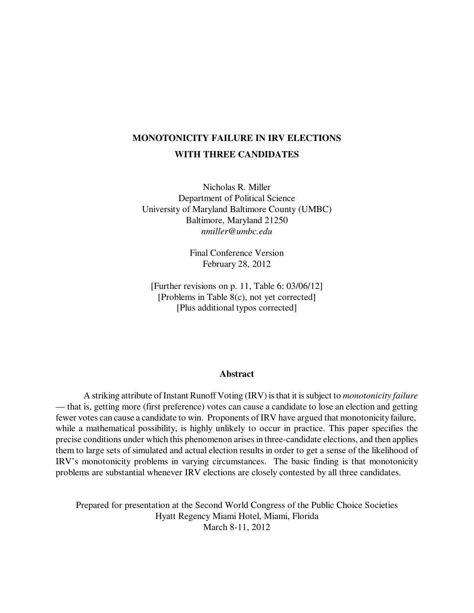# **MONOTONICITY FAILURE IN IRV ELECTIONS WITH THREE CANDIDATES**

Nicholas R. Miller Department of Political Science University of Maryland Baltimore County (UMBC) Baltimore, Maryland 21250 *nmiller@umbc.edu*

> Final Conference Version February 28, 2012

[Further revisions on p. 11, Table 6: 03/06/12] [Problems in Table 8(c), not yet corrected] [Plus additional typos corrected]

#### **Abstract**

A striking attribute of Instant Runoff Voting (IRV) is that it is subject to *monotonicity failure* — that is, getting more (first preference) votes can cause a candidate to lose an election and getting fewer votes can cause a candidate to win. Proponents of IRV have argued that monotonicity failure, while a mathematical possibility, is highly unlikely to occur in practice. This paper specifies the precise conditions under which this phenomenon arises in three-candidate elections, and then applies them to large sets of simulated and actual election results in order to get a sense of the likelihood of IRV's monotonicity problems in varying circumstances. The basic finding is that monotonicity problems are substantial whenever IRV elections are closely contested by all three candidates.

Prepared for presentation at the Second World Congress of the Public Choice Societies Hyatt Regency Miami Hotel, Miami, Florida March 8-11, 2012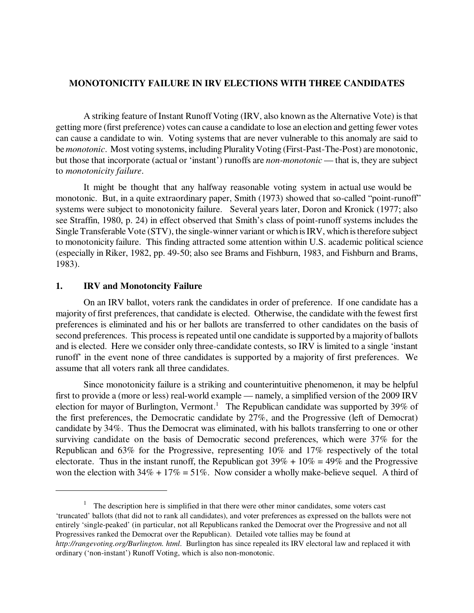# **MONOTONICITY FAILURE IN IRV ELECTIONS WITH THREE CANDIDATES**

A striking feature of Instant Runoff Voting (IRV, also known as the Alternative Vote) is that getting more (first preference) votes can cause a candidate to lose an election and getting fewer votes can cause a candidate to win. Voting systems that are never vulnerable to this anomaly are said to be *monotonic*. Most voting systems, including Plurality Voting (First-Past-The-Post) are monotonic, but those that incorporate (actual or 'instant') runoffs are *non-monotonic* — that is, they are subject to *monotonicity failure*.

It might be thought that any halfway reasonable voting system in actual use would be monotonic. But, in a quite extraordinary paper, Smith (1973) showed that so-called "point-runoff" systems were subject to monotonicity failure. Several years later, Doron and Kronick (1977; also see Straffin, 1980, p. 24) in effect observed that Smith's class of point-runoff systems includes the Single Transferable Vote (STV), the single-winner variant or which is IRV, which is therefore subject to monotonicity failure. This finding attracted some attention within U.S. academic political science (especially in Riker, 1982, pp. 49-50; also see Brams and Fishburn, 1983, and Fishburn and Brams, 1983).

### **1. IRV and Monotoncity Failure**

On an IRV ballot, voters rank the candidates in order of preference. If one candidate has a majority of first preferences, that candidate is elected. Otherwise, the candidate with the fewest first preferences is eliminated and his or her ballots are transferred to other candidates on the basis of second preferences. This process is repeated until one candidate is supported by a majority of ballots and is elected. Here we consider only three-candidate contests, so IRV is limited to a single 'instant runoff' in the event none of three candidates is supported by a majority of first preferences. We assume that all voters rank all three candidates.

Since monotonicity failure is a striking and counterintuitive phenomenon, it may be helpful first to provide a (more or less) real-world example — namely, a simplified version of the 2009 IRV election for mayor of Burlington, Vermont.<sup>1</sup> The Republican candidate was supported by 39% of the first preferences, the Democratic candidate by 27%, and the Progressive (left of Democrat) candidate by 34%. Thus the Democrat was eliminated, with his ballots transferring to one or other surviving candidate on the basis of Democratic second preferences, which were 37% for the Republican and 63% for the Progressive, representing 10% and 17% respectively of the total electorate. Thus in the instant runoff, the Republican got  $39\% + 10\% = 49\%$  and the Progressive won the election with  $34\% + 17\% = 51\%$ . Now consider a wholly make-believe sequel. A third of

<sup>1</sup> The description here is simplified in that there were other minor candidates, some voters cast 'truncated' ballots (that did not to rank all candidates), and voter preferences as expressed on the ballots were not entirely 'single-peaked' (in particular, not all Republicans ranked the Democrat over the Progressive and not all Progressives ranked the Democrat over the Republican). Detailed vote tallies may be found at *http://rangevoting.org/Burlington. html*. Burlington has since repealed its IRV electoral law and replaced it with ordinary ('non-instant') Runoff Voting, which is also non-monotonic.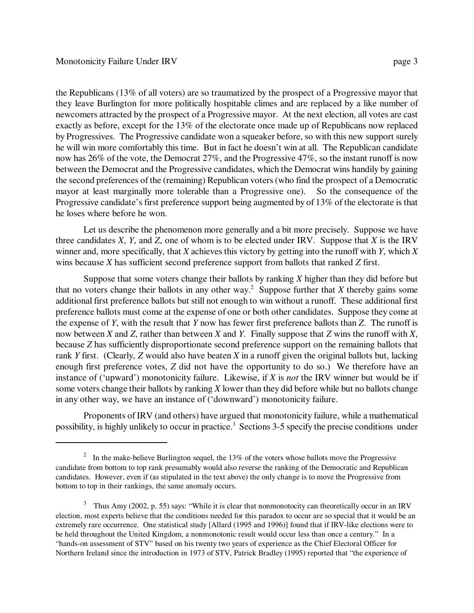the Republicans (13% of all voters) are so traumatized by the prospect of a Progressive mayor that they leave Burlington for more politically hospitable climes and are replaced by a like number of newcomers attracted by the prospect of a Progressive mayor. At the next election, all votes are cast exactly as before, except for the 13% of the electorate once made up of Republicans now replaced by Progressives. The Progressive candidate won a squeaker before, so with this new support surely he will win more comfortably this time. But in fact he doesn't win at all. The Republican candidate now has 26% of the vote, the Democrat 27%, and the Progressive 47%, so the instant runoff is now between the Democrat and the Progressive candidates, which the Democrat wins handily by gaining the second preferences of the (remaining) Republican voters (who find the prospect of a Democratic mayor at least marginally more tolerable than a Progressive one). So the consequence of the Progressive candidate's first preference support being augmented by of 13% of the electorate is that he loses where before he won.

Let us describe the phenomenon more generally and a bit more precisely. Suppose we have three candidates *X*, *Y*, and *Z*, one of whom is to be elected under IRV. Suppose that *X* is the IRV winner and, more specifically, that *X* achieves this victory by getting into the runoff with *Y*, which *X* wins because *X* has sufficient second preference support from ballots that ranked *Z* first.

Suppose that some voters change their ballots by ranking *X* higher than they did before but that no voters change their ballots in any other way.<sup>2</sup> Suppose further that  $X$  thereby gains some additional first preference ballots but still not enough to win without a runoff. These additional first preference ballots must come at the expense of one or both other candidates. Suppose they come at the expense of *Y*, with the result that *Y* now has fewer first preference ballots than *Z*. The runoff is now between *X* and *Z*, rather than between *X* and *Y*. Finally suppose that *Z* wins the runoff with *X*, because *Z* has sufficiently disproportionate second preference support on the remaining ballots that rank *Y* first. (Clearly, *Z* would also have beaten *X* in a runoff given the original ballots but, lacking enough first preference votes, *Z* did not have the opportunity to do so.) We therefore have an instance of ('upward') monotonicity failure. Likewise, if *X* is *not* the IRV winner but would be if some voters change their ballots by ranking *X* lower than they did before while but no ballots change in any other way, we have an instance of ('downward') monotonicity failure.

Proponents of IRV (and others) have argued that monotonicity failure, while a mathematical possibility, is highly unlikely to occur in practice.<sup>3</sup> Sections 3-5 specify the precise conditions under

<sup>&</sup>lt;sup>2</sup> In the make-believe Burlington sequel, the 13% of the voters whose ballots move the Progressive candidate from bottom to top rank presumably would also reverse the ranking of the Democratic and Republican candidates. However, even if (as stipulated in the text above) the only change is to move the Progressive from bottom to top in their rankings, the same anomaly occurs.

<sup>3</sup> Thus Amy (2002, p. 55) says: "While it is clear that nonmonotocity can theoretically occur in an IRV election, most experts believe that the conditions needed for this paradox to occur are so special that it would be an extremely rare occurrence. One statistical study [Allard (1995 and 1996)] found that if IRV-like elections were to be held throughout the United Kingdom, a nonmonotonic result would occur less than once a century." In a "hands-on assessment of STV" based on his twenty two years of experience as the Chief Electoral Officer for Northern Ireland since the introduction in 1973 of STV, Patrick Bradley (1995) reported that "the experience of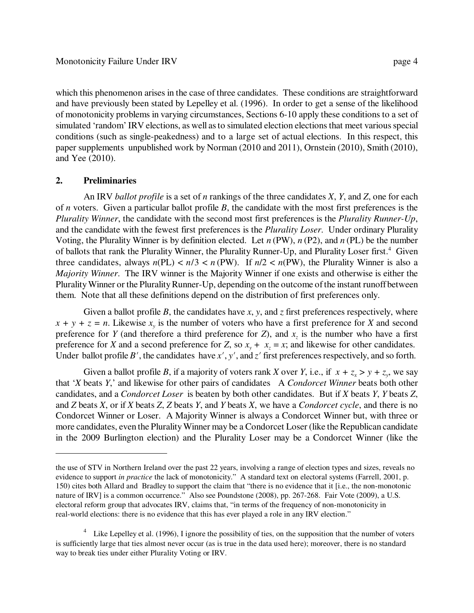which this phenomenon arises in the case of three candidates. These conditions are straightforward and have previously been stated by Lepelley et al. (1996). In order to get a sense of the likelihood of monotonicity problems in varying circumstances, Sections 6-10 apply these conditions to a set of simulated 'random' IRV elections, as well as to simulated election elections that meet various special conditions (such as single-peakedness) and to a large set of actual elections. In this respect, this paper supplements unpublished work by Norman (2010 and 2011), Ornstein (2010), Smith (2010), and Yee (2010).

# **2. Preliminaries**

An IRV *ballot profile* is a set of *n* rankings of the three candidates *X*, *Y*, and *Z*, one for each of *n* voters. Given a particular ballot profile *B*, the candidate with the most first preferences is the *Plurality Winner*, the candidate with the second most first preferences is the *Plurality Runner-Up*, and the candidate with the fewest first preferences is the *Plurality Loser*. Under ordinary Plurality Voting, the Plurality Winner is by definition elected. Let *n* (PW), *n* (P2), and *n* (PL) be the number of ballots that rank the Plurality Winner, the Plurality Runner-Up, and Plurality Loser first.<sup>4</sup> Given three candidates, always  $n(PL) < n/3 < n(PW)$ . If  $n/2 < n(PW)$ , the Plurality Winner is also a *Majority Winner*. The IRV winner is the Majority Winner if one exists and otherwise is either the Plurality Winner or the Plurality Runner-Up, depending on the outcome of the instant runoff between them. Note that all these definitions depend on the distribution of first preferences only.

Given a ballot profile B, the candidates have x, y, and z first preferences respectively, where  $x + y + z = n$ . Likewise  $x<sub>y</sub>$  is the number of voters who have a first preference for *X* and second preference for *Y* (and therefore a third preference for *Z*), and  $x<sub>z</sub>$  is the number who have a first preference for *X* and a second preference for *Z*, so  $x_y + x_z = x$ ; and likewise for other candidates. Under ballot profile *B'*, the candidates have  $x'$ ,  $y'$ , and  $z'$  first preferences respectively, and so forth.

Given a ballot profile *B*, if a majority of voters rank *X* over *Y*, i.e., if  $x + z_x > y + z_y$ , we say that '*X* beats *Y*,' and likewise for other pairs of candidates A *Condorcet Winner* beats both other candidates, and a *Condorcet Loser* is beaten by both other candidates. But if *X* beats *Y*, *Y* beats *Z*, and *Z* beats *X*, or if *X* beats *Z*, *Z* beats *Y*, and *Y* beats *X*, we have a *Condorcet cycle*, and there is no Condorcet Winner or Loser. A Majority Winner is always a Condorcet Winner but, with three or more candidates, even the Plurality Winner may be a Condorcet Loser (like the Republican candidate in the 2009 Burlington election) and the Plurality Loser may be a Condorcet Winner (like the

the use of STV in Northern Ireland over the past 22 years, involving a range of election types and sizes, reveals no evidence to support *in practice* the lack of monotonicity." A standard text on electoral systems (Farrell, 2001, p. 150) cites both Allard and Bradley to support the claim that "there is no evidence that it [i.e., the non-monotonic nature of IRV] is a common occurrence." Also see Poundstone (2008), pp. 267-268. Fair Vote (2009), a U.S. electoral reform group that advocates IRV, claims that, "in terms of the frequency of non-monotonicity in real-world elections: there is no evidence that this has ever played a role in any IRV election."

<sup>&</sup>lt;sup>4</sup> Like Lepelley et al. (1996), I ignore the possibility of ties, on the supposition that the number of voters is sufficiently large that ties almost never occur (as is true in the data used here); moreover, there is no standard way to break ties under either Plurality Voting or IRV.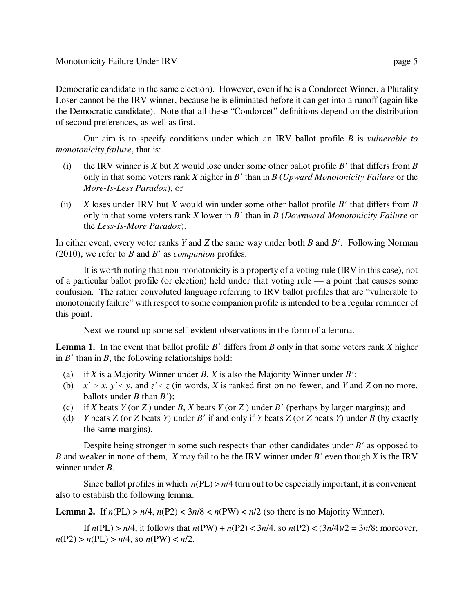Democratic candidate in the same election). However, even if he is a Condorcet Winner, a Plurality Loser cannot be the IRV winner, because he is eliminated before it can get into a runoff (again like the Democratic candidate). Note that all these "Condorcet" definitions depend on the distribution of second preferences, as well as first.

Our aim is to specify conditions under which an IRV ballot profile *B* is *vulnerable to monotonicity failure*, that is:

- (i) the IRV winner is  $X$  but  $X$  would lose under some other ballot profile  $B'$  that differs from  $B$ only in that some voters rank  $X$  higher in  $B'$  than in  $B$  (*Upward Monotonicity Failure* or the *More-Is-Less Paradox*), or
- (ii) *X* loses under IRV but *X* would win under some other ballot profile *B*<sup> $\prime$ </sup> that differs from *B* only in that some voters rank *X* lower in *B'* than in *B* (*Downward Monotonicity Failure* or the *Less-Is-More Paradox*).

In either event, every voter ranks *Y* and *Z* the same way under both *B* and *B'*. Following Norman (2010), we refer to  $B$  and  $B'$  as *companion* profiles.

It is worth noting that non-monotonicity is a property of a voting rule (IRV in this case), not of a particular ballot profile (or election) held under that voting rule — a point that causes some confusion. The rather convoluted language referring to IRV ballot profiles that are "vulnerable to monotonicity failure" with respect to some companion profile is intended to be a regular reminder of this point.

Next we round up some self-evident observations in the form of a lemma.

**Lemma 1.** In the event that ballot profile  $B'$  differs from  $B$  only in that some voters rank  $X$  higher in  $B'$  than in  $B$ , the following relationships hold:

- (a) if *X* is a Majority Winner under *B*, *X* is also the Majority Winner under *B*<sup> $\prime$ </sup>;
- (b)  $x' \ge x, y' \le y$ , and  $z' \le z$  (in words, *X* is ranked first on no fewer, and *Y* and *Z* on no more, ballots under *B* than  $B'$ ;
- (c) if *X* beats *Y* (or *Z*) under *B*, *X* beats *Y* (or *Z*) under *B'* (perhaps by larger margins); and
- (d) *Y* beats *Z* (or *Z* beats *Y*) under *B'* if and only if *Y* beats *Z* (or *Z* beats *Y*) under *B* (by exactly the same margins).

Despite being stronger in some such respects than other candidates under  $B'$  as opposed to *B* and weaker in none of them, *X* may fail to be the IRV winner under *B'* even though *X* is the IRV winner under *B*.

Since ballot profiles in which  $n(PL) > n/4$  turn out to be especially important, it is convenient also to establish the following lemma.

**Lemma 2.** If  $n(PL) > n/4$ ,  $n(P2) < 3n/8 < n(PW) < n/2$  (so there is no Majority Winner).

If  $n(PL) > n/4$ , it follows that  $n(PW) + n(P2) < 3n/4$ , so  $n(P2) < (3n/4)/2 = 3n/8$ ; moreover,  $n(P2) > n(PL) > n/4$ , so  $n(PW) < n/2$ .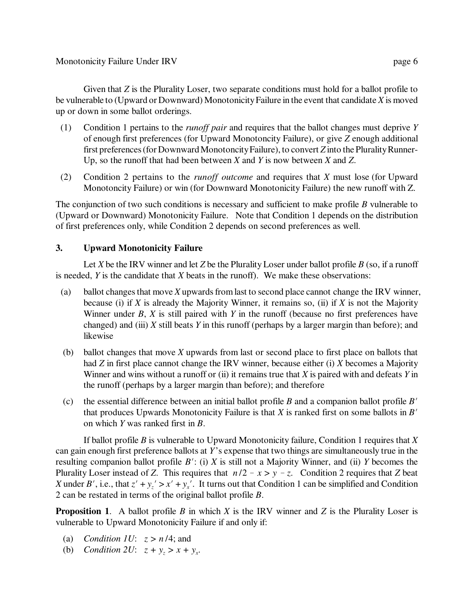Given that *Z* is the Plurality Loser, two separate conditions must hold for a ballot profile to be vulnerable to (Upward or Downward) Monotonicity Failure in the event that candidate *X* is moved up or down in some ballot orderings.

- (1) Condition 1 pertains to the *runoff pair* and requires that the ballot changes must deprive *Y* of enough first preferences (for Upward Monotoncity Failure), or give *Z* enough additional first preferences (for Downward Monotoncity Failure), to convert *Z* into the Plurality Runner-Up, so the runoff that had been between *X* and *Y* is now between *X* and *Z*.
- (2) Condition 2 pertains to the *runoff outcome* and requires that *X* must lose (for Upward Monotoncity Failure) or win (for Downward Monotonicity Failure) the new runoff with Z.

The conjunction of two such conditions is necessary and sufficient to make profile *B* vulnerable to (Upward or Downward) Monotonicity Failure. Note that Condition 1 depends on the distribution of first preferences only, while Condition 2 depends on second preferences as well.

# **3. Upward Monotonicity Failure**

Let *X* be the IRV winner and let *Z* be the Plurality Loser under ballot profile *B* (so, if a runoff is needed, *Y* is the candidate that *X* beats in the runoff). We make these observations:

- (a) ballot changes that move *X* upwards from last to second place cannot change the IRV winner, because (i) if *X* is already the Majority Winner, it remains so, (ii) if *X* is not the Majority Winner under *B*, *X* is still paired with *Y* in the runoff (because no first preferences have changed) and (iii) *X* still beats *Y* in this runoff (perhaps by a larger margin than before); and likewise
- (b) ballot changes that move *X* upwards from last or second place to first place on ballots that had *Z* in first place cannot change the IRV winner, because either (i) *X* becomes a Majority Winner and wins without a runoff or (ii) it remains true that *X* is paired with and defeats *Y* in the runoff (perhaps by a larger margin than before); and therefore
- (c) the essential difference between an initial ballot profile *B* and a companion ballot profile  $B<sup>N</sup>$ that produces Upwards Monotonicity Failure is that  $X$  is ranked first on some ballots in  $B'$ on which *Y* was ranked first in *B*.

If ballot profile *B* is vulnerable to Upward Monotonicity failure, Condition 1 requires that *X* can gain enough first preference ballots at *Y*'s expense that two things are simultaneously true in the resulting companion ballot profile  $B'$ : (i)  $X$  is still not a Majority Winner, and (ii)  $Y$  becomes the Plurality Loser instead of *Z*. This requires that  $n/2 - x > y - z$ . Condition 2 requires that *Z* beat *X* under *B'*, i.e., that  $z' + y_z' > x' + y_x'$ . It turns out that Condition 1 can be simplified and Condition 2 can be restated in terms of the original ballot profile *B*.

**Proposition 1**. A ballot profile *B* in which *X* is the IRV winner and *Z* is the Plurality Loser is vulnerable to Upward Monotonicity Failure if and only if:

- (a) *Condition 1U*: *z > n* /4; and
- (b) *Condition 2U*:  $z + y_z > x + y_x$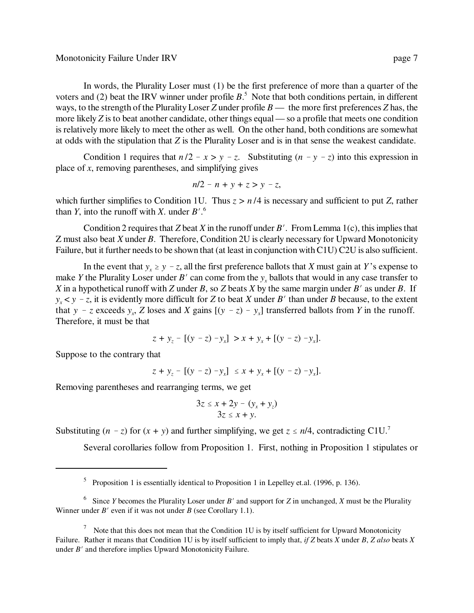In words, the Plurality Loser must (1) be the first preference of more than a quarter of the voters and (2) beat the IRV winner under profile  $B$ <sup>5</sup>. Note that both conditions pertain, in different ways, to the strength of the Plurality Loser *Z* under profile *B* — the more first preferences *Z* has, the more likely *Z* is to beat another candidate, other things equal — so a profile that meets one condition is relatively more likely to meet the other as well. On the other hand, both conditions are somewhat at odds with the stipulation that *Z* is the Plurality Loser and is in that sense the weakest candidate.

Condition 1 requires that  $n/2 - x > y - z$ . Substituting  $(n - y - z)$  into this expression in place of *x*, removing parentheses, and simplifying gives

$$
n/2 - n + y + z > y - z
$$

which further simplifies to Condition 1U. Thus  $z > n/4$  is necessary and sufficient to put *Z*, rather than *Y*, into the runoff with *X*. under  $B'$ .<sup>6</sup>

Condition 2 requires that *Z* beat *X* in the runoff under *B'*. From Lemma 1(c), this implies that Z must also beat *X* under *B*. Therefore, Condition 2U is clearly necessary for Upward Monotonicity Failure, but it further needs to be shown that (at least in conjunction with C1U) C2U is also sufficient.

In the event that  $y_x \ge y - z$ , all the first preference ballots that *X* must gain at *Y*'s expense to make *Y* the Plurality Loser under *B'* can come from the  $y_x$  ballots that would in any case transfer to *X* in a hypothetical runoff with *Z* under *B*, so *Z* beats *X* by the same margin under *B*<sup> $\prime$ </sup> as under *B*. If  $y_x$   $\lt y$  – *z*, it is evidently more difficult for *Z* to beat *X* under *B*' than under *B* because, to the extent that  $y - z$  exceeds  $y_x$ ,  $\overline{Z}$  loses and  $\overline{X}$  gains  $[(y - z) - y_x]$  transferred ballots from  $\overline{Y}$  in the runoff. Therefore, it must be that

$$
z + y_z - [(y - z) - y_x] > x + y_x + [(y - z) - y_x].
$$

Suppose to the contrary that

$$
z + y_z - [(y - z) - y_x] \le x + y_x + [(y - z) - y_x].
$$

Removing parentheses and rearranging terms, we get

$$
3z \le x + 2y - (y_x + y_z)
$$
  
 
$$
3z \le x + y.
$$

Substituting  $(n - z)$  for  $(x + y)$  and further simplifying, we get  $z \le n/4$ , contradicting C1U.<sup>7</sup>

Several corollaries follow from Proposition 1. First, nothing in Proposition 1 stipulates or

<sup>&</sup>lt;sup>5</sup> Proposition 1 is essentially identical to Proposition 1 in Lepelley et.al. (1996, p. 136).

<sup>&</sup>lt;sup>6</sup> Since *Y* becomes the Plurality Loser under *B*' and support for *Z* in unchanged, *X* must be the Plurality Winner under  $B'$  even if it was not under  $B$  (see Corollary 1.1).

 $<sup>7</sup>$  Note that this does not mean that the Condition 1U is by itself sufficient for Upward Monotonicity</sup> Failure. Rather it means that Condition 1U is by itself sufficient to imply that, *if Z* beats *X* under *B*, *Z also* beats *X* under  $B'$  and therefore implies Upward Monotonicity Failure.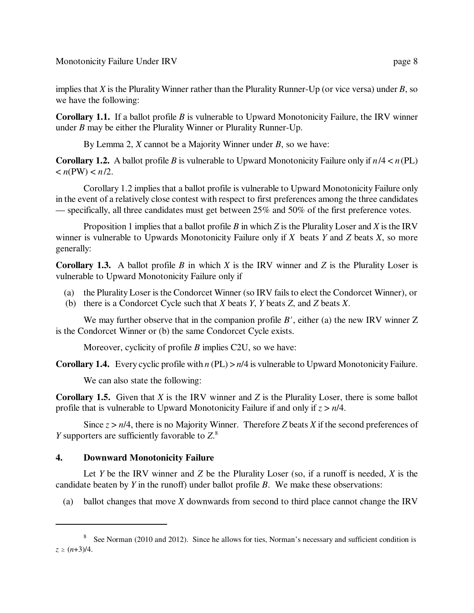Monotonicity Failure Under IRV page 8

implies that *X* is the Plurality Winner rather than the Plurality Runner-Up (or vice versa) under *B*, so we have the following:

**Corollary 1.1.** If a ballot profile *B* is vulnerable to Upward Monotonicity Failure, the IRV winner under *B* may be either the Plurality Winner or Plurality Runner-Up.

By Lemma 2, *X* cannot be a Majority Winner under *B*, so we have:

**Corollary 1.2.** A ballot profile *B* is vulnerable to Upward Monotonicity Failure only if  $n/4 < n$  (PL)  $\langle n(PW) \langle n/2 \rangle$ 

Corollary 1.2 implies that a ballot profile is vulnerable to Upward Monotonicity Failure only in the event of a relatively close contest with respect to first preferences among the three candidates — specifically, all three candidates must get between 25% and 50% of the first preference votes.

Proposition 1 implies that a ballot profile *B* in which *Z* is the Plurality Loser and *X* is the IRV winner is vulnerable to Upwards Monotonicity Failure only if *X* beats *Y* and *Z* beats *X*, so more generally:

**Corollary 1.3.** A ballot profile *B* in which *X* is the IRV winner and *Z* is the Plurality Loser is vulnerable to Upward Monotonicity Failure only if

- (a) the Plurality Loser is the Condorcet Winner (so IRV fails to elect the Condorcet Winner), or
- (b) there is a Condorcet Cycle such that *X* beats *Y*, *Y* beats *Z*, and *Z* beats *X*.

We may further observe that in the companion profile  $B'$ , either (a) the new IRV winner Z is the Condorcet Winner or (b) the same Condorcet Cycle exists.

Moreover, cyclicity of profile *B* implies C2U, so we have:

**Corollary 1.4.** Every cyclic profile with *n* (PL) > *n*/4 is vulnerable to Upward Monotonicity Failure.

We can also state the following:

**Corollary 1.5.** Given that *X* is the IRV winner and *Z* is the Plurality Loser, there is some ballot profile that is vulnerable to Upward Monotonicity Failure if and only if *z* > *n*/4.

Since  $z > n/4$ , there is no Majority Winner. Therefore *Z* beats *X* if the second preferences of *Y* supporters are sufficiently favorable to *Z*. 8

# **4. Downward Monotonicity Failure**

Let *Y* be the IRV winner and *Z* be the Plurality Loser (so, if a runoff is needed, *X* is the candidate beaten by *Y* in the runoff) under ballot profile *B*. We make these observations:

(a) ballot changes that move *X* downwards from second to third place cannot change the IRV

<sup>&</sup>lt;sup>8</sup> See Norman (2010 and 2012). Since he allows for ties, Norman's necessary and sufficient condition is  $z \ge (n+3)/4$ .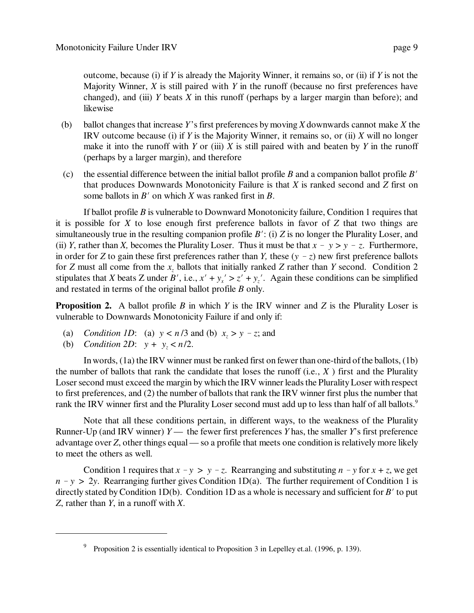outcome, because (i) if *Y* is already the Majority Winner, it remains so, or (ii) if *Y* is not the Majority Winner, *X* is still paired with *Y* in the runoff (because no first preferences have changed), and (iii) *Y* beats *X* in this runoff (perhaps by a larger margin than before); and likewise

- (b) ballot changes that increase *Y*'s first preferences by moving *X* downwards cannot make *X* the IRV outcome because (i) if *Y* is the Majority Winner, it remains so, or (ii) *X* will no longer make it into the runoff with  $Y$  or (iii)  $X$  is still paired with and beaten by  $Y$  in the runoff (perhaps by a larger margin), and therefore
- (c) the essential difference between the initial ballot profile  $B$  and a companion ballot profile  $B'$ that produces Downwards Monotonicity Failure is that *X* is ranked second and *Z* first on some ballots in  $B'$  on which  $X$  was ranked first in  $B$ .

If ballot profile *B* is vulnerable to Downward Monotonicity failure, Condition 1 requires that it is possible for *X* to lose enough first preference ballots in favor of *Z* that two things are simultaneously true in the resulting companion profile  $B'$ : (i)  $Z$  is no longer the Plurality Loser, and (ii) *Y*, rather than *X*, becomes the Plurality Loser. Thus it must be that  $x - y > y - z$ . Furthermore, in order for *Z* to gain these first preferences rather than *Y*, these  $(y - z)$  new first preference ballots for *Z* must all come from the *x<sup>z</sup>* ballots that initially ranked *Z* rather than *Y* second. Condition 2 stipulates that *X* beats *Z* under  $B'$ , i.e.,  $x' + y_x' > z' + y_z'$ . Again these conditions can be simplified and restated in terms of the original ballot profile *B* only.

**Proposition 2.** A ballot profile *B* in which *Y* is the IRV winner and *Z* is the Plurality Loser is vulnerable to Downwards Monotonicity Failure if and only if:

- (a) *Condition 1D*: (a)  $y < n/3$  and (b)  $x_z > y z$ ; and
- (b) *Condition 2D*:  $y + y_z < n/2$ .

In words, (1a) the IRV winner must be ranked first on fewer than one-third of the ballots, (1b) the number of ballots that rank the candidate that loses the runoff (i.e., *X* ) first and the Plurality Loser second must exceed the margin by which the IRV winner leads the Plurality Loser with respect to first preferences, and (2) the number of ballots that rank the IRV winner first plus the number that rank the IRV winner first and the Plurality Loser second must add up to less than half of all ballots.<sup>9</sup>

Note that all these conditions pertain, in different ways, to the weakness of the Plurality Runner-Up (and IRV winner)  $Y$ — the fewer first preferences *Y* has, the smaller *Y*'s first preference advantage over *Z*, other things equal — so a profile that meets one condition is relatively more likely to meet the others as well.

Condition 1 requires that  $x - y > y - z$ . Rearranging and substituting  $n - y$  for  $x + z$ , we get  $n - y$  > 2y. Rearranging further gives Condition 1D(a). The further requirement of Condition 1 is directly stated by Condition 1D(b). Condition 1D as a whole is necessary and sufficient for  $B'$  to put *Z*, rather than *Y*, in a runoff with *X*.

<sup>&</sup>lt;sup>9</sup> Proposition 2 is essentially identical to Proposition 3 in Lepelley et.al. (1996, p. 139).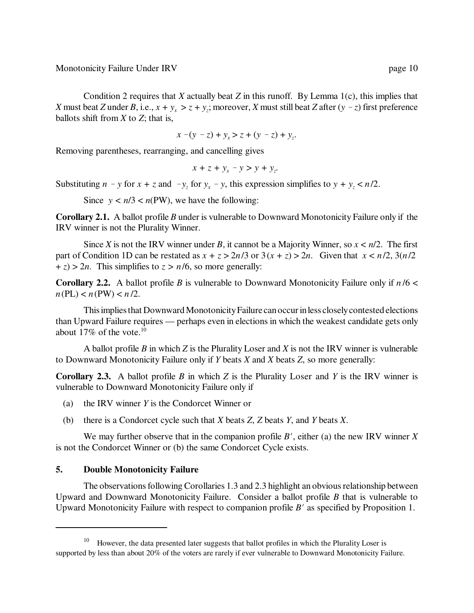Monotonicity Failure Under IRV page 10

Condition 2 requires that *X* actually beat *Z* in this runoff. By Lemma 1(c), this implies that *X* must beat *Z* under *B*, i.e.,  $x + y_x > z + y_z$ ; moreover, *X* must still beat *Z* after  $(y - z)$  first preference ballots shift from *X* to *Z*; that is,

$$
x - (y - z) + y_x > z + (y - z) + y_z.
$$

Removing parentheses, rearranging, and cancelling gives

$$
x + z + y_x - y > y + y_z.
$$

Substituting  $n - y$  for  $x + z$  and  $-y_z$  for  $y_x - y$ , this expression simplifies to  $y + y_z < n/2$ .

Since  $y < n/3 < n(PW)$ , we have the following:

**Corollary 2.1.** A ballot profile *B* under is vulnerable to Downward Monotonicity Failure only if the IRV winner is not the Plurality Winner.

Since *X* is not the IRV winner under *B*, it cannot be a Majority Winner, so  $x < n/2$ . The first part of Condition 1D can be restated as  $x + z > 2n/3$  or  $3(x + z) > 2n$ . Given that  $x < n/2$ ,  $3(n/2)$  $+ z$ ) > 2*n*. This simplifies to  $z > n/6$ , so more generally:

**Corollary 2.2.** A ballot profile *B* is vulnerable to Downward Monotonicity Failure only if  $n/6 <$  $n(PL) < n(PW) < n/2$ .

This implies that Downward Monotonicity Failure can occur in less closely contested elections than Upward Failure requires — perhaps even in elections in which the weakest candidate gets only about 17% of the vote.<sup>10</sup>

A ballot profile *B* in which *Z* is the Plurality Loser and *X* is not the IRV winner is vulnerable to Downward Monotonicity Failure only if *Y* beats *X* and *X* beats *Z*, so more generally:

**Corollary 2.3.** A ballot profile *B* in which *Z* is the Plurality Loser and *Y* is the IRV winner is vulnerable to Downward Monotonicity Failure only if

- (a) the IRV winner *Y* is the Condorcet Winner or
- (b) there is a Condorcet cycle such that *X* beats *Z*, *Z* beats *Y*, and *Y* beats *X*.

We may further observe that in the companion profile  $B'$ , either (a) the new IRV winner  $\overline{X}$ is not the Condorcet Winner or (b) the same Condorcet Cycle exists.

## **5. Double Monotonicity Failure**

The observations following Corollaries 1.3 and 2.3 highlight an obvious relationship between Upward and Downward Monotonicity Failure. Consider a ballot profile *B* that is vulnerable to Upward Monotonicity Failure with respect to companion profile  $B'$  as specified by Proposition 1.

<sup>&</sup>lt;sup>10</sup> However, the data presented later suggests that ballot profiles in which the Plurality Loser is supported by less than about 20% of the voters are rarely if ever vulnerable to Downward Monotonicity Failure.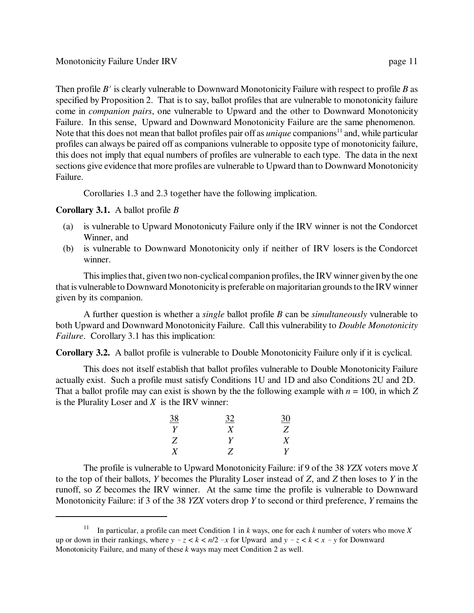Then profile *B'* is clearly vulnerable to Downward Monotonicity Failure with respect to profile *B* as specified by Proposition 2. That is to say, ballot profiles that are vulnerable to monotonicity failure come in *companion pairs*, one vulnerable to Upward and the other to Downward Monotonicity Failure. In this sense, Upward and Downward Monotonicity Failure are the same phenomenon. Note that this does not mean that ballot profiles pair off as *unique* companions<sup>11</sup> and, while particular profiles can always be paired off as companions vulnerable to opposite type of monotonicity failure, this does not imply that equal numbers of profiles are vulnerable to each type. The data in the next sections give evidence that more profiles are vulnerable to Upward than to Downward Monotonicity Failure.

Corollaries 1.3 and 2.3 together have the following implication.

# **Corollary 3.1.** A ballot profile *B*

- (a) is vulnerable to Upward Monotonicuty Failure only if the IRV winner is not the Condorcet Winner, and
- (b) is vulnerable to Downward Monotonicity only if neither of IRV losers is the Condorcet winner.

This implies that, given two non-cyclical companion profiles, the IRV winner given by the one that is vulnerable to Downward Monotonicity is preferable on majoritarian grounds to the IRV winner given by its companion.

A further question is whether a *single* ballot profile *B* can be *simultaneously* vulnerable to both Upward and Downward Monotonicity Failure. Call this vulnerability to *Double Monotonicity Failure*. Corollary 3.1 has this implication:

**Corollary 3.2.** A ballot profile is vulnerable to Double Monotonicity Failure only if it is cyclical.

This does not itself establish that ballot profiles vulnerable to Double Monotonicity Failure actually exist. Such a profile must satisfy Conditions 1U and 1D and also Conditions 2U and 2D. That a ballot profile may can exist is shown by the the following example with  $n = 100$ , in which Z is the Plurality Loser and *X* is the IRV winner:

| <u>38</u> | 32 | <u>30</u>        |
|-----------|----|------------------|
| Y         | X  | Z                |
| Z         | Y  | $\boldsymbol{X}$ |
| X         | Z  | Y                |

The profile is vulnerable to Upward Monotonicity Failure: if 9 of the 38 *YZX* voters move *X* to the top of their ballots, *Y* becomes the Plurality Loser instead of *Z*, and *Z* then loses to *Y* in the runoff, so *Z* becomes the IRV winner. At the same time the profile is vulnerable to Downward Monotonicity Failure: if 3 of the 38 *YZX* voters drop *Y* to second or third preference, *Y* remains the

<sup>&</sup>lt;sup>11</sup> In particular, a profile can meet Condition 1 in *k* ways, one for each *k* number of voters who move *X* up or down in their rankings, where  $y - z < k < n/2 - x$  for Upward and  $y - z < k < x - y$  for Downward Monotonicity Failure, and many of these *k* ways may meet Condition 2 as well.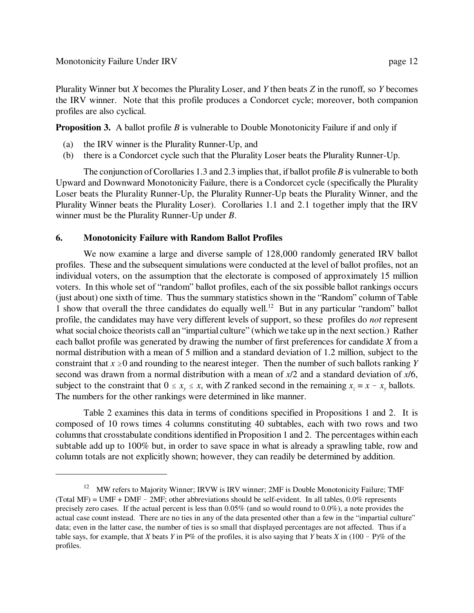Plurality Winner but *X* becomes the Plurality Loser, and *Y* then beats *Z* in the runoff, so *Y* becomes the IRV winner. Note that this profile produces a Condorcet cycle; moreover, both companion profiles are also cyclical.

**Proposition 3.** A ballot profile *B* is vulnerable to Double Monotonicity Failure if and only if

- (a) the IRV winner is the Plurality Runner-Up, and
- (b) there is a Condorcet cycle such that the Plurality Loser beats the Plurality Runner-Up.

The conjunction of Corollaries 1.3 and 2.3 implies that, if ballot profile *B* is vulnerable to both Upward and Downward Monotonicity Failure, there is a Condorcet cycle (specifically the Plurality Loser beats the Plurality Runner-Up, the Plurality Runner-Up beats the Plurality Winner, and the Plurality Winner beats the Plurality Loser). Corollaries 1.1 and 2.1 together imply that the IRV winner must be the Plurality Runner-Up under *B*.

# **6. Monotonicity Failure with Random Ballot Profiles**

We now examine a large and diverse sample of  $128,000$  randomly generated IRV ballot profiles. These and the subsequent simulations were conducted at the level of ballot profiles, not an individual voters, on the assumption that the electorate is composed of approximately 15 million voters. In this whole set of "random" ballot profiles, each of the six possible ballot rankings occurs (just about) one sixth of time. Thus the summary statistics shown in the "Random" column of Table 1 show that overall the three candidates do equally well.<sup>12</sup> But in any particular "random" ballot profile, the candidates may have very different levels of support, so these profiles do *not* represent what social choice theorists call an "impartial culture" (which we take up in the next section.) Rather each ballot profile was generated by drawing the number of first preferences for candidate *X* from a normal distribution with a mean of 5 million and a standard deviation of 1.2 million, subject to the constraint that  $x \ge 0$  and rounding to the nearest integer. Then the number of such ballots ranking *Y* second was drawn from a normal distribution with a mean of *x*/2 and a standard deviation of *x*/6, subject to the constraint that  $0 \le x_y \le x$ , with *Z* ranked second in the remaining  $x_z = x - x_y$  ballots. The numbers for the other rankings were determined in like manner.

Table 2 examines this data in terms of conditions specified in Propositions 1 and 2. It is composed of 10 rows times 4 columns constituting 40 subtables, each with two rows and two columns that crosstabulate conditions identified in Proposition 1 and 2. The percentages within each subtable add up to 100% but, in order to save space in what is already a sprawling table, row and column totals are not explicitly shown; however, they can readily be determined by addition.

<sup>&</sup>lt;sup>12</sup> MW refers to Majority Winner; IRVW is IRV winner; 2MF is Double Monotonicity Failure; TMF (Total MF) = UMF + DMF - 2MF; other abbreviations should be self-evident. In all tables,  $0.0\%$  represents precisely zero cases. If the actual percent is less than 0.05% (and so would round to 0.0%), a note provides the actual case count instead. There are no ties in any of the data presented other than a few in the "impartial culture" data; even in the latter case, the number of ties is so small that displayed percentages are not affected. Thus if a table says, for example, that *X* beats *Y* in P% of the profiles, it is also saying that *Y* beats *X* in  $(100 - P)$ % of the profiles.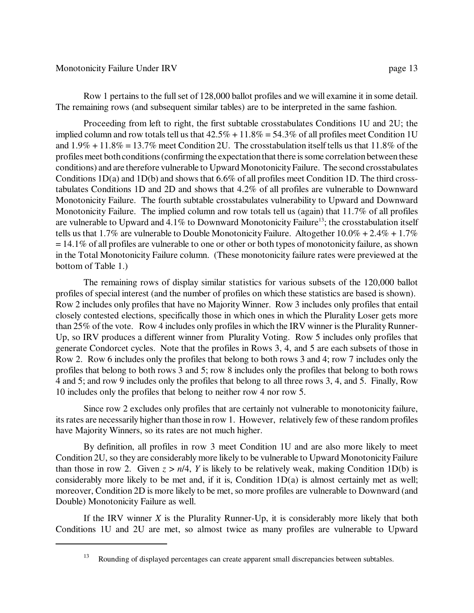#### Monotonicity Failure Under IRV page 13

Proceeding from left to right, the first subtable crosstabulates Conditions 1U and 2U; the implied column and row totals tell us that  $42.5\% + 11.8\% = 54.3\%$  of all profiles meet Condition 1U and  $1.9\% + 11.8\% = 13.7\%$  meet Condition 2U. The crosstabulation itself tells us that 11.8% of the profiles meet both conditions (confirming the expectation that there is some correlation between these conditions) and are therefore vulnerable to Upward Monotonicity Failure. The second crosstabulates Conditions 1D(a) and 1D(b) and shows that 6.6% of all profiles meet Condition 1D. The third crosstabulates Conditions 1D and 2D and shows that 4.2% of all profiles are vulnerable to Downward Monotonicity Failure. The fourth subtable crosstabulates vulnerability to Upward and Downward Monotonicity Failure. The implied column and row totals tell us (again) that 11.7% of all profiles are vulnerable to Upward and  $4.1\%$  to Downward Monotonicity Failure<sup>13</sup>; the crosstabulation itself tells us that 1.7% are vulnerable to Double Monotonicity Failure. Altogether  $10.0\% + 2.4\% + 1.7\%$  $= 14.1\%$  of all profiles are vulnerable to one or other or both types of monotonicity failure, as shown in the Total Monotonicity Failure column. (These monotonicity failure rates were previewed at the bottom of Table 1.)

The remaining rows of display similar statistics for various subsets of the 120,000 ballot profiles of special interest (and the number of profiles on which these statistics are based is shown). Row 2 includes only profiles that have no Majority Winner. Row 3 includes only profiles that entail closely contested elections, specifically those in which ones in which the Plurality Loser gets more than 25% of the vote. Row 4 includes only profiles in which the IRV winner is the Plurality Runner-Up, so IRV produces a different winner from Plurality Voting. Row 5 includes only profiles that generate Condorcet cycles. Note that the profiles in Rows 3, 4, and 5 are each subsets of those in Row 2. Row 6 includes only the profiles that belong to both rows 3 and 4; row 7 includes only the profiles that belong to both rows 3 and 5; row 8 includes only the profiles that belong to both rows 4 and 5; and row 9 includes only the profiles that belong to all three rows 3, 4, and 5. Finally, Row 10 includes only the profiles that belong to neither row 4 nor row 5.

Since row 2 excludes only profiles that are certainly not vulnerable to monotonicity failure, its rates are necessarily higher than those in row 1. However, relatively few of these random profiles have Majority Winners, so its rates are not much higher.

By definition, all profiles in row 3 meet Condition 1U and are also more likely to meet Condition 2U, so they are considerably more likely to be vulnerable to Upward Monotonicity Failure than those in row 2. Given  $z > n/4$ , *Y* is likely to be relatively weak, making Condition 1D(b) is considerably more likely to be met and, if it is, Condition 1D(a) is almost certainly met as well; moreover, Condition 2D is more likely to be met, so more profiles are vulnerable to Downward (and Double) Monotonicity Failure as well.

If the IRV winner *X* is the Plurality Runner-Up, it is considerably more likely that both Conditions 1U and 2U are met, so almost twice as many profiles are vulnerable to Upward

<sup>13</sup> Rounding of displayed percentages can create apparent small discrepancies between subtables.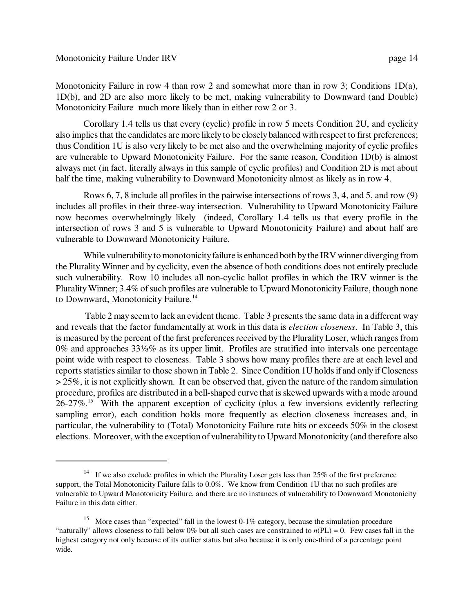Monotonicity Failure in row 4 than row 2 and somewhat more than in row 3; Conditions  $1D(a)$ , 1D(b), and 2D are also more likely to be met, making vulnerability to Downward (and Double) Monotonicity Failure much more likely than in either row 2 or 3.

Corollary 1.4 tells us that every (cyclic) profile in row 5 meets Condition 2U, and cyclicity also implies that the candidates are more likely to be closely balanced with respect to first preferences; thus Condition 1U is also very likely to be met also and the overwhelming majority of cyclic profiles are vulnerable to Upward Monotonicity Failure. For the same reason, Condition 1D(b) is almost always met (in fact, literally always in this sample of cyclic profiles) and Condition 2D is met about half the time, making vulnerability to Downward Monotonicity almost as likely as in row 4.

Rows 6, 7, 8 include all profiles in the pairwise intersections of rows 3, 4, and 5, and row (9) includes all profiles in their three-way intersection. Vulnerability to Upward Monotonicity Failure now becomes overwhelmingly likely (indeed, Corollary 1.4 tells us that every profile in the intersection of rows 3 and 5 is vulnerable to Upward Monotonicity Failure) and about half are vulnerable to Downward Monotonicity Failure.

While vulnerability to monotonicity failure is enhanced both by the IRV winner diverging from the Plurality Winner and by cyclicity, even the absence of both conditions does not entirely preclude such vulnerability. Row 10 includes all non-cyclic ballot profiles in which the IRV winner is the Plurality Winner; 3.4% of such profiles are vulnerable to Upward Monotonicity Failure, though none to Downward, Monotonicity Failure.<sup>14</sup>

 Table 2 may seem to lack an evident theme. Table 3 presents the same data in a different way and reveals that the factor fundamentally at work in this data is *election closeness*. In Table 3, this is measured by the percent of the first preferences received by the Plurality Loser, which ranges from  $0\%$  and approaches  $33\frac{1}{8}\%$  as its upper limit. Profiles are stratified into intervals one percentage point wide with respect to closeness. Table 3 shows how many profiles there are at each level and reports statistics similar to those shown in Table 2. Since Condition 1U holds if and only if Closeness  $>$  25%, it is not explicitly shown. It can be observed that, given the nature of the random simulation procedure, profiles are distributed in a bell-shaped curve that is skewed upwards with a mode around 26-27%.<sup>15</sup> With the apparent exception of cyclicity (plus a few inversions evidently reflecting sampling error), each condition holds more frequently as election closeness increases and, in particular, the vulnerability to (Total) Monotonicity Failure rate hits or exceeds 50% in the closest elections. Moreover, with the exception of vulnerability to Upward Monotonicity (and therefore also

<sup>&</sup>lt;sup>14</sup> If we also exclude profiles in which the Plurality Loser gets less than  $25\%$  of the first preference support, the Total Monotonicity Failure falls to 0.0%. We know from Condition 1U that no such profiles are vulnerable to Upward Monotonicity Failure, and there are no instances of vulnerability to Downward Monotonicity Failure in this data either.

<sup>&</sup>lt;sup>15</sup> More cases than "expected" fall in the lowest 0-1% category, because the simulation procedure "naturally" allows closeness to fall below 0% but all such cases are constrained to  $n(PL) = 0$ . Few cases fall in the highest category not only because of its outlier status but also because it is only one-third of a percentage point wide.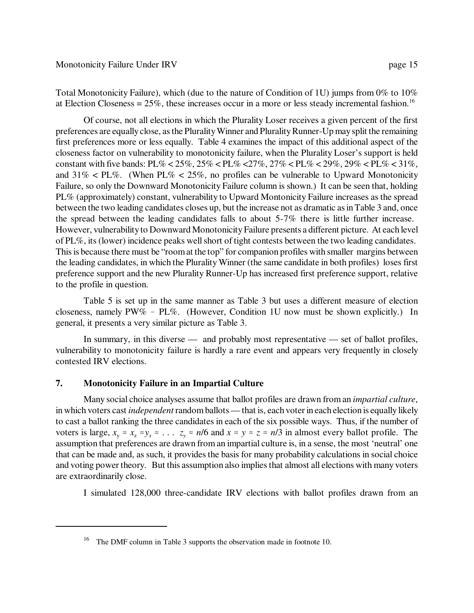Total Monotonicity Failure), which (due to the nature of Condition of 1U) jumps from 0% to 10% at Election Closeness =  $25\%$ , these increases occur in a more or less steady incremental fashion.<sup>16</sup>

Of course, not all elections in which the Plurality Loser receives a given percent of the first preferences are equally close, as the Plurality Winner and Plurality Runner-Up may split the remaining first preferences more or less equally. Table 4 examines the impact of this additional aspect of the closeness factor on vulnerability to monotonicity failure, when the Plurality Loser's support is held constant with five bands:  $PL\% < 25\%$ ,  $25\% < PL\% < 27\%$ ,  $27\% < PL\% < 29\%$ ,  $29\% < PL\% < 31\%$ , and  $31\%$  < PL%. (When PL% <  $25\%$ , no profiles can be vulnerable to Upward Monotonicity Failure, so only the Downward Monotonicity Failure column is shown.) It can be seen that, holding PL% (approximately) constant, vulnerability to Upward Montonicity Failure increases as the spread between the two leading candidates closes up, but the increase not as dramatic as in Table 3 and, once the spread between the leading candidates falls to about 5-7% there is little further increase. However, vulnerability to Downward Monotonicity Failure presents a different picture. At each level of PL%, its (lower) incidence peaks well short of tight contests between the two leading candidates. This is because there must be "room at the top" for companion profiles with smaller margins between the leading candidates, in which the Plurality Winner (the same candidate in both profiles) loses first preference support and the new Plurality Runner-Up has increased first preference support, relative to the profile in question.

Table 5 is set up in the same manner as Table 3 but uses a different measure of election closeness, namely  $PW\%$  - PL%. (However, Condition 1U now must be shown explicitly.) In general, it presents a very similar picture as Table 3.

In summary, in this diverse — and probably most representative — set of ballot profiles, vulnerability to monotonicity failure is hardly a rare event and appears very frequently in closely contested IRV elections.

## **7. Monotonicity Failure in an Impartial Culture**

Many social choice analyses assume that ballot profiles are drawn from an *impartial culture*, in which voters cast *independent* random ballots — that is, each voter in each election is equally likely to cast a ballot ranking the three candidates in each of the six possible ways. Thus, if the number of voters is large,  $x_y \approx x_z \approx y_x \approx \ldots$   $z_y \approx n/6$  and  $x \approx y \approx z \approx n/3$  in almost every ballot profile. The assumption that preferences are drawn from an impartial culture is, in a sense, the most 'neutral' one that can be made and, as such, it provides the basis for many probability calculations in social choice and voting power theory. But this assumption also implies that almost all elections with many voters are extraordinarily close.

I simulated 128,000 three-candidate IRV elections with ballot profiles drawn from an

<sup>16</sup> The DMF column in Table 3 supports the observation made in footnote 10.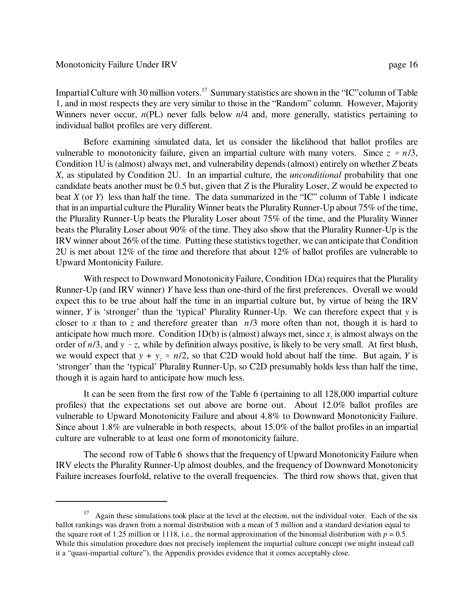Impartial Culture with 30 million voters.<sup>17</sup> Summary statistics are shown in the "IC" column of Table 1, and in most respects they are very similar to those in the "Random" column. However, Majority Winners never occur,  $n(PL)$  never falls below  $n/4$  and, more generally, statistics pertaining to individual ballot profiles are very different.

Before examining simulated data, let us consider the likelihood that ballot profiles are vulnerable to monotonicity failure, given an impartial culture with many voters. Since  $z \approx n/3$ , Condition 1U is (almost) always met, and vulnerability depends (almost) entirely on whether *Z* beats *X*, as stipulated by Condition 2U. In an impartial culture, the *unconditional* probability that one candidate beats another must be 0.5 but, given that *Z* is the Plurality Loser, *Z* would be expected to beat *X* (or *Y*) less than half the time. The data summarized in the "IC" column of Table 1 indicate that in an impartial culture the Plurality Winner beats the Plurality Runner-Up about 75% of the time, the Plurality Runner-Up beats the Plurality Loser about 75% of the time, and the Plurality Winner beats the Plurality Loser about 90% of the time. They also show that the Plurality Runner-Up is the IRV winner about 26% of the time. Putting these statistics together, we can anticipate that Condition 2U is met about 12% of the time and therefore that about 12% of ballot profiles are vulnerable to Upward Montonicity Failure.

With respect to Downward Monotonicity Failure, Condition 1D(a) requires that the Plurality Runner-Up (and IRV winner) *Y* have less than one-third of the first preferences. Overall we would expect this to be true about half the time in an impartial culture but, by virtue of being the IRV winner, *Y* is 'stronger' than the 'typical' Plurality Runner-Up. We can therefore expect that *y* is closer to *x* than to *z* and therefore greater than *n*/3 more often than not, though it is hard to anticipate how much more. Condition  $1D(b)$  is (almost) always met, since  $x<sub>z</sub>$  is almost always on the order of  $n/3$ , and  $y - z$ , while by definition always positive, is likely to be very small. At first blush, we would expect that  $y + y \approx n/2$ , so that C2D would hold about half the time. But again, *Y* is 'stronger' than the 'typical' Plurality Runner-Up, so C2D presumably holds less than half the time, though it is again hard to anticipate how much less.

It can be seen from the first row of the Table 6 (pertaining to all 128,000 impartial culture profiles) that the expectations set out above are borne out. About 12.0% ballot profiles are vulnerable to Upward Monotonicity Failure and about 4.8% to Downward Monotonicity Failure. Since about 1.8% are vulnerable in both respects, about 15.0% of the ballot profiles in an impartial culture are vulnerable to at least one form of monotonicity failure.

The second row of Table 6 shows that the frequency of Upward Monotonicity Failure when IRV elects the Plurality Runner-Up almost doubles, and the frequency of Downward Monotonicity Failure increases fourfold, relative to the overall frequencies. The third row shows that, given that

 $17$  Again these simulations took place at the level at the election, not the individual voter. Each of the six ballot rankings was drawn from a normal distribution with a mean of 5 million and a standard deviation equal to the square root of 1.25 million or 1118, i.e., the normal approximation of the binomial distribution with  $p = 0.5$ . While this simulation procedure does not precisely implement the impartial culture concept (we might instead call it a "quasi-impartial culture"), the Appendix provides evidence that it comes acceptably close.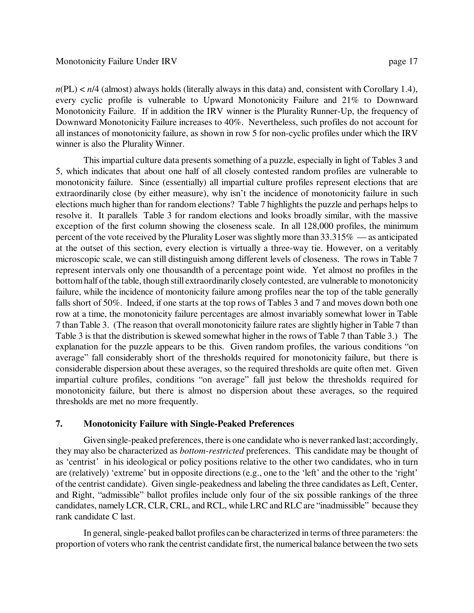$n(PL) < n/4$  (almost) always holds (literally always in this data) and, consistent with Corollary 1.4), every cyclic profile is vulnerable to Upward Monotonicity Failure and 21% to Downward Monotonicity Failure. If in addition the IRV winner is the Plurality Runner-Up, the frequency of Downward Monotonicity Failure increases to 40%. Nevertheless, such profiles do not account for all instances of monotonicity failure, as shown in row 5 for non-cyclic profiles under which the IRV winner is also the Plurality Winner.

This impartial culture data presents something of a puzzle, especially in light of Tables 3 and 5, which indicates that about one half of all closely contested random profiles are vulnerable to monotonicity failure. Since (essentially) all impartial culture profiles represent elections that are extraordinarily close (by either measure), why isn't the incidence of monotonicity failure in such elections much higher than for random elections? Table 7 highlights the puzzle and perhaps helps to resolve it. It parallels Table 3 for random elections and looks broadly similar, with the massive exception of the first column showing the closeness scale. In all 128,000 profiles, the minimum percent of the vote received by the Plurality Loser was slightly more than 33.315% — as anticipated at the outset of this section, every election is virtually a three-way tie. However, on a veritably microscopic scale, we can still distinguish among different levels of closeness. The rows in Table 7 represent intervals only one thousandth of a percentage point wide. Yet almost no profiles in the bottom half of the table, though still extraordinarily closely contested, are vulnerable to monotonicity failure, while the incidence of montonicity failure among profiles near the top of the table generally falls short of 50%. Indeed, if one starts at the top rows of Tables 3 and 7 and moves down both one row at a time, the monotonicity failure percentages are almost invariably somewhat lower in Table 7 than Table 3. (The reason that overall monotonicity failure rates are slightly higher in Table 7 than Table 3 is that the distribution is skewed somewhat higher in the rows of Table 7 than Table 3.) The explanation for the puzzle appears to be this. Given random profiles, the various conditions "on average" fall considerably short of the thresholds required for monotonicity failure, but there is considerable dispersion about these averages, so the required thresholds are quite often met. Given impartial culture profiles, conditions "on average" fall just below the thresholds required for monotonicity failure, but there is almost no dispersion about these averages, so the required thresholds are met no more frequently.

# **7. Monotonicity Failure with Single-Peaked Preferences**

Given single-peaked preferences, there is one candidate who is never ranked last; accordingly, they may also be characterized as *bottom-restricted* preferences. This candidate may be thought of as 'centrist' in his ideological or policy positions relative to the other two candidates, who in turn are (relatively) 'extreme' but in opposite directions (e.g., one to the 'left' and the other to the 'right' of the centrist candidate). Given single-peakedness and labeling the three candidates as Left, Center, and Right, "admissible" ballot profiles include only four of the six possible rankings of the three candidates, namely LCR, CLR, CRL, and RCL, while LRC and RLC are "inadmissible" because they rank candidate C last.

In general, single-peaked ballot profiles can be characterized in terms of three parameters: the proportion of voters who rank the centrist candidate first, the numerical balance between the two sets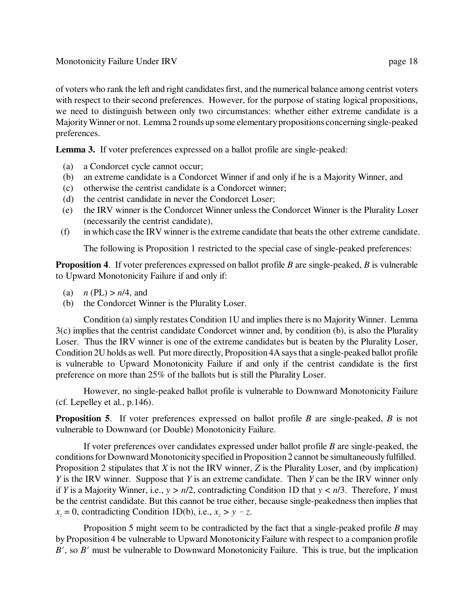of voters who rank the left and right candidates first, and the numerical balance among centrist voters with respect to their second preferences. However, for the purpose of stating logical propositions, we need to distinguish between only two circumstances: whether either extreme candidate is a Majority Winner or not. Lemma 2 rounds up some elementary propositions concerning single-peaked preferences.

Lemma 3. If voter preferences expressed on a ballot profile are single-peaked:

- (a) a Condorcet cycle cannot occur;
- (b) an extreme candidate is a Condorcet Winner if and only if he is a Majority Winner, and
- (c) otherwise the centrist candidate is a Condorcet winner;
- (d) the centrist candidate in never the Condorcet Loser;
- (e) the IRV winner is the Condorcet Winner unless the Condorcet Winner is the Plurality Loser (necessarily the centrist candidate),
- (f) in which case the IRV winner is the extreme candidate that beats the other extreme candidate.

The following is Proposition 1 restricted to the special case of single-peaked preferences:

**Proposition 4**. If voter preferences expressed on ballot profile *B* are single-peaked, *B* is vulnerable to Upward Monotonicity Failure if and only if:

- (a)  $n (PL) > n/4$ , and
- (b) the Condorcet Winner is the Plurality Loser.

Condition (a) simply restates Condition 1U and implies there is no Majority Winner. Lemma 3(c) implies that the centrist candidate Condorcet winner and, by condition (b), is also the Plurality Loser. Thus the IRV winner is one of the extreme candidates but is beaten by the Plurality Loser, Condition 2U holds as well. Put more directly, Proposition 4A says that a single-peaked ballot profile is vulnerable to Upward Monotonicity Failure if and only if the centrist candidate is the first preference on more than 25% of the ballots but is still the Plurality Loser.

However, no single-peaked ballot profile is vulnerable to Downward Monotonicity Failure (cf. Lepelley et al., p.146).

**Proposition 5**. If voter preferences expressed on ballot profile *B* are single-peaked, *B* is not vulnerable to Downward (or Double) Monotonicity Failure.

If voter preferences over candidates expressed under ballot profile *B* are single-peaked, the conditions for Downward Monotonicity specified in Proposition 2 cannot be simultaneously fulfilled. Proposition 2 stipulates that *X* is not the IRV winner, *Z* is the Plurality Loser, and (by implication) *Y* is the IRV winner. Suppose that *Y* is an extreme candidate. Then *Y* can be the IRV winner only if *Y* is a Majority Winner, i.e., *y > n*/2, contradicting Condition 1D that *y < n*/3. Therefore, *Y* must be the centrist candidate. But this cannot be true either, because single-peakedness then implies that  $x_z = 0$ , contradicting Condition 1D(b), i.e.,  $x_z > y - z$ .

Proposition 5 might seem to be contradicted by the fact that a single-peaked profile *B* may by Proposition 4 be vulnerable to Upward Monotonicity Failure with respect to a companion profile  $B'$ , so  $B'$  must be vulnerable to Downward Monotonicity Failure. This is true, but the implication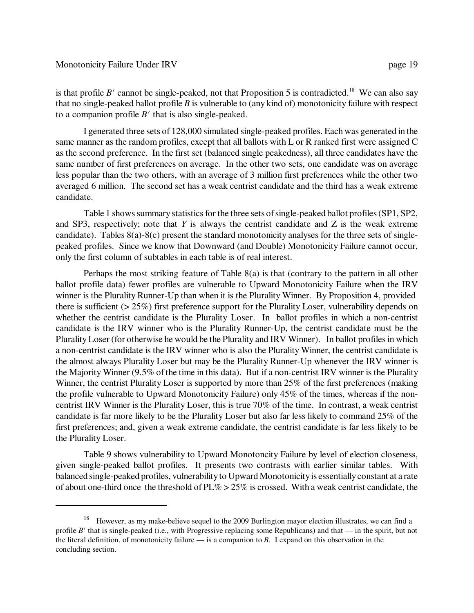#### Monotonicity Failure Under IRV page 19

is that profile *B'* cannot be single-peaked, not that Proposition 5 is contradicted.<sup>18</sup> We can also say that no single-peaked ballot profile *B* is vulnerable to (any kind of) monotonicity failure with respect to a companion profile  $B'$  that is also single-peaked.

I generated three sets of 128,000 simulated single-peaked profiles. Each was generated in the same manner as the random profiles, except that all ballots with L or R ranked first were assigned C as the second preference. In the first set (balanced single peakedness), all three candidates have the same number of first preferences on average. In the other two sets, one candidate was on average less popular than the two others, with an average of 3 million first preferences while the other two averaged 6 million. The second set has a weak centrist candidate and the third has a weak extreme candidate.

Table 1 shows summary statistics for the three sets of single-peaked ballot profiles (SP1, SP2, and SP3, respectively; note that *Y* is always the centrist candidate and Z is the weak extreme candidate). Tables 8(a)-8(c) present the standard monotonicity analyses for the three sets of singlepeaked profiles. Since we know that Downward (and Double) Monotonicity Failure cannot occur, only the first column of subtables in each table is of real interest.

Perhaps the most striking feature of Table 8(a) is that (contrary to the pattern in all other ballot profile data) fewer profiles are vulnerable to Upward Monotonicity Failure when the IRV winner is the Plurality Runner-Up than when it is the Plurality Winner. By Proposition 4, provided there is sufficient (> 25%) first preference support for the Plurality Loser, vulnerability depends on whether the centrist candidate is the Plurality Loser. In ballot profiles in which a non-centrist candidate is the IRV winner who is the Plurality Runner-Up, the centrist candidate must be the Plurality Loser (for otherwise he would be the Plurality and IRV Winner). In ballot profiles in which a non-centrist candidate is the IRV winner who is also the Plurality Winner, the centrist candidate is the almost always Plurality Loser but may be the Plurality Runner-Up whenever the IRV winner is the Majority Winner (9.5% of the time in this data). But if a non-centrist IRV winner is the Plurality Winner, the centrist Plurality Loser is supported by more than 25% of the first preferences (making the profile vulnerable to Upward Monotonicity Failure) only 45% of the times, whereas if the noncentrist IRV Winner is the Plurality Loser, this is true 70% of the time. In contrast, a weak centrist candidate is far more likely to be the Plurality Loser but also far less likely to command 25% of the first preferences; and, given a weak extreme candidate, the centrist candidate is far less likely to be the Plurality Loser.

Table 9 shows vulnerability to Upward Monotoncity Failure by level of election closeness, given single-peaked ballot profiles. It presents two contrasts with earlier similar tables. With balanced single-peaked profiles, vulnerability to Upward Monotonicity is essentially constant at a rate of about one-third once the threshold of  $PL\% > 25\%$  is crossed. With a weak centrist candidate, the

<sup>&</sup>lt;sup>18</sup> However, as my make-believe sequel to the 2009 Burlington mayor election illustrates, we can find a profile  $B'$  that is single-peaked (i.e., with Progressive replacing some Republicans) and that — in the spirit, but not the literal definition, of monotonicity failure — is a companion to *B*. I expand on this observation in the concluding section.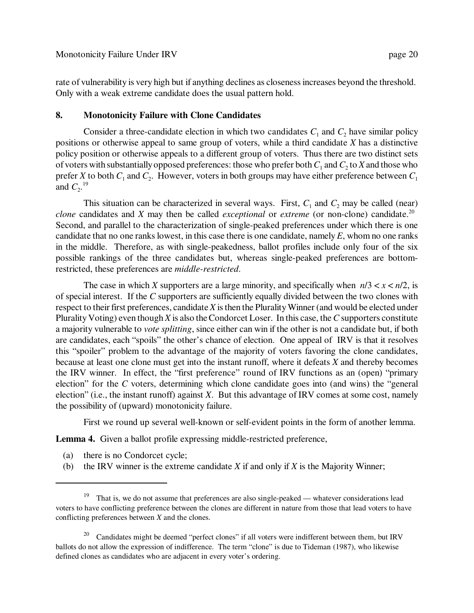rate of vulnerability is very high but if anything declines as closeness increases beyond the threshold. Only with a weak extreme candidate does the usual pattern hold.

# **8. Monotonicity Failure with Clone Candidates**

Consider a three-candidate election in which two candidates  $C_1$  and  $C_2$  have similar policy positions or otherwise appeal to same group of voters, while a third candidate *X* has a distinctive policy position or otherwise appeals to a different group of voters. Thus there are two distinct sets of voters with substantially opposed preferences: those who prefer both  $C_1$  and  $C_2$  to  $X$  and those who prefer *X* to both  $C_1$  and  $C_2$ . However, voters in both groups may have either preference between  $C_1$ and  $C_2$ <sup>19</sup>

This situation can be characterized in several ways. First,  $C_1$  and  $C_2$  may be called (near) *clone* candidates and *X* may then be called *exceptional* or *extreme* (or non-clone) candidate.<sup>20</sup> Second, and parallel to the characterization of single-peaked preferences under which there is one candidate that no one ranks lowest, in this case there is one candidate, namely *E*, whom no one ranks in the middle. Therefore, as with single-peakedness, ballot profiles include only four of the six possible rankings of the three candidates but, whereas single-peaked preferences are bottomrestricted, these preferences are *middle-restricted*.

The case in which *X* supporters are a large minority, and specifically when  $n/3 < x < n/2$ , is of special interest. If the *C* supporters are sufficiently equally divided between the two clones with respect to their first preferences, candidate *X* is then the Plurality Winner (and would be elected under Plurality Voting) even though *X* is also the Condorcet Loser. In this case, the *C* supporters constitute a majority vulnerable to *vote splitting*, since either can win if the other is not a candidate but, if both are candidates, each "spoils" the other's chance of election. One appeal of IRV is that it resolves this "spoiler" problem to the advantage of the majority of voters favoring the clone candidates, because at least one clone must get into the instant runoff, where it defeats *X* and thereby becomes the IRV winner. In effect, the "first preference" round of IRV functions as an (open) "primary election" for the *C* voters, determining which clone candidate goes into (and wins) the "general election" (i.e., the instant runoff) against *X*. But this advantage of IRV comes at some cost, namely the possibility of (upward) monotonicity failure.

First we round up several well-known or self-evident points in the form of another lemma.

Lemma 4. Given a ballot profile expressing middle-restricted preference,

- (a) there is no Condorcet cycle;
- (b) the IRV winner is the extreme candidate *X* if and only if *X* is the Majority Winner;

<sup>19</sup> That is, we do not assume that preferences are also single-peaked — whatever considerations lead voters to have conflicting preference between the clones are different in nature from those that lead voters to have conflicting preferences between *X* and the clones.

 $20$  Candidates might be deemed "perfect clones" if all voters were indifferent between them, but IRV ballots do not allow the expression of indifference. The term "clone" is due to Tideman (1987), who likewise defined clones as candidates who are adjacent in every voter's ordering.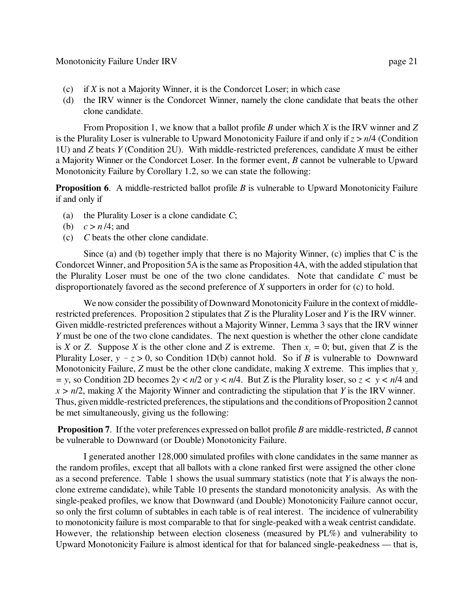- (c) if *X* is not a Majority Winner, it is the Condorcet Loser; in which case
- (d) the IRV winner is the Condorcet Winner, namely the clone candidate that beats the other clone candidate.

From Proposition 1, we know that a ballot profile *B* under which *X* is the IRV winner and *Z* is the Plurality Loser is vulnerable to Upward Monotonicity Failure if and only if *z* > *n*/4 (Condition 1U) and *Z* beats *Y* (Condition 2U). With middle-restricted preferences, candidate *X* must be either a Majority Winner or the Condorcet Loser. In the former event, *B* cannot be vulnerable to Upward Monotonicity Failure by Corollary 1.2, so we can state the following:

**Proposition 6.** A middle-restricted ballot profile *B* is vulnerable to Upward Monotonicity Failure if and only if

- (a) the Plurality Loser is a clone candidate *C*;
- (b)  $c > n/4$ ; and
- (c) *C* beats the other clone candidate.

Since (a) and (b) together imply that there is no Majority Winner, (c) implies that C is the Condorcet Winner, and Proposition 5A is the same as Proposition 4A, with the added stipulation that the Plurality Loser must be one of the two clone candidates. Note that candidate *C* must be disproportionately favored as the second preference of *X* supporters in order for (c) to hold.

We now consider the possibility of Downward Monotonicity Failure in the context of middlerestricted preferences. Proposition 2 stipulates that *Z* is the Plurality Loser and *Y* is the IRV winner. Given middle-restricted preferences without a Majority Winner, Lemma 3 says that the IRV winner *Y* must be one of the two clone candidates. The next question is whether the other clone candidate is *X* or *Z*. Suppose *X* is the other clone and *Z* is extreme. Then  $x<sub>z</sub> = 0$ ; but, given that *Z* is the Plurality Loser,  $y - z > 0$ , so Condition 1D(b) cannot hold. So if *B* is vulnerable to Downward Monotonicity Failure, *Z* must be the other clone candidate, making *X* extreme. This implies that *y<sup>z</sup> = y*, so Condition 2D becomes 2*y* < *n*/2 or *y* < *n*/4. But Z is the Plurality loser, so *z < y < n*/4 and *x > n*/2, making *X* the Majority Winner and contradicting the stipulation that *Y* is the IRV winner. Thus, given middle-restricted preferences, the stipulations and the conditions of Proposition 2 cannot be met simultaneously, giving us the following:

**Proposition 7**. If the voter preferences expressed on ballot profile *B* are middle-restricted, *B* cannot be vulnerable to Downward (or Double) Monotonicity Failure.

I generated another 128,000 simulated profiles with clone candidates in the same manner as the random profiles, except that all ballots with a clone ranked first were assigned the other clone as a second preference. Table 1 shows the usual summary statistics (note that *Y* is always the nonclone extreme candidate), while Table 10 presents the standard monotonicity analysis. As with the single-peaked profiles, we know that Downward (and Double) Monotonicity Failure cannot occur, so only the first column of subtables in each table is of real interest. The incidence of vulnerability to monotonicity failure is most comparable to that for single-peaked with a weak centrist candidate. However, the relationship between election closeness (measured by PL%) and vulnerability to Upward Monotonicity Failure is almost identical for that for balanced single-peakedness — that is,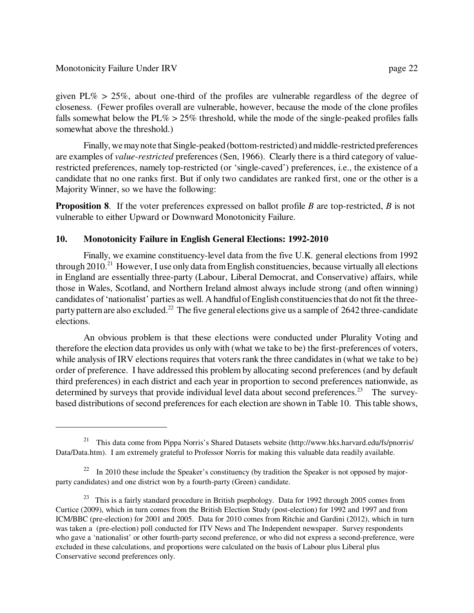given PL%  $> 25\%$ , about one-third of the profiles are vulnerable regardless of the degree of closeness. (Fewer profiles overall are vulnerable, however, because the mode of the clone profiles falls somewhat below the  $PL\% > 25\%$  threshold, while the mode of the single-peaked profiles falls somewhat above the threshold.)

Finally, we may note that Single-peaked (bottom-restricted) and middle-restricted preferences are examples of *value-restricted* preferences (Sen, 1966). Clearly there is a third category of valuerestricted preferences, namely top-restricted (or 'single-caved') preferences, i.e., the existence of a candidate that no one ranks first. But if only two candidates are ranked first, one or the other is a Majority Winner, so we have the following:

**Proposition 8**. If the voter preferences expressed on ballot profile *B* are top-restricted, *B* is not vulnerable to either Upward or Downward Monotonicity Failure.

# **10. Monotonicity Failure in English General Elections: 1992-2010**

Finally, we examine constituency-level data from the five U.K. general elections from 1992 through  $2010<sup>21</sup>$  However, I use only data from English constituencies, because virtually all elections in England are essentially three-party (Labour, Liberal Democrat, and Conservative) affairs, while those in Wales, Scotland, and Northern Ireland almost always include strong (and often winning) candidates of 'nationalist' parties as well. A handful of English constituencies that do not fit the threeparty pattern are also excluded.<sup>22</sup> The five general elections give us a sample of 2642 three-candidate elections.

An obvious problem is that these elections were conducted under Plurality Voting and therefore the election data provides us only with (what we take to be) the first-preferences of voters, while analysis of IRV elections requires that voters rank the three candidates in (what we take to be) order of preference. I have addressed this problem by allocating second preferences (and by default third preferences) in each district and each year in proportion to second preferences nationwide, as determined by surveys that provide individual level data about second preferences.<sup>23</sup> The surveybased distributions of second preferences for each election are shown in Table 10. This table shows,

<sup>&</sup>lt;sup>21</sup> This data come from Pippa Norris's Shared Datasets website (http://www.hks.harvard.edu/fs/pnorris/ Data/Data.htm). I am extremely grateful to Professor Norris for making this valuable data readily available.

 $22 \text{ In } 2010$  these include the Speaker's constituency (by tradition the Speaker is not opposed by majorparty candidates) and one district won by a fourth-party (Green) candidate.

<sup>&</sup>lt;sup>23</sup> This is a fairly standard procedure in British psephology. Data for 1992 through 2005 comes from Curtice (2009), which in turn comes from the British Election Study (post-election) for 1992 and 1997 and from ICM/BBC (pre-election) for 2001 and 2005. Data for 2010 comes from Ritchie and Gardini (2012), which in turn was taken a (pre-election) poll conducted for ITV News and The Independent newspaper. Survey respondents who gave a 'nationalist' or other fourth-party second preference, or who did not express a second-preference, were excluded in these calculations, and proportions were calculated on the basis of Labour plus Liberal plus Conservative second preferences only.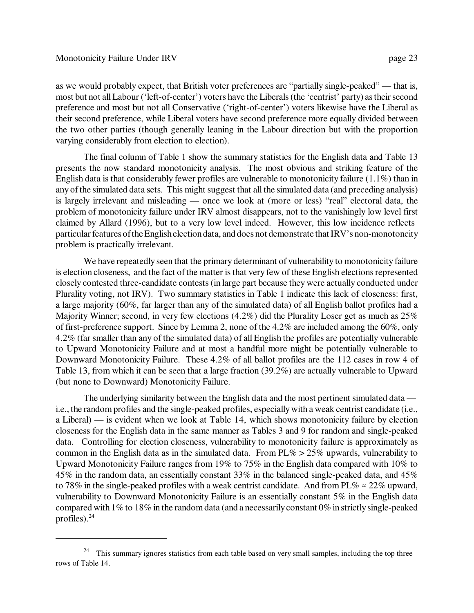as we would probably expect, that British voter preferences are "partially single-peaked" — that is, most but not all Labour ('left-of-center') voters have the Liberals (the 'centrist' party) as their second preference and most but not all Conservative ('right-of-center') voters likewise have the Liberal as their second preference, while Liberal voters have second preference more equally divided between the two other parties (though generally leaning in the Labour direction but with the proportion varying considerably from election to election).

The final column of Table 1 show the summary statistics for the English data and Table 13 presents the now standard monotonicity analysis. The most obvious and striking feature of the English data is that considerably fewer profiles are vulnerable to monotonicity failure (1.1%) than in any of the simulated data sets. This might suggest that all the simulated data (and preceding analysis) is largely irrelevant and misleading — once we look at (more or less) "real" electoral data, the problem of monotonicity failure under IRV almost disappears, not to the vanishingly low level first claimed by Allard (1996), but to a very low level indeed. However, this low incidence reflects particular features of the English election data, and does not demonstrate that IRV's non-monotoncity problem is practically irrelevant.

We have repeatedly seen that the primary determinant of vulnerability to monotonicity failure is election closeness, and the fact of the matter is that very few of these English elections represented closely contested three-candidate contests (in large part because they were actually conducted under Plurality voting, not IRV). Two summary statistics in Table 1 indicate this lack of closeness: first, a large majority (60%, far larger than any of the simulated data) of all English ballot profiles had a Majority Winner; second, in very few elections (4.2%) did the Plurality Loser get as much as 25% of first-preference support. Since by Lemma 2, none of the 4.2% are included among the 60%, only 4.2% (far smaller than any of the simulated data) of all English the profiles are potentially vulnerable to Upward Monotonicity Failure and at most a handful more might be potentially vulnerable to Downward Monotonicity Failure. These 4.2% of all ballot profiles are the 112 cases in row 4 of Table 13, from which it can be seen that a large fraction (39.2%) are actually vulnerable to Upward (but none to Downward) Monotonicity Failure.

The underlying similarity between the English data and the most pertinent simulated data i.e., the random profiles and the single-peaked profiles, especially with a weak centrist candidate (i.e., a Liberal) — is evident when we look at Table 14, which shows monotonicity failure by election closeness for the English data in the same manner as Tables 3 and 9 for random and single-peaked data. Controlling for election closeness, vulnerability to monotonicity failure is approximately as common in the English data as in the simulated data. From  $PL\% > 25\%$  upwards, vulnerability to Upward Monotonicity Failure ranges from 19% to 75% in the English data compared with 10% to 45% in the random data, an essentially constant 33% in the balanced single-peaked data, and 45% to 78% in the single-peaked profiles with a weak centrist candidate. And from PL%  $\approx$  22% upward, vulnerability to Downward Monotonicity Failure is an essentially constant 5% in the English data compared with 1% to 18% in the random data (and a necessarily constant 0% in strictly single-peaked profiles). $^{24}$ 

<sup>&</sup>lt;sup>24</sup> This summary ignores statistics from each table based on very small samples, including the top three rows of Table 14.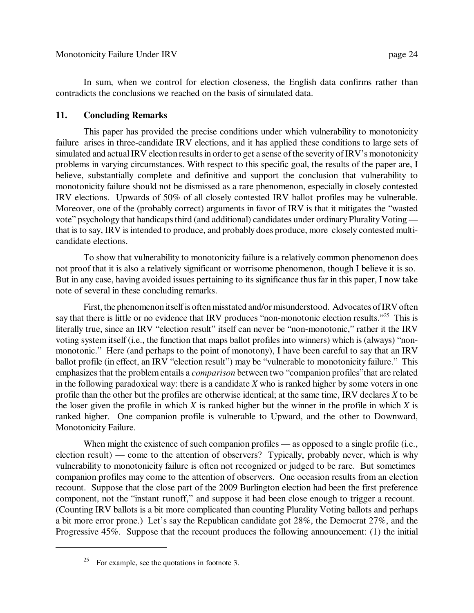In sum, when we control for election closeness, the English data confirms rather than contradicts the conclusions we reached on the basis of simulated data.

## **11. Concluding Remarks**

This paper has provided the precise conditions under which vulnerability to monotonicity failure arises in three-candidate IRV elections, and it has applied these conditions to large sets of simulated and actual IRV election results in order to get a sense of the severity of IRV's monotonicity problems in varying circumstances. With respect to this specific goal, the results of the paper are, I believe, substantially complete and definitive and support the conclusion that vulnerability to monotonicity failure should not be dismissed as a rare phenomenon, especially in closely contested IRV elections. Upwards of 50% of all closely contested IRV ballot profiles may be vulnerable. Moreover, one of the (probably correct) arguments in favor of IRV is that it mitigates the "wasted vote" psychology that handicaps third (and additional) candidates under ordinary Plurality Voting that is to say, IRV is intended to produce, and probably does produce, more closely contested multicandidate elections.

To show that vulnerability to monotonicity failure is a relatively common phenomenon does not proof that it is also a relatively significant or worrisome phenomenon, though I believe it is so. But in any case, having avoided issues pertaining to its significance thus far in this paper, I now take note of several in these concluding remarks.

First, the phenomenon itself is often misstated and/or misunderstood. Advocates of IRV often say that there is little or no evidence that IRV produces "non-monotonic election results."<sup>25</sup> This is literally true, since an IRV "election result" itself can never be "non-monotonic," rather it the IRV voting system itself (i.e., the function that maps ballot profiles into winners) which is (always) "nonmonotonic." Here (and perhaps to the point of monotony), I have been careful to say that an IRV ballot profile (in effect, an IRV "election result") may be "vulnerable to monotonicity failure." This emphasizes that the problem entails a *comparison* between two "companion profiles"that are related in the following paradoxical way: there is a candidate *X* who is ranked higher by some voters in one profile than the other but the profiles are otherwise identical; at the same time, IRV declares *X* to be the loser given the profile in which *X* is ranked higher but the winner in the profile in which *X* is ranked higher. One companion profile is vulnerable to Upward, and the other to Downward, Monotonicity Failure.

When might the existence of such companion profiles — as opposed to a single profile (i.e., election result) — come to the attention of observers? Typically, probably never, which is why vulnerability to monotonicity failure is often not recognized or judged to be rare. But sometimes companion profiles may come to the attention of observers. One occasion results from an election recount. Suppose that the close part of the 2009 Burlington election had been the first preference component, not the "instant runoff," and suppose it had been close enough to trigger a recount. (Counting IRV ballots is a bit more complicated than counting Plurality Voting ballots and perhaps a bit more error prone.) Let's say the Republican candidate got 28%, the Democrat 27%, and the Progressive 45%. Suppose that the recount produces the following announcement: (1) the initial

<sup>&</sup>lt;sup>25</sup> For example, see the quotations in footnote 3.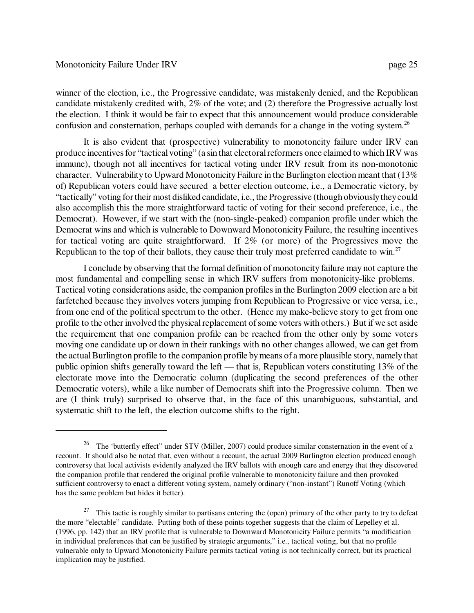winner of the election, i.e., the Progressive candidate, was mistakenly denied, and the Republican candidate mistakenly credited with, 2% of the vote; and (2) therefore the Progressive actually lost the election. I think it would be fair to expect that this announcement would produce considerable confusion and consternation, perhaps coupled with demands for a change in the voting system.<sup>26</sup>

It is also evident that (prospective) vulnerability to monotoncity failure under IRV can produce incentives for "tactical voting" (a sin that electoral reformers once claimed to which IRV was immune), though not all incentives for tactical voting under IRV result from its non-monotonic character. Vulnerability to Upward Monotonicity Failure in the Burlington election meant that (13% of) Republican voters could have secured a better election outcome, i.e., a Democratic victory, by "tactically" voting for their most disliked candidate, i.e., the Progressive (though obviously they could also accomplish this the more straightforward tactic of voting for their second preference, i.e., the Democrat). However, if we start with the (non-single-peaked) companion profile under which the Democrat wins and which is vulnerable to Downward Monotonicity Failure, the resulting incentives for tactical voting are quite straightforward. If 2% (or more) of the Progressives move the Republican to the top of their ballots, they cause their truly most preferred candidate to win.<sup>27</sup>

I conclude by observing that the formal definition of monotoncity failure may not capture the most fundamental and compelling sense in which IRV suffers from monotonicity-like problems. Tactical voting considerations aside, the companion profiles in the Burlington 2009 election are a bit farfetched because they involves voters jumping from Republican to Progressive or vice versa, i.e., from one end of the political spectrum to the other. (Hence my make-believe story to get from one profile to the other involved the physical replacement of some voters with others.) But if we set aside the requirement that one companion profile can be reached from the other only by some voters moving one candidate up or down in their rankings with no other changes allowed, we can get from the actual Burlington profile to the companion profile by means of a more plausible story, namely that public opinion shifts generally toward the left — that is, Republican voters constituting 13% of the electorate move into the Democratic column (duplicating the second preferences of the other Democratic voters), while a like number of Democrats shift into the Progressive column. Then we are (I think truly) surprised to observe that, in the face of this unambiguous, substantial, and systematic shift to the left, the election outcome shifts to the right.

<sup>26</sup> The 'butterfly effect" under STV (Miller, 2007) could produce similar consternation in the event of a recount. It should also be noted that, even without a recount, the actual 2009 Burlington election produced enough controversy that local activists evidently analyzed the IRV ballots with enough care and energy that they discovered the companion profile that rendered the original profile vulnerable to monotonicity failure and then provoked sufficient controversy to enact a different voting system, namely ordinary ("non-instant") Runoff Voting (which has the same problem but hides it better).

<sup>&</sup>lt;sup>27</sup> This tactic is roughly similar to partisans entering the (open) primary of the other party to try to defeat the more "electable" candidate. Putting both of these points together suggests that the claim of Lepelley et al. (1996, pp. 142) that an IRV profile that is vulnerable to Downward Monotonicity Failure permits "a modification in individual preferences that can be justified by strategic arguments," i.e., tactical voting, but that no profile vulnerable only to Upward Monotonicity Failure permits tactical voting is not technically correct, but its practical implication may be justified.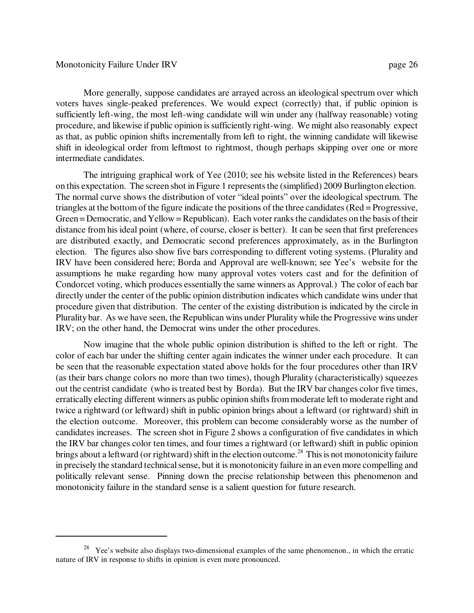More generally, suppose candidates are arrayed across an ideological spectrum over which voters haves single-peaked preferences. We would expect (correctly) that, if public opinion is sufficiently left-wing, the most left-wing candidate will win under any (halfway reasonable) voting procedure, and likewise if public opinion is sufficiently right-wing. We might also reasonably expect as that, as public opinion shifts incrementally from left to right, the winning candidate will likewise shift in ideological order from leftmost to rightmost, though perhaps skipping over one or more intermediate candidates.

The intriguing graphical work of Yee (2010; see his website listed in the References) bears on this expectation. The screen shot in Figure 1 represents the (simplified) 2009 Burlington election. The normal curve shows the distribution of voter "ideal points" over the ideological spectrum. The triangles at the bottom of the figure indicate the positions of the three candidates (Red = Progressive, Green = Democratic, and Yellow = Republican). Each voter ranks the candidates on the basis of their distance from his ideal point (where, of course, closer is better). It can be seen that first preferences are distributed exactly, and Democratic second preferences approximately, as in the Burlington election. The figures also show five bars corresponding to different voting systems. (Plurality and IRV have been considered here; Borda and Approval are well-known; see Yee's website for the assumptions he make regarding how many approval votes voters cast and for the definition of Condorcet voting, which produces essentially the same winners as Approval.) The color of each bar directly under the center of the public opinion distribution indicates which candidate wins under that procedure given that distribution. The center of the existing distribution is indicated by the circle in Plurality bar. As we have seen, the Republican wins under Plurality while the Progressive wins under IRV; on the other hand, the Democrat wins under the other procedures.

Now imagine that the whole public opinion distribution is shifted to the left or right. The color of each bar under the shifting center again indicates the winner under each procedure. It can be seen that the reasonable expectation stated above holds for the four procedures other than IRV (as their bars change colors no more than two times), though Plurality (characteristically) squeezes out the centrist candidate (who is treated best by Borda). But the IRV bar changes color five times, erratically electing different winners as public opinion shifts from moderate left to moderate right and twice a rightward (or leftward) shift in public opinion brings about a leftward (or rightward) shift in the election outcome. Moreover, this problem can become considerably worse as the number of candidates increases. The screen shot in Figure 2 shows a configuration of five candidates in which the IRV bar changes color ten times, and four times a rightward (or leftward) shift in public opinion brings about a leftward (or rightward) shift in the election outcome.<sup>28</sup> This is not monotonicity failure in precisely the standard technical sense, but it is monotonicity failure in an even more compelling and politically relevant sense. Pinning down the precise relationship between this phenomenon and monotonicity failure in the standard sense is a salient question for future research.

<sup>&</sup>lt;sup>28</sup> Yee's website also displays two-dimensional examples of the same phenomenon., in which the erratic nature of IRV in response to shifts in opinion is even more pronounced.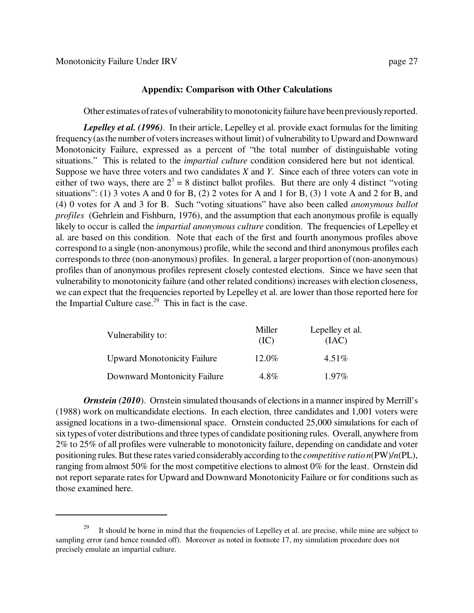#### **Appendix: Comparison with Other Calculations**

Other estimates of rates of vulnerability to monotonicity failure have been previously reported.

*Lepelley et al. (1996)*. In their article, Lepelley et al. provide exact formulas for the limiting frequency (as the number of voters increases without limit) of vulnerability to Upward and Downward Monotonicity Failure, expressed as a percent of "the total number of distinguishable voting situations." This is related to the *impartial culture* condition considered here but not identical. Suppose we have three voters and two candidates *X* and *Y*. Since each of three voters can vote in either of two ways, there are  $2^3 = 8$  distinct ballot profiles. But there are only 4 distinct "voting situations": (1) 3 votes A and 0 for B, (2) 2 votes for A and 1 for B, (3) 1 vote A and 2 for B, and (4) 0 votes for A and 3 for B. Such "voting situations" have also been called *anonymous ballot profiles* (Gehrlein and Fishburn, 1976), and the assumption that each anonymous profile is equally likely to occur is called the *impartial anonymous culture* condition. The frequencies of Lepelley et al. are based on this condition. Note that each of the first and fourth anonymous profiles above correspond to a single (non-anonymous) profile, while the second and third anonymous profiles each corresponds to three (non-anonymous) profiles. In general, a larger proportion of (non-anonymous) profiles than of anonymous profiles represent closely contested elections. Since we have seen that vulnerability to monotonicity failure (and other related conditions) increases with election closeness, we can expect that the frequencies reported by Lepelley et al. are lower than those reported here for the Impartial Culture case.<sup>29</sup> This in fact is the case.

| Vulnerability to:                  | Miller<br>(IC) | Lepelley et al.<br>(IAC) |
|------------------------------------|----------------|--------------------------|
| <b>Upward Monotonicity Failure</b> | 12.0%          | $4.51\%$                 |
| Downward Montonicity Failure       | $4.8\%$        | $1.97\%$                 |

*Ornstein (2010).* Ornstein simulated thousands of elections in a manner inspired by Merrill's (1988) work on multicandidate elections. In each election, three candidates and 1,001 voters were assigned locations in a two-dimensional space. Ornstein conducted 25,000 simulations for each of six types of voter distributions and three types of candidate positioning rules. Overall, anywhere from 2% to 25% of all profiles were vulnerable to monotonicity failure, depending on candidate and voter positioning rules. But these rates varied considerably according to the *competitive ratio n*(PW)/*n*(PL), ranging from almost 50% for the most competitive elections to almost 0% for the least. Ornstein did not report separate rates for Upward and Downward Monotonicity Failure or for conditions such as those examined here.

<sup>29</sup> It should be borne in mind that the frequencies of Lepelley et al. are precise, while mine are subject to sampling error (and hence rounded off). Moreover as noted in footnote 17, my simulation procedure does not precisely emulate an impartial culture.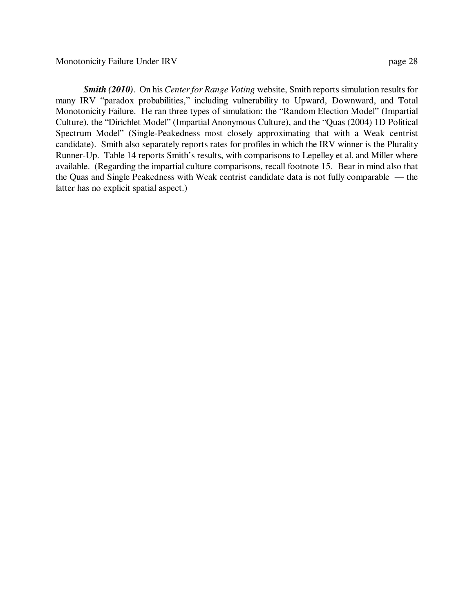*Smith (2010)*. On his *Center for Range Voting* website, Smith reports simulation results for many IRV "paradox probabilities," including vulnerability to Upward, Downward, and Total Monotonicity Failure. He ran three types of simulation: the "Random Election Model" (Impartial Culture), the "Dirichlet Model" (Impartial Anonymous Culture), and the "Quas (2004) 1D Political Spectrum Model" (Single-Peakedness most closely approximating that with a Weak centrist candidate). Smith also separately reports rates for profiles in which the IRV winner is the Plurality Runner-Up. Table 14 reports Smith's results, with comparisons to Lepelley et al. and Miller where available. (Regarding the impartial culture comparisons, recall footnote 15. Bear in mind also that the Quas and Single Peakedness with Weak centrist candidate data is not fully comparable — the latter has no explicit spatial aspect.)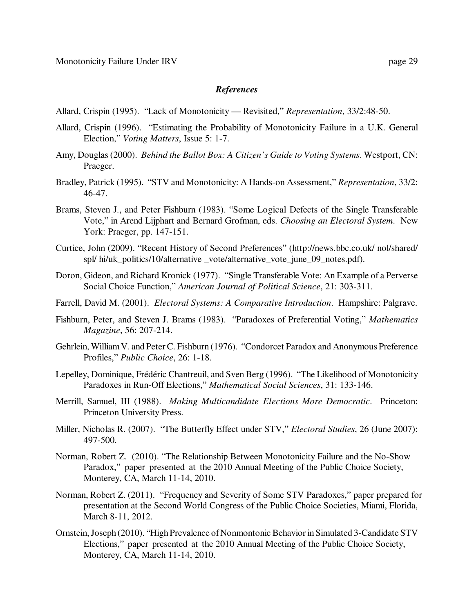#### *References*

- Allard, Crispin (1995). "Lack of Monotonicity Revisited," *Representation*, 33/2:48-50.
- Allard, Crispin (1996). "Estimating the Probability of Monotonicity Failure in a U.K. General Election," *Voting Matters*, Issue 5: 1-7.
- Amy, Douglas (2000). *Behind the Ballot Box: A Citizen's Guide to Voting Systems*. Westport, CN: Praeger.
- Bradley, Patrick (1995). "STV and Monotonicity: A Hands-on Assessment," *Representation*, 33/2: 46-47.
- Brams, Steven J., and Peter Fishburn (1983). "Some Logical Defects of the Single Transferable Vote," in Arend Lijphart and Bernard Grofman, eds. *Choosing an Electoral System*. New York: Praeger, pp. 147-151.
- Curtice, John (2009). "Recent History of Second Preferences" (http://news.bbc.co.uk/ nol/shared/ spl/ hi/uk\_politics/10/alternative \_vote/alternative\_vote\_june\_09\_notes.pdf).
- Doron, Gideon, and Richard Kronick (1977). "Single Transferable Vote: An Example of a Perverse Social Choice Function," *American Journal of Political Science*, 21: 303-311.
- Farrell, David M. (2001). *Electoral Systems: A Comparative Introduction*. Hampshire: Palgrave.
- Fishburn, Peter, and Steven J. Brams (1983). "Paradoxes of Preferential Voting," *Mathematics Magazine*, 56: 207-214.
- Gehrlein, William V. and Peter C. Fishburn (1976). "Condorcet Paradox and Anonymous Preference Profiles," *Public Choice*, 26: 1-18.
- Lepelley, Dominique, Frédéric Chantreuil, and Sven Berg (1996). "The Likelihood of Monotonicity Paradoxes in Run-Off Elections," *Mathematical Social Sciences*, 31: 133-146.
- Merrill, Samuel, III (1988). *Making Multicandidate Elections More Democratic*. Princeton: Princeton University Press.
- Miller, Nicholas R. (2007). "The Butterfly Effect under STV," *Electoral Studies*, 26 (June 2007): 497-500.
- Norman, Robert Z. (2010). "The Relationship Between Monotonicity Failure and the No-Show Paradox," paper presented at the 2010 Annual Meeting of the Public Choice Society, Monterey, CA, March 11-14, 2010.
- Norman, Robert Z. (2011). "Frequency and Severity of Some STV Paradoxes," paper prepared for presentation at the Second World Congress of the Public Choice Societies, Miami, Florida, March 8-11, 2012.
- Ornstein, Joseph (2010). "High Prevalence of Nonmontonic Behavior in Simulated 3-Candidate STV Elections," paper presented at the 2010 Annual Meeting of the Public Choice Society, Monterey, CA, March 11-14, 2010.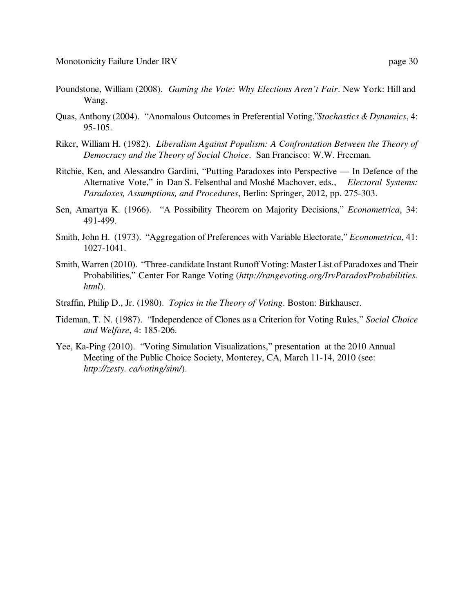- Poundstone, William (2008). *Gaming the Vote: Why Elections Aren't Fair*. New York: Hill and Wang.
- Quas, Anthony (2004). "Anomalous Outcomes in Preferential Voting," *Stochastics & Dynamics*, 4: 95-105.
- Riker, William H. (1982). *Liberalism Against Populism: A Confrontation Between the Theory of Democracy and the Theory of Social Choice*. San Francisco: W.W. Freeman.
- Ritchie, Ken, and Alessandro Gardini, "Putting Paradoxes into Perspective In Defence of the Alternative Vote," in Dan S. Felsenthal and Moshé Machover, eds., *Electoral Systems: Paradoxes, Assumptions, and Procedures*, Berlin: Springer, 2012, pp. 275-303.
- Sen, Amartya K. (1966). "A Possibility Theorem on Majority Decisions," *Econometrica*, 34: 491-499.
- Smith, John H. (1973). "Aggregation of Preferences with Variable Electorate," *Econometrica*, 41: 1027-1041.
- Smith, Warren (2010). "Three-candidate Instant Runoff Voting: Master List of Paradoxes and Their Probabilities," Center For Range Voting (*http://rangevoting.org/IrvParadoxProbabilities. html*).
- Straffin, Philip D., Jr. (1980). *Topics in the Theory of Voting*. Boston: Birkhauser.
- Tideman, T. N. (1987). "Independence of Clones as a Criterion for Voting Rules," *Social Choice and Welfare*, 4: 185-206.
- Yee, Ka-Ping (2010). "Voting Simulation Visualizations," presentation at the 2010 Annual Meeting of the Public Choice Society, Monterey, CA, March 11-14, 2010 (see: *http://zesty. ca/voting/sim/*).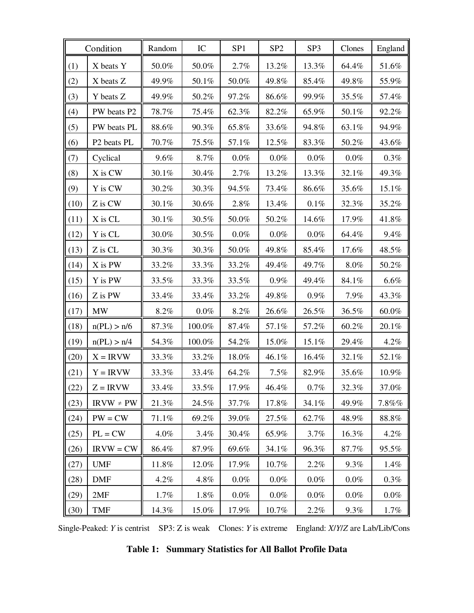|      | Condition                           | Random  | IC      | SP <sub>1</sub> | SP <sub>2</sub> | SP <sub>3</sub> | Clones   | England  |
|------|-------------------------------------|---------|---------|-----------------|-----------------|-----------------|----------|----------|
| (1)  | X beats Y                           | 50.0%   | 50.0%   | 2.7%            | 13.2%           | 13.3%           | 64.4%    | 51.6%    |
| (2)  | X beats Z                           | 49.9%   | 50.1%   | 50.0%           | 49.8%           | 85.4%           | 49.8%    | 55.9%    |
| (3)  | Y beats Z                           | 49.9%   | 50.2%   | 97.2%           | 86.6%           | 99.9%           | $35.5\%$ | 57.4%    |
| (4)  | PW beats P2                         | 78.7%   | 75.4%   | 62.3%           | 82.2%           | 65.9%           | $50.1\%$ | 92.2%    |
| (5)  | PW beats PL                         | 88.6%   | 90.3%   | 65.8%           | 33.6%           | 94.8%           | 63.1%    | 94.9%    |
| (6)  | P <sub>2</sub> beats P <sub>L</sub> | 70.7%   | 75.5%   | 57.1%           | 12.5%           | 83.3%           | 50.2%    | 43.6%    |
| (7)  | Cyclical                            | $9.6\%$ | 8.7%    | $0.0\%$         | $0.0\%$         | $0.0\%$         | $0.0\%$  | $0.3\%$  |
| (8)  | X is CW                             | 30.1%   | 30.4%   | 2.7%            | 13.2%           | 13.3%           | 32.1%    | 49.3%    |
| (9)  | Y is CW                             | 30.2%   | 30.3%   | 94.5%           | 73.4%           | 86.6%           | 35.6%    | 15.1%    |
| (10) | Z is CW                             | 30.1%   | 30.6%   | $2.8\%$         | 13.4%           | $0.1\%$         | 32.3%    | 35.2%    |
| (11) | X is CL                             | 30.1%   | 30.5%   | 50.0%           | 50.2%           | 14.6%           | 17.9%    | 41.8%    |
| (12) | Y is CL                             | 30.0%   | 30.5%   | $0.0\%$         | $0.0\%$         | $0.0\%$         | 64.4%    | 9.4%     |
| (13) | Z is CL                             | 30.3%   | 30.3%   | 50.0%           | 49.8%           | 85.4%           | 17.6%    | 48.5%    |
| (14) | X is PW                             | 33.2%   | 33.3%   | 33.2%           | 49.4%           | 49.7%           | $8.0\%$  | 50.2%    |
| (15) | Y is PW                             | 33.5%   | 33.3%   | 33.5%           | $0.9\%$         | 49.4%           | 84.1%    | 6.6%     |
| (16) | Z is PW                             | 33.4%   | 33.4%   | 33.2%           | 49.8%           | 0.9%            | 7.9%     | 43.3%    |
| (17) | MW                                  | 8.2%    | $0.0\%$ | 8.2%            | 26.6%           | 26.5%           | 36.5%    | 60.0%    |
| (18) | n(PL) > n/6                         | 87.3%   | 100.0%  | 87.4%           | 57.1%           | 57.2%           | 60.2%    | 20.1%    |
| (19) | n(PL) > n/4                         | 54.3%   | 100.0%  | 54.2%           | 15.0%           | 15.1%           | 29.4%    | 4.2%     |
| (20) | $X = IRVW$                          | 33.3%   | 33.2%   | 18.0%           | 46.1%           | 16.4%           | 32.1%    | 52.1%    |
| (21) | $Y = IRVW$                          | 33.3%   | 33.4%   | 64.2%           | 7.5%            | 82.9%           | 35.6%    | 10.9%    |
| (22) | $Z = IRVW$                          | 33.4%   | 33.5%   | 17.9%           | 46.4%           | $0.7\%$         | 32.3%    | 37.0%    |
| (23) | $IRVW \ne PW$                       | 21.3%   | 24.5%   | 37.7%           | 17.8%           | 34.1%           | 49.9%    | $7.8\%%$ |
| (24) | $PW = CW$                           | 71.1%   | 69.2%   | 39.0%           | 27.5%           | 62.7%           | 48.9%    | 88.8%    |
| (25) | $PL = CW$                           | 4.0%    | 3.4%    | 30.4%           | 65.9%           | 3.7%            | 16.3%    | 4.2%     |
| (26) | $IRVW = CW$                         | 86.4%   | 87.9%   | 69.6%           | 34.1%           | 96.3%           | 87.7%    | 95.5%    |
| (27) | <b>UMF</b>                          | 11.8%   | 12.0%   | 17.9%           | 10.7%           | 2.2%            | 9.3%     | 1.4%     |
| (28) | <b>DMF</b>                          | 4.2%    | 4.8%    | $0.0\%$         | $0.0\%$         | $0.0\%$         | $0.0\%$  | $0.3\%$  |
| (29) | 2MF                                 | 1.7%    | 1.8%    | $0.0\%$         | $0.0\%$         | $0.0\%$         | $0.0\%$  | $0.0\%$  |
| (30) | <b>TMF</b>                          | 14.3%   | 15.0%   | 17.9%           | 10.7%           | 2.2%            | 9.3%     | 1.7%     |

Single-Peaked: *Y* is centrist SP3: Z is weak Clones: *Y* is extreme England: *X*/*Y*/*Z* are Lab/Lib/Cons

**Table 1: Summary Statistics for All Ballot Profile Data**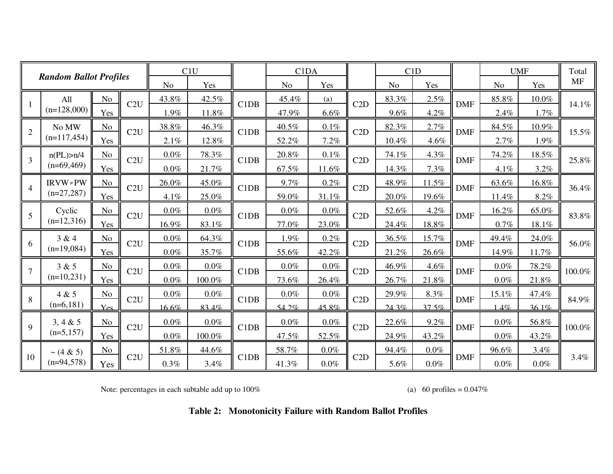|                |                               |                |     |         | C1U     |                               | C <sub>1</sub> D <sub>A</sub> |         |     |       | C1D     |            |                | <b>UMF</b> | Total     |
|----------------|-------------------------------|----------------|-----|---------|---------|-------------------------------|-------------------------------|---------|-----|-------|---------|------------|----------------|------------|-----------|
|                | <b>Random Ballot Profiles</b> |                |     | No      | Yes     |                               | N <sub>o</sub>                | Yes     |     | No    | Yes     |            | N <sub>o</sub> | Yes        | <b>MF</b> |
|                | All                           | No             | C2U | 43.8%   | 42.5%   | C <sub>1</sub> D <sub>B</sub> | 45.4%                         | (a)     | C2D | 83.3% | 2.5%    | <b>DMF</b> | 85.8%          | $10.0\%$   | 14.1%     |
|                | $(n=128,000)$                 | Yes            |     | 1.9%    | 11.8%   |                               | 47.9%                         | 6.6%    |     | 9.6%  | 4.2%    |            | 2.4%           | 1.7%       |           |
| $\overline{2}$ | No MW                         | No             | C2U | 38.8%   | 46.3%   | C1DB                          | 40.5%                         | $0.1\%$ | C2D | 82.3% | 2.7%    | <b>DMF</b> | 84.5%          | 10.9%      | 15.5%     |
|                | $(n=117, 454)$                | Yes            |     | 2.1%    | 12.8%   |                               | 52.2%                         | 7.2%    |     | 10.4% | 4.6%    |            | 2.7%           | 1.9%       |           |
| $\overline{3}$ | n(PL) > n/4                   | N <sub>o</sub> | C2U | 0.0%    | 78.3%   | C1DB                          | 20.8%                         | 0.1%    | C2D | 74.1% | 4.3%    | <b>DMF</b> | 74.2%          | 18.5%      | 25.8%     |
|                | $(n=69,469)$                  | Yes            |     | $0.0\%$ | 21.7%   |                               | $67.5\%$                      | 11.6%   |     | 14.3% | 7.3%    |            | 4.1%           | 3.2%       |           |
| $\overline{4}$ | $IRVW \neq PW$                | N <sub>o</sub> | C2U | 26.0%   | 45.0%   | C1DB                          | 9.7%                          | 0.2%    | C2D | 48.9% | 11.5%   | <b>DMF</b> | 63.6%          | 16.8%      | 36.4%     |
|                | $(n=27,287)$                  | Yes            |     | 4.1%    | 25.0%   |                               | 59.0%                         | 31.1%   |     | 20.0% | 19.6%   |            | 11.4%          | 8.2%       |           |
| 5              | Cyclic                        | N <sub>o</sub> | C2U | $0.0\%$ | $0.0\%$ | C1DB                          | $0.0\%$                       | $0.0\%$ | C2D | 52.6% | 4.2%    | <b>DMF</b> | 16.2%          | 65.0%      | 83.8%     |
|                | $(n=12,316)$                  | Yes            |     | 16.9%   | 83.1%   |                               | 77.0%                         | 23.0%   |     | 24.4% | 18.8%   |            | $0.7\%$        | 18.1%      |           |
| 6              | 3 & 4                         | N <sub>o</sub> | C2U | 0.0%    | 64.3%   | C1DB                          | 1.9%                          | 0.2%    | C2D | 36.5% | 15.7%   | <b>DMF</b> | 49.4%          | 24.0%      | 56.0%     |
|                | $(n=19,084)$                  | Yes            |     | $0.0\%$ | 35.7%   |                               | 55.6%                         | 42.2%   |     | 21.2% | 26.6%   |            | 14.9%          | 11.7%      |           |
| $\overline{7}$ | 3 & 5                         | N <sub>o</sub> | C2U | $0.0\%$ | $0.0\%$ | C1DB                          | $0.0\%$                       | $0.0\%$ | C2D | 46.9% | 4.6%    | <b>DMF</b> | $0.0\%$        | 78.2%      | 100.0%    |
|                | $(n=10,231)$                  | Yes            |     | $0.0\%$ | 100.0%  |                               | 73.6%                         | 26.4%   |     | 26.7% | 21.8%   |            | $0.0\%$        | 21.8%      |           |
| 8              | 4 & 5                         | N <sub>o</sub> | C2U | $0.0\%$ | $0.0\%$ | C1DB                          | $0.0\%$                       | $0.0\%$ | C2D | 29.9% | 8.3%    | <b>DMF</b> | 15.1%          | 47.4%      | 84.9%     |
|                | $(n=6,181)$                   | Yes            |     | 16.6%   | 83.4%   |                               | 54 $2%$                       | 45.8%   |     | 24.3% | 37.5%   |            | 14%            | 361%       |           |
| 9              | 3, 4 & 5                      | N <sub>o</sub> | C2U | 0.0%    | $0.0\%$ | C1DB                          | $0.0\%$                       | $0.0\%$ | C2D | 22.6% | 9.2%    | <b>DMF</b> | $0.0\%$        | 56.8%      | 100.0%    |
|                | $(n=5,157)$                   | Yes            |     | $0.0\%$ | 100.0%  |                               | 47.5%                         | 52.5%   |     | 24.9% | 43.2%   |            | $0.0\%$        | 43.2%      |           |
|                | $\sim$ (4 & 5)                | N <sub>o</sub> |     | 51.8%   | 44.6%   |                               | 58.7%                         | $0.0\%$ |     | 94.4% | $0.0\%$ |            | 96.6%          | 3.4%       |           |
| 10             | $(n=94,578)$                  | Yes            | C2U | 0.3%    | 3.4%    | C1DB                          | 41.3%                         | $0.0\%$ | C2D | 5.6%  | $0.0\%$ | <b>DMF</b> | $0.0\%$        | $0.0\%$    | 3.4%      |

Note: percentages in each subtable add up to  $100\%$  (a) 60 profiles =  $0.047\%$ 

**Table 2: Monotonicity Failure with Random Ballot Profiles**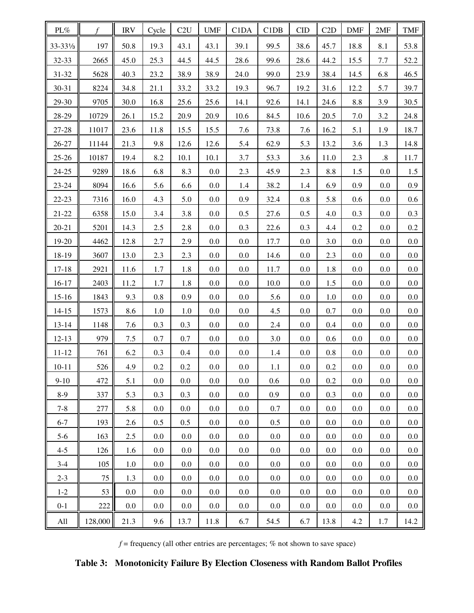| PL%                  | $\mathcal{f}$ | <b>IRV</b> | Cycle   | C2U     | <b>UMF</b> | C1DA    | C1DB    | <b>CID</b> | C2D     | <b>DMF</b> | 2MF     | <b>TMF</b> |
|----------------------|---------------|------------|---------|---------|------------|---------|---------|------------|---------|------------|---------|------------|
| 33-331/ <sub>3</sub> | 197           | 50.8       | 19.3    | 43.1    | 43.1       | 39.1    | 99.5    | 38.6       | 45.7    | 18.8       | 8.1     | 53.8       |
| 32-33                | 2665          | 45.0       | 25.3    | 44.5    | 44.5       | 28.6    | 99.6    | 28.6       | 44.2    | 15.5       | 7.7     | 52.2       |
| $31 - 32$            | 5628          | 40.3       | 23.2    | 38.9    | 38.9       | 24.0    | 99.0    | 23.9       | 38.4    | 14.5       | 6.8     | 46.5       |
| 30-31                | 8224          | 34.8       | 21.1    | 33.2    | 33.2       | 19.3    | 96.7    | 19.2       | 31.6    | 12.2       | 5.7     | 39.7       |
| 29-30                | 9705          | 30.0       | 16.8    | 25.6    | 25.6       | 14.1    | 92.6    | 14.1       | 24.6    | 8.8        | 3.9     | 30.5       |
| 28-29                | 10729         | 26.1       | 15.2    | 20.9    | 20.9       | 10.6    | 84.5    | 10.6       | 20.5    | 7.0        | 3.2     | 24.8       |
| 27-28                | 11017         | 23.6       | 11.8    | 15.5    | 15.5       | 7.6     | 73.8    | 7.6        | 16.2    | 5.1        | 1.9     | 18.7       |
| $26 - 27$            | 11144         | 21.3       | 9.8     | 12.6    | 12.6       | 5.4     | 62.9    | 5.3        | 13.2    | 3.6        | 1.3     | 14.8       |
| $25 - 26$            | 10187         | 19.4       | 8.2     | 10.1    | 10.1       | 3.7     | 53.3    | 3.6        | 11.0    | 2.3        | .8      | 11.7       |
| $24 - 25$            | 9289          | 18.6       | 6.8     | 8.3     | 0.0        | 2.3     | 45.9    | 2.3        | 8.8     | 1.5        | 0.0     | 1.5        |
| $23 - 24$            | 8094          | 16.6       | 5.6     | 6.6     | 0.0        | 1.4     | 38.2    | 1.4        | 6.9     | 0.9        | 0.0     | 0.9        |
| $22 - 23$            | 7316          | 16.0       | 4.3     | 5.0     | 0.0        | 0.9     | 32.4    | 0.8        | 5.8     | 0.6        | 0.0     | 0.6        |
| $21 - 22$            | 6358          | 15.0       | 3.4     | 3.8     | 0.0        | 0.5     | 27.6    | 0.5        | 4.0     | 0.3        | 0.0     | 0.3        |
| $20 - 21$            | 5201          | 14.3       | 2.5     | 2.8     | 0.0        | 0.3     | 22.6    | 0.3        | 4.4     | 0.2        | 0.0     | 0.2        |
| 19-20                | 4462          | 12.8       | 2.7     | 2.9     | 0.0        | 0.0     | 17.7    | 0.0        | 3.0     | 0.0        | 0.0     | 0.0        |
| 18-19                | 3607          | 13.0       | 2.3     | 2.3     | 0.0        | 0.0     | 14.6    | 0.0        | 2.3     | 0.0        | 0.0     | 0.0        |
| $17 - 18$            | 2921          | 11.6       | 1.7     | 1.8     | 0.0        | 0.0     | 11.7    | 0.0        | 1.8     | 0.0        | 0.0     | 0.0        |
| $16 - 17$            | 2403          | 11.2       | 1.7     | 1.8     | 0.0        | 0.0     | 10.0    | 0.0        | 1.5     | 0.0        | 0.0     | 0.0        |
| $15 - 16$            | 1843          | 9.3        | 0.8     | 0.9     | 0.0        | 0.0     | 5.6     | 0.0        | 1.0     | 0.0        | 0.0     | 0.0        |
| $14 - 15$            | 1573          | 8.6        | 1.0     | 1.0     | 0.0        | 0.0     | 4.5     | 0.0        | 0.7     | 0.0        | 0.0     | 0.0        |
| $13 - 14$            | 1148          | 7.6        | 0.3     | 0.3     | 0.0        | 0.0     | 2.4     | 0.0        | 0.4     | 0.0        | 0.0     | 0.0        |
| $12 - 13$            | 979           | 7.5        | 0.7     | 0.7     | 0.0        | 0.0     | 3.0     | 0.0        | 0.6     | 0.0        | 0.0     | 0.0        |
| $11 - 12$            | 761           | 6.2        | 0.3     | 0.4     | $0.0\,$    | $0.0\,$ | 1.4     | 0.0        | 0.8     | 0.0        | 0.0     | 0.0        |
| $10 - 11$            | 526           | 4.9        | $0.2\,$ | $0.2\,$ | $0.0\,$    | $0.0\,$ | 1.1     | $0.0\,$    | $0.2\,$ | $0.0\,$    | $0.0\,$ | $0.0\,$    |
| $9-10$               | 472           | 5.1        | 0.0     | 0.0     | $0.0\,$    | $0.0\,$ | 0.6     | $0.0\,$    | 0.2     | 0.0        | 0.0     | 0.0        |
| $8-9$                | 337           | 5.3        | 0.3     | 0.3     | $0.0\,$    | $0.0\,$ | 0.9     | $0.0\,$    | 0.3     | 0.0        | 0.0     | 0.0        |
| $7 - 8$              | 277           | 5.8        | 0.0     | 0.0     | $0.0\,$    | $0.0\,$ | 0.7     | $0.0\,$    | 0.0     | 0.0        | 0.0     | 0.0        |
| $6 - 7$              | 193           | 2.6        | 0.5     | 0.5     | $0.0\,$    | $0.0\,$ | 0.5     | $0.0\,$    | 0.0     | 0.0        | 0.0     | 0.0        |
| $5 - 6$              | 163           | 2.5        | 0.0     | 0.0     | $0.0\,$    | $0.0\,$ | 0.0     | $0.0\,$    | 0.0     | 0.0        | 0.0     | 0.0        |
| $4 - 5$              | 126           | 1.6        | 0.0     | 0.0     | $0.0\,$    | $0.0\,$ | $0.0\,$ | $0.0\,$    | 0.0     | 0.0        | 0.0     | 0.0        |
| $3-4$                | 105           | 1.0        | $0.0\,$ | 0.0     | $0.0\,$    | $0.0\,$ | $0.0\,$ | $0.0\,$    | 0.0     | 0.0        | 0.0     | 0.0        |
| $2 - 3$              | 75            | 1.3        | 0.0     | 0.0     | $0.0\,$    | $0.0\,$ | $0.0\,$ | $0.0\,$    | 0.0     | 0.0        | 0.0     | 0.0        |
| $1 - 2$              | 53            | 0.0        | 0.0     | 0.0     | $0.0\,$    | $0.0\,$ | 0.0     | $0.0\,$    | 0.0     | 0.0        | 0.0     | 0.0        |
| $0 - 1$              | 222           | 0.0        | 0.0     | 0.0     | $0.0\,$    | $0.0\,$ | 0.0     | $0.0\,$    | 0.0     | 0.0        | 0.0     | 0.0        |
| All                  | 128,000       | 21.3       | 9.6     | 13.7    | 11.8       | 6.7     | 54.5    | 6.7        | 13.8    | 4.2        | 1.7     | 14.2       |

 $f$  = frequency (all other entries are percentages;  $\%$  not shown to save space)

**Table 3: Monotonicity Failure By Election Closeness with Random Ballot Profiles**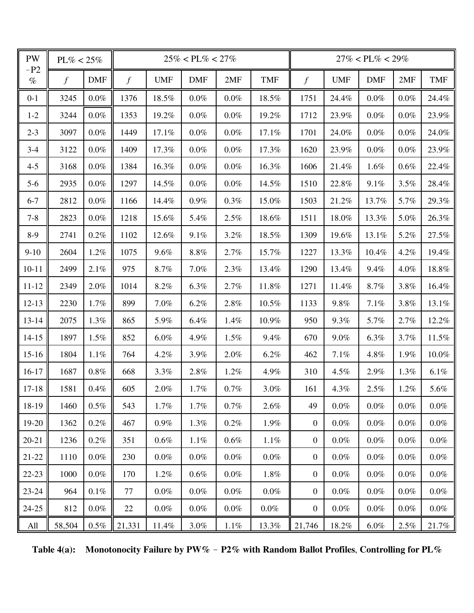| PW            | $PL\% < 25\%$ |            |          |            | $25\% < PL\% < 27\%$ |         |            |                  |            | $27\% < PL\% < 29\%$ |         |            |
|---------------|---------------|------------|----------|------------|----------------------|---------|------------|------------------|------------|----------------------|---------|------------|
| $-P2$<br>$\%$ | $\int$        | <b>DMF</b> | $\int f$ | <b>UMF</b> | <b>DMF</b>           | 2MF     | <b>TMF</b> | $\boldsymbol{f}$ | <b>UMF</b> | <b>DMF</b>           | 2MF     | <b>TMF</b> |
| $0 - 1$       | 3245          | $0.0\%$    | 1376     | 18.5%      | $0.0\%$              | $0.0\%$ | 18.5%      | 1751             | 24.4%      | 0.0%                 | $0.0\%$ | 24.4%      |
| $1 - 2$       | 3244          | $0.0\%$    | 1353     | 19.2%      | $0.0\%$              | $0.0\%$ | 19.2%      | 1712             | 23.9%      | $0.0\%$              | $0.0\%$ | 23.9%      |
| $2 - 3$       | 3097          | $0.0\%$    | 1449     | 17.1%      | $0.0\%$              | $0.0\%$ | 17.1%      | 1701             | 24.0%      | $0.0\%$              | $0.0\%$ | 24.0%      |
| $3 - 4$       | 3122          | $0.0\%$    | 1409     | 17.3%      | $0.0\%$              | $0.0\%$ | 17.3%      | 1620             | 23.9%      | 0.0%                 | $0.0\%$ | 23.9%      |
| $4 - 5$       | 3168          | $0.0\%$    | 1384     | 16.3%      | $0.0\%$              | $0.0\%$ | 16.3%      | 1606             | 21.4%      | 1.6%                 | 0.6%    | 22.4%      |
| $5-6$         | 2935          | $0.0\%$    | 1297     | 14.5%      | $0.0\%$              | $0.0\%$ | 14.5%      | 1510             | 22.8%      | 9.1%                 | 3.5%    | 28.4%      |
| $6 - 7$       | 2812          | $0.0\%$    | 1166     | 14.4%      | $0.9\%$              | 0.3%    | 15.0%      | 1503             | 21.2%      | 13.7%                | 5.7%    | 29.3%      |
| $7 - 8$       | 2823          | $0.0\%$    | 1218     | 15.6%      | 5.4%                 | 2.5%    | 18.6%      | 1511             | 18.0%      | 13.3%                | 5.0%    | 26.3%      |
| $8-9$         | 2741          | 0.2%       | 1102     | 12.6%      | 9.1%                 | 3.2%    | 18.5%      | 1309             | 19.6%      | 13.1%                | 5.2%    | 27.5%      |
| $9-10$        | 2604          | 1.2%       | 1075     | 9.6%       | 8.8%                 | 2.7%    | 15.7%      | 1227             | 13.3%      | 10.4%                | 4.2%    | 19.4%      |
| $10 - 11$     | 2499          | 2.1%       | 975      | 8.7%       | 7.0%                 | 2.3%    | 13.4%      | 1290             | 13.4%      | 9.4%                 | 4.0%    | 18.8%      |
| $11 - 12$     | 2349          | 2.0%       | 1014     | 8.2%       | 6.3%                 | 2.7%    | 11.8%      | 1271             | 11.4%      | 8.7%                 | 3.8%    | 16.4%      |
| $12 - 13$     | 2230          | 1.7%       | 899      | 7.0%       | 6.2%                 | $2.8\%$ | 10.5%      | 1133             | 9.8%       | 7.1%                 | 3.8%    | 13.1%      |
| $13 - 14$     | 2075          | 1.3%       | 865      | 5.9%       | 6.4%                 | 1.4%    | 10.9%      | 950              | 9.3%       | 5.7%                 | 2.7%    | 12.2%      |
| $14 - 15$     | 1897          | 1.5%       | 852      | $6.0\%$    | 4.9%                 | 1.5%    | 9.4%       | 670              | 9.0%       | 6.3%                 | 3.7%    | 11.5%      |
| $15-16$       | 1804          | 1.1%       | 764      | 4.2%       | 3.9%                 | 2.0%    | 6.2%       | 462              | $7.1\%$    | 4.8%                 | 1.9%    | 10.0%      |
| $16-17$       | 1687          | $0.8\%$    | 668      | 3.3%       | 2.8%                 | 1.2%    | 4.9%       | 310              | 4.5%       | 2.9%                 | 1.3%    | 6.1%       |
| $17 - 18$     | 1581          | 0.4%       | 605      | 2.0%       | 1.7%                 | 0.7%    | 3.0%       | 161              | 4.3%       | 2.5%                 | 1.2%    | 5.6%       |
| 18-19         | 1460          | $0.5\%$    | 543      | 1.7%       | 1.7%                 | $0.7\%$ | 2.6%       | 49               | $0.0\%$    | $0.0\%$              | $0.0\%$ | $0.0\%$    |
| 19-20         | 1362          | $0.2\%$    | 467      | $0.9\%$    | 1.3%                 | 0.2%    | 1.9%       | $\overline{0}$   | $0.0\%$    | $0.0\%$              | $0.0\%$ | $0.0\%$    |
| $20 - 21$     | 1236          | $0.2\%$    | 351      | $0.6\%$    | $1.1\%$              | $0.6\%$ | $1.1\%$    | $\overline{0}$   | $0.0\%$    | $0.0\%$              | $0.0\%$ | $0.0\%$    |
| $21 - 22$     | 1110          | $0.0\%$    | 230      | $0.0\%$    | $0.0\%$              | $0.0\%$ | $0.0\%$    | $\overline{0}$   | $0.0\%$    | $0.0\%$              | $0.0\%$ | $0.0\%$    |
| $22-23$       | 1000          | $0.0\%$    | 170      | 1.2%       | $0.6\%$              | $0.0\%$ | 1.8%       | $\overline{0}$   | $0.0\%$    | $0.0\%$              | $0.0\%$ | $0.0\%$    |
| $23 - 24$     | 964           | $0.1\%$    | 77       | $0.0\%$    | $0.0\%$              | $0.0\%$ | $0.0\%$    | $\overline{0}$   | $0.0\%$    | $0.0\%$              | $0.0\%$ | $0.0\%$    |
| $24 - 25$     | 812           | $0.0\%$    | 22       | $0.0\%$    | $0.0\%$              | $0.0\%$ | $0.0\%$    | $\overline{0}$   | $0.0\%$    | $0.0\%$              | $0.0\%$ | $0.0\%$    |
| All           | 58,504        | $0.5\%$    | 21,331   | 11.4%      | $3.0\%$              | $1.1\%$ | 13.3%      | 21,746           | 18.2%      | $6.0\%$              | 2.5%    | 21.7%      |

Table 4(a): Monotonocity Failure by PW% - P2% with Random Ballot Profiles, Controlling for PL%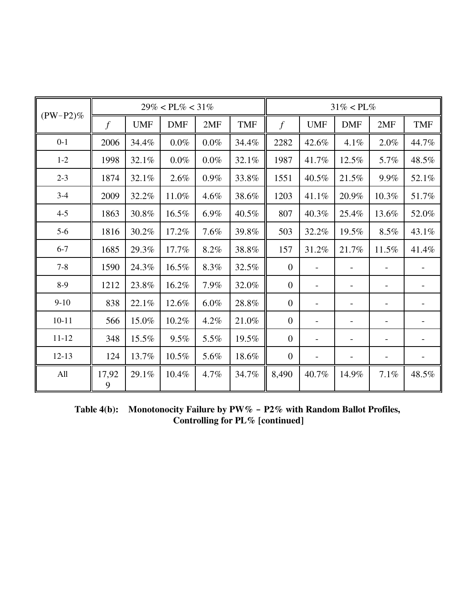|             |               |            | $29\% < PL\% < 31\%$ |         |            |                |            | $31\% < PL\%$            |                          |            |
|-------------|---------------|------------|----------------------|---------|------------|----------------|------------|--------------------------|--------------------------|------------|
| $(PW-P2)\%$ | $\mathcal{f}$ | <b>UMF</b> | <b>DMF</b>           | 2MF     | <b>TMF</b> | $\overline{f}$ | <b>UMF</b> | <b>DMF</b>               | 2MF                      | <b>TMF</b> |
| $0 - 1$     | 2006          | 34.4%      | $0.0\%$              | $0.0\%$ | 34.4%      | 2282           | 42.6%      | 4.1%                     | 2.0%                     | 44.7%      |
| $1 - 2$     | 1998          | 32.1%      | $0.0\%$              | $0.0\%$ | 32.1%      | 1987           | 41.7%      | 12.5%                    | 5.7%                     | 48.5%      |
| $2 - 3$     | 1874          | 32.1%      | 2.6%                 | $0.9\%$ | 33.8%      | 1551           | 40.5%      | 21.5%                    | 9.9%                     | 52.1%      |
| $3 - 4$     | 2009          | 32.2%      | 11.0%                | 4.6%    | 38.6%      | 1203           | 41.1%      | 20.9%                    | 10.3%                    | 51.7%      |
| $4 - 5$     | 1863          | 30.8%      | 16.5%                | 6.9%    | 40.5%      | 807            | 40.3%      | 25.4%                    | 13.6%                    | 52.0%      |
| $5-6$       | 1816          | 30.2%      | 17.2%                | 7.6%    | 39.8%      | 503            | 32.2%      | 19.5%                    | 8.5%                     | 43.1%      |
| $6 - 7$     | 1685          | 29.3%      | 17.7%                | 8.2%    | 38.8%      | 157            | 31.2%      | 21.7%                    | 11.5%                    | 41.4%      |
| $7 - 8$     | 1590          | 24.3%      | 16.5%                | 8.3%    | 32.5%      | $\overline{0}$ |            |                          |                          |            |
| $8-9$       | 1212          | 23.8%      | 16.2%                | 7.9%    | 32.0%      | $\mathbf{0}$   | -          | $\overline{\phantom{a}}$ |                          |            |
| $9-10$      | 838           | 22.1%      | 12.6%                | $6.0\%$ | 28.8%      | $\overline{0}$ |            | $\overline{\phantom{a}}$ |                          |            |
| $10 - 11$   | 566           | 15.0%      | 10.2%                | 4.2%    | 21.0%      | $\theta$       |            | $\overline{\phantom{a}}$ | $\overline{\phantom{0}}$ |            |
| $11 - 12$   | 348           | 15.5%      | 9.5%                 | 5.5%    | 19.5%      | $\overline{0}$ |            | $\overline{\phantom{a}}$ |                          |            |
| $12 - 13$   | 124           | 13.7%      | 10.5%                | 5.6%    | 18.6%      | $\mathbf{0}$   | -          | $\overline{\phantom{a}}$ |                          |            |
| All         | 17,92<br>9    | 29.1%      | 10.4%                | 4.7%    | 34.7%      | 8,490          | 40.7%      | 14.9%                    | 7.1%                     | 48.5%      |

Table 4(b): Monotonocity Failure by PW% - P2% with Random Ballot Profiles, **Controlling for PL% [continued]**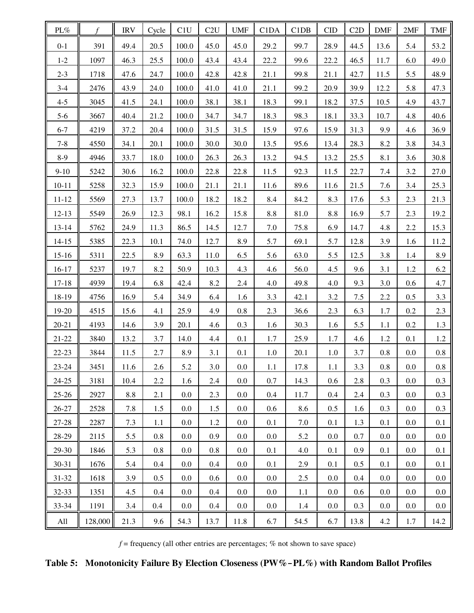| $\text{PL}\%$ | $\mathcal{F}$ | <b>IRV</b> | Cycle | C1U     | C2U  | <b>UMF</b> | C1DA    | C1DB | <b>CID</b> | C2D     | <b>DMF</b> | 2MF     | <b>TMF</b> |
|---------------|---------------|------------|-------|---------|------|------------|---------|------|------------|---------|------------|---------|------------|
| $0 - 1$       | 391           | 49.4       | 20.5  | 100.0   | 45.0 | 45.0       | 29.2    | 99.7 | 28.9       | 44.5    | 13.6       | 5.4     | 53.2       |
| $1 - 2$       | 1097          | 46.3       | 25.5  | 100.0   | 43.4 | 43.4       | 22.2    | 99.6 | 22.2       | 46.5    | 11.7       | 6.0     | 49.0       |
| $2 - 3$       | 1718          | 47.6       | 24.7  | 100.0   | 42.8 | 42.8       | 21.1    | 99.8 | 21.1       | 42.7    | 11.5       | 5.5     | 48.9       |
| $3-4$         | 2476          | 43.9       | 24.0  | 100.0   | 41.0 | 41.0       | 21.1    | 99.2 | 20.9       | 39.9    | 12.2       | 5.8     | 47.3       |
| $4 - 5$       | 3045          | 41.5       | 24.1  | 100.0   | 38.1 | 38.1       | 18.3    | 99.1 | 18.2       | 37.5    | 10.5       | 4.9     | 43.7       |
| $5-6$         | 3667          | 40.4       | 21.2  | 100.0   | 34.7 | 34.7       | 18.3    | 98.3 | 18.1       | 33.3    | 10.7       | 4.8     | 40.6       |
| $6 - 7$       | 4219          | 37.2       | 20.4  | 100.0   | 31.5 | 31.5       | 15.9    | 97.6 | 15.9       | 31.3    | 9.9        | 4.6     | 36.9       |
| $7 - 8$       | 4550          | 34.1       | 20.1  | 100.0   | 30.0 | 30.0       | 13.5    | 95.6 | 13.4       | 28.3    | 8.2        | 3.8     | 34.3       |
| $8-9$         | 4946          | 33.7       | 18.0  | 100.0   | 26.3 | 26.3       | 13.2    | 94.5 | 13.2       | 25.5    | 8.1        | 3.6     | 30.8       |
| $9 - 10$      | 5242          | 30.6       | 16.2  | 100.0   | 22.8 | 22.8       | 11.5    | 92.3 | 11.5       | 22.7    | 7.4        | 3.2     | 27.0       |
| $10 - 11$     | 5258          | 32.3       | 15.9  | 100.0   | 21.1 | 21.1       | 11.6    | 89.6 | 11.6       | 21.5    | 7.6        | 3.4     | 25.3       |
| $11 - 12$     | 5569          | 27.3       | 13.7  | 100.0   | 18.2 | 18.2       | 8.4     | 84.2 | 8.3        | 17.6    | 5.3        | 2.3     | 21.3       |
| $12 - 13$     | 5549          | 26.9       | 12.3  | 98.1    | 16.2 | 15.8       | 8.8     | 81.0 | 8.8        | 16.9    | 5.7        | 2.3     | 19.2       |
| $13 - 14$     | 5762          | 24.9       | 11.3  | 86.5    | 14.5 | 12.7       | 7.0     | 75.8 | 6.9        | 14.7    | 4.8        | 2.2     | 15.3       |
| $14 - 15$     | 5385          | 22.3       | 10.1  | 74.0    | 12.7 | 8.9        | 5.7     | 69.1 | 5.7        | 12.8    | 3.9        | 1.6     | 11.2       |
| $15 - 16$     | 5311          | 22.5       | 8.9   | 63.3    | 11.0 | 6.5        | 5.6     | 63.0 | 5.5        | 12.5    | 3.8        | 1.4     | 8.9        |
| $16 - 17$     | 5237          | 19.7       | 8.2   | 50.9    | 10.3 | 4.3        | 4.6     | 56.0 | 4.5        | 9.6     | 3.1        | $1.2\,$ | 6.2        |
| $17 - 18$     | 4939          | 19.4       | 6.8   | 42.4    | 8.2  | 2.4        | 4.0     | 49.8 | 4.0        | 9.3     | 3.0        | 0.6     | 4.7        |
| 18-19         | 4756          | 16.9       | 5.4   | 34.9    | 6.4  | 1.6        | 3.3     | 42.1 | 3.2        | 7.5     | 2.2        | 0.5     | 3.3        |
| 19-20         | 4515          | 15.6       | 4.1   | 25.9    | 4.9  | 0.8        | 2.3     | 36.6 | 2.3        | 6.3     | 1.7        | $0.2\,$ | 2.3        |
| $20 - 21$     | 4193          | 14.6       | 3.9   | 20.1    | 4.6  | 0.3        | 1.6     | 30.3 | 1.6        | 5.5     | 1.1        | $0.2\,$ | 1.3        |
| $21 - 22$     | 3840          | 13.2       | 3.7   | 14.0    | 4.4  | 0.1        | 1.7     | 25.9 | 1.7        | 4.6     | 1.2        | 0.1     | 1.2        |
| $22 - 23$     | 3844          | 11.5       | 2.7   | 8.9     | 3.1  | 0.1        | 1.0     | 20.1 | 1.0        | 3.7     | 0.8        | $0.0\,$ | $0.8\,$    |
| $23 - 24$     | 3451          | 11.6       | 2.6   | 5.2     | 3.0  | $0.0\,$    | $1.1\,$ | 17.8 | 1.1        | $3.3\,$ | $0.8\,$    | $0.0\,$ | $0.8\,$    |
| $24 - 25$     | 3181          | 10.4       | 2.2   | 1.6     | 2.4  | $0.0\,$    | 0.7     | 14.3 | 0.6        | 2.8     | 0.3        | 0.0     | 0.3        |
| $25 - 26$     | 2927          | 8.8        | 2.1   | $0.0\,$ | 2.3  | $0.0\,$    | $0.4\,$ | 11.7 | 0.4        | 2.4     | 0.3        | 0.0     | 0.3        |
| $26 - 27$     | 2528          | 7.8        | 1.5   | $0.0\,$ | 1.5  | 0.0        | 0.6     | 8.6  | 0.5        | 1.6     | 0.3        | 0.0     | 0.3        |
| 27-28         | 2287          | 7.3        | 1.1   | $0.0\,$ | 1.2  | $0.0\,$    | 0.1     | 7.0  | 0.1        | 1.3     | 0.1        | 0.0     | 0.1        |
| 28-29         | 2115          | 5.5        | 0.8   | $0.0\,$ | 0.9  | 0.0        | $0.0\,$ | 5.2  | 0.0        | 0.7     | 0.0        | 0.0     | 0.0        |
| 29-30         | 1846          | 5.3        | 0.8   | 0.0     | 0.8  | $0.0\,$    | 0.1     | 4.0  | 0.1        | 0.9     | 0.1        | 0.0     | 0.1        |
| $30 - 31$     | 1676          | 5.4        | 0.4   | 0.0     | 0.4  | 0.0        | 0.1     | 2.9  | 0.1        | 0.5     | 0.1        | 0.0     | 0.1        |
| $31 - 32$     | 1618          | 3.9        | 0.5   | 0.0     | 0.6  | 0.0        | $0.0\,$ | 2.5  | 0.0        | 0.4     | 0.0        | 0.0     | 0.0        |
| $32 - 33$     | 1351          | 4.5        | 0.4   | 0.0     | 0.4  | 0.0        | $0.0\,$ | 1.1  | 0.0        | 0.6     | 0.0        | 0.0     | 0.0        |
| 33-34         | 1191          | 3.4        | 0.4   | 0.0     | 0.4  | $0.0\,$    | $0.0\,$ | 1.4  | 0.0        | 0.3     | 0.0        | 0.0     | 0.0        |
| All           | 128,000       | 21.3       | 9.6   | 54.3    | 13.7 | 11.8       | 6.7     | 54.5 | 6.7        | 13.8    | 4.2        | 1.7     | 14.2       |

 $f$  = frequency (all other entries are percentages;  $%$  not shown to save space)

Table 5: Monotonicity Failure By Election Closeness (PW%-PL%) with Random Ballot Profiles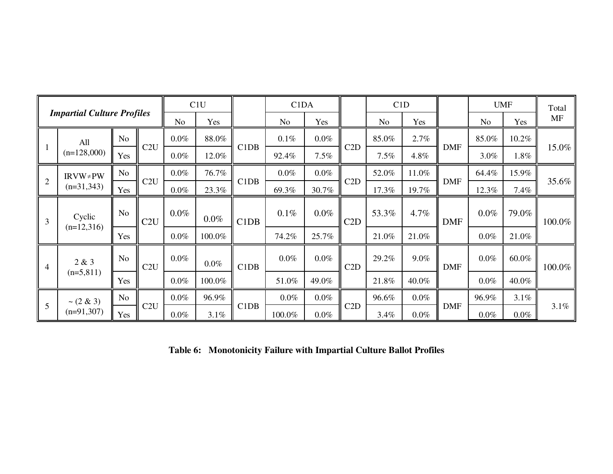|                |                                   |                |     |         | C1U     |                               | C <sub>1</sub> D <sub>A</sub> |         |     | C1D            |         |            | <b>UMF</b>     |         | Total     |
|----------------|-----------------------------------|----------------|-----|---------|---------|-------------------------------|-------------------------------|---------|-----|----------------|---------|------------|----------------|---------|-----------|
|                | <b>Impartial Culture Profiles</b> |                |     | No      | Yes     |                               | N <sub>0</sub>                | Yes     |     | N <sub>o</sub> | Yes     |            | N <sub>o</sub> | Yes     | <b>MF</b> |
|                | All                               | No             |     | $0.0\%$ | 88.0%   |                               | 0.1%                          | $0.0\%$ |     | 85.0%          | 2.7%    |            | 85.0%          | 10.2%   |           |
|                | $(n=128,000)$                     | Yes            | C2U | $0.0\%$ | 12.0%   | C1DB                          | 92.4%                         | 7.5%    | C2D | 7.5%           | 4.8%    | <b>DMF</b> | 3.0%           | $1.8\%$ | 15.0%     |
|                | $IRVW \neq PW$                    | No             |     | $0.0\%$ | 76.7%   |                               | $0.0\%$                       | $0.0\%$ |     | 52.0%          | 11.0%   |            | 64.4%          | 15.9%   |           |
| $\overline{2}$ | $(n=31,343)$                      | Yes            | C2U | $0.0\%$ | 23.3%   | C <sub>1</sub> D <sub>B</sub> | 69.3%                         | 30.7%   | C2D | 17.3%          | 19.7%   | <b>DMF</b> | 12.3%          | 7.4%    | 35.6%     |
| $\overline{3}$ | Cyclic                            | No             | C2U | $0.0\%$ | $0.0\%$ | C1DB                          | $0.1\%$                       | $0.0\%$ | C2D | 53.3%          | 4.7%    | <b>DMF</b> | $0.0\%$        | 79.0%   | 100.0%    |
|                | $(n=12,316)$                      | Yes            |     | $0.0\%$ | 100.0%  |                               | 74.2%                         | 25.7%   |     | 21.0%          | 21.0%   |            | $0.0\%$        | 21.0%   |           |
| $\overline{4}$ | 2 & 3                             | N <sub>o</sub> | C2U | $0.0\%$ | $0.0\%$ | C1DB                          | $0.0\%$                       | $0.0\%$ | C2D | 29.2%          | 9.0%    | <b>DMF</b> | $0.0\%$        | 60.0%   | 100.0%    |
|                | $(n=5,811)$                       | Yes            |     | $0.0\%$ | 100.0%  |                               | 51.0%                         | 49.0%   |     | 21.8%          | 40.0%   |            | $0.0\%$        | 40.0%   |           |
|                | $\sim$ (2 & 3)                    | N <sub>o</sub> |     | $0.0\%$ | 96.9%   |                               | $0.0\%$                       | $0.0\%$ |     | 96.6%          | $0.0\%$ |            | 96.9%          | $3.1\%$ |           |
| 5              | $(n=91,307)$                      | Yes            | C2U | $0.0\%$ | 3.1%    | C1DB                          | 100.0%                        | $0.0\%$ | C2D | 3.4%           | $0.0\%$ | <b>DMF</b> | $0.0\%$        | $0.0\%$ | 3.1%      |

**Table 6: Monotonicity Failure with Impartial Culture Ballot Profiles**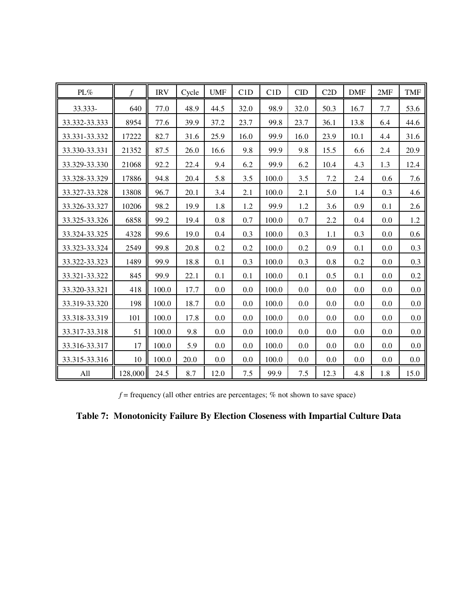| PL%           | f       | <b>IRV</b> | Cycle | <b>UMF</b> | C1D  | C1D   | <b>CID</b> | C2D  | <b>DMF</b> | 2MF     | <b>TMF</b> |
|---------------|---------|------------|-------|------------|------|-------|------------|------|------------|---------|------------|
| 33.333-       | 640     | 77.0       | 48.9  | 44.5       | 32.0 | 98.9  | 32.0       | 50.3 | 16.7       | 7.7     | 53.6       |
| 33.332-33.333 | 8954    | 77.6       | 39.9  | 37.2       | 23.7 | 99.8  | 23.7       | 36.1 | 13.8       | 6.4     | 44.6       |
| 33.331-33.332 | 17222   | 82.7       | 31.6  | 25.9       | 16.0 | 99.9  | 16.0       | 23.9 | 10.1       | 4.4     | 31.6       |
| 33.330-33.331 | 21352   | 87.5       | 26.0  | 16.6       | 9.8  | 99.9  | 9.8        | 15.5 | 6.6        | 2.4     | 20.9       |
| 33.329-33.330 | 21068   | 92.2       | 22.4  | 9.4        | 6.2  | 99.9  | 6.2        | 10.4 | 4.3        | 1.3     | 12.4       |
| 33.328-33.329 | 17886   | 94.8       | 20.4  | 5.8        | 3.5  | 100.0 | 3.5        | 7.2  | 2.4        | 0.6     | 7.6        |
| 33.327-33.328 | 13808   | 96.7       | 20.1  | 3.4        | 2.1  | 100.0 | 2.1        | 5.0  | 1.4        | 0.3     | 4.6        |
| 33.326-33.327 | 10206   | 98.2       | 19.9  | 1.8        | 1.2  | 99.9  | 1.2        | 3.6  | 0.9        | 0.1     | 2.6        |
| 33.325-33.326 | 6858    | 99.2       | 19.4  | 0.8        | 0.7  | 100.0 | 0.7        | 2.2  | 0.4        | 0.0     | 1.2        |
| 33.324-33.325 | 4328    | 99.6       | 19.0  | 0.4        | 0.3  | 100.0 | 0.3        | 1.1  | 0.3        | 0.0     | 0.6        |
| 33.323-33.324 | 2549    | 99.8       | 20.8  | 0.2        | 0.2  | 100.0 | 0.2        | 0.9  | 0.1        | 0.0     | 0.3        |
| 33.322-33.323 | 1489    | 99.9       | 18.8  | 0.1        | 0.3  | 100.0 | 0.3        | 0.8  | 0.2        | 0.0     | 0.3        |
| 33.321-33.322 | 845     | 99.9       | 22.1  | 0.1        | 0.1  | 100.0 | 0.1        | 0.5  | 0.1        | 0.0     | 0.2        |
| 33.320-33.321 | 418     | 100.0      | 17.7  | 0.0        | 0.0  | 100.0 | 0.0        | 0.0  | 0.0        | 0.0     | 0.0        |
| 33.319-33.320 | 198     | 100.0      | 18.7  | 0.0        | 0.0  | 100.0 | 0.0        | 0.0  | 0.0        | 0.0     | 0.0        |
| 33.318-33.319 | 101     | 100.0      | 17.8  | 0.0        | 0.0  | 100.0 | 0.0        | 0.0  | 0.0        | 0.0     | $0.0\,$    |
| 33.317-33.318 | 51      | 100.0      | 9.8   | 0.0        | 0.0  | 100.0 | 0.0        | 0.0  | 0.0        | 0.0     | 0.0        |
| 33.316-33.317 | 17      | 100.0      | 5.9   | 0.0        | 0.0  | 100.0 | 0.0        | 0.0  | 0.0        | 0.0     | 0.0        |
| 33.315-33.316 | 10      | 100.0      | 20.0  | $0.0\,$    | 0.0  | 100.0 | 0.0        | 0.0  | 0.0        | $0.0\,$ | 0.0        |
| All           | 128,000 | 24.5       | 8.7   | 12.0       | 7.5  | 99.9  | 7.5        | 12.3 | 4.8        | 1.8     | 15.0       |

 $f$  = frequency (all other entries are percentages;  $%$  not shown to save space)

**Table 7: Monotonicity Failure By Election Closeness with Impartial Culture Data**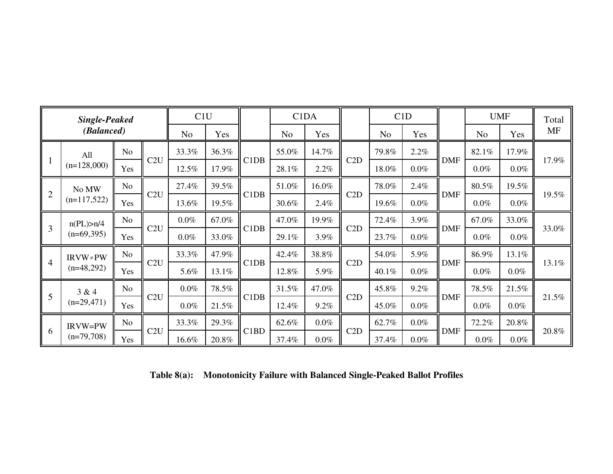|                                                                       | <b>Single-Peaked</b> |                |       | C1U            |                               |       |                | C <sub>1</sub> D <sub>A</sub> |       |                | C1D        |            |         | <b>UMF</b> | Total |
|-----------------------------------------------------------------------|----------------------|----------------|-------|----------------|-------------------------------|-------|----------------|-------------------------------|-------|----------------|------------|------------|---------|------------|-------|
|                                                                       | (Balanced)           |                |       | N <sub>o</sub> | Yes                           |       | N <sub>o</sub> | Yes                           |       | N <sub>o</sub> | Yes        |            | No      | Yes        | MF    |
|                                                                       | All                  | No             |       | 33.3%          | 36.3%                         |       | 55.0%          | 14.7%                         |       | 79.8%          | 2.2%       |            | 82.1%   | 17.9%      |       |
| $\parallel$ 1                                                         | $(n=128,000)$        | Yes            | C2U   | 12.5%          | 17.9%                         | C1DB  | 28.1%          | 2.2%                          | C2D   | 18.0%          | $0.0\%$    | <b>DMF</b> | $0.0\%$ | $0.0\%$    | 17.9% |
|                                                                       | No MW                | No             |       | 27.4%          | 39.5%                         |       | 51.0%          | 16.0%                         |       | 78.0%          | 2.4%       |            | 80.5%   | 19.5%      |       |
|                                                                       | $(n=117,522)$        | Yes            | C2U   | 13.6%          | 19.5%                         | C1DB  | 30.6%          | 2.4%                          | C2D   | 19.6%          | $0.0\%$    | <b>DMF</b> | $0.0\%$ | $0.0\%$    | 19.5% |
|                                                                       | n(PL) > n/4          | No.            |       | $0.0\%$        | 67.0%                         |       | 47.0%          | 19.9%                         |       | 72.4%          | 3.9%       |            | 67.0%   | 33.0%      |       |
| $\vert$ 3                                                             | $(n=69,395)$         | Yes            | C2U   | $0.0\%$        | 33.0%                         | C1DB  | 29.1%          | 3.9%                          | C2D   | 23.7%          | $0.0\%$    | <b>DMF</b> | $0.0\%$ | $0.0\%$    | 33.0% |
|                                                                       | $IRVW \neq PW$       | N <sub>o</sub> |       | 33.3%          | 47.9%                         |       | 42.4%          | 38.8%                         |       | 54.0%          | 5.9%       |            | 86.9%   | 13.1%      |       |
| $\vert \vert$ 4                                                       | $(n=48,292)$         | Yes            | C2U   | 5.6%           | 13.1%                         | C1DB  | 12.8%          | 5.9%                          | C2D   | 40.1%          | $0.0\%$    | <b>DMF</b> | $0.0\%$ | $0.0\%$    | 13.1% |
|                                                                       | 3 & 4                | N <sub>o</sub> |       | $0.0\%$        | 78.5%                         |       | 31.5%          | 47.0%                         |       | 45.8%          | 9.2%       |            | 78.5%   | 21.5%      |       |
| $\vert \vert 5 \vert$                                                 | $(n=29,471)$         | Yes            | C2U   | $0.0\%$        | 21.5%                         | C1DB  | 12.4%          | 9.2%                          | C2D   | 45.0%          | $0.0\%$    | <b>DMF</b> | $0.0\%$ | $0.0\%$    | 21.5% |
|                                                                       | <b>IRVW=PW</b>       | No             |       | 33.3%          | 29.3%                         |       | 62.6%          | $0.0\%$                       |       | 62.7%          | $0.0\%$    |            | 72.2%   | 20.8%      |       |
| $\begin{array}{ c c } \hline 6 \\ \hline \end{array}$<br>$(n=79,708)$ | Yes                  | C2U            | 16.6% | 20.8%          | C <sub>1</sub> B <sub>D</sub> | 37.4% | $0.0\%$        | C2D                           | 37.4% | $0.0\%$        | <b>DMF</b> | $0.0\%$    | $0.0\%$ | 20.8%      |       |

**Table 8(a): Monotonicity Failure with Balanced Single-Peaked Ballot Profiles**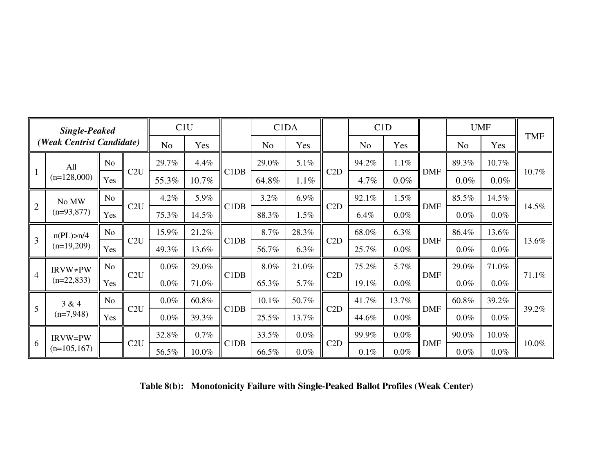|                | <b>Single-Peaked</b>                  |                |     | C1U            |         |                               | C <sub>1</sub> D <sub>A</sub> |         |     | C1D            |         |            |                | <b>UMF</b> |            |
|----------------|---------------------------------------|----------------|-----|----------------|---------|-------------------------------|-------------------------------|---------|-----|----------------|---------|------------|----------------|------------|------------|
|                | (Weak Centrist Candidate)             |                |     | N <sub>o</sub> | Yes     |                               | No.                           | Yes     |     | N <sub>o</sub> | Yes     |            | N <sub>o</sub> | Yes        | <b>TMF</b> |
|                | All                                   | No             |     | 29.7%          | 4.4%    |                               | 29.0%                         | 5.1%    |     | 94.2%          | 1.1%    |            | 89.3%          | 10.7%      |            |
| $\overline{1}$ | $(n=128,000)$                         | Yes            | C2U | 55.3%          | 10.7%   | C1DB                          | 64.8%                         | 1.1%    | C2D | 4.7%           | $0.0\%$ | <b>DMF</b> | $0.0\%$        | $0.0\%$    | 10.7%      |
|                | No MW                                 | N <sub>o</sub> |     | 4.2%           | 5.9%    |                               | 3.2%                          | 6.9%    |     | 92.1%          | 1.5%    |            | 85.5%          | 14.5%      |            |
| $\overline{2}$ | $(n=93,877)$                          | Yes            | C2U | 75.3%          | 14.5%   | C <sub>1</sub> D <sub>B</sub> | 88.3%                         | 1.5%    | C2D | 6.4%           | $0.0\%$ | <b>DMF</b> | $0.0\%$        | $0.0\%$    | 14.5%      |
| $\overline{3}$ | n(PL) > n/4                           | <b>No</b>      |     | 15.9%          | 21.2%   |                               | 8.7%                          | 28.3%   |     | 68.0%          | 6.3%    |            | 86.4%          | 13.6%      |            |
|                | $(n=19,209)$                          | Yes            | C2U | 49.3%          | 13.6%   | C <sub>1</sub> D <sub>B</sub> | 56.7%                         | 6.3%    | C2D | 25.7%          | $0.0\%$ | <b>DMF</b> | $0.0\%$        | $0.0\%$    | 13.6%      |
| $\overline{4}$ | $IRVW \neq PW$                        | No             |     | 0.0%           | 29.0%   |                               | 8.0%                          | 21.0%   |     | 75.2%          | 5.7%    |            | 29.0%          | 71.0%      |            |
|                | $(n=22,833)$                          | Yes            | C2U | 0.0%           | 71.0%   | C1DB                          | 65.3%                         | 5.7%    | C2D | 19.1%          | $0.0\%$ | <b>DMF</b> | $0.0\%$        | $0.0\%$    | 71.1%      |
|                | 3 & 4                                 | N <sub>o</sub> |     | $0.0\%$        | 60.8%   |                               | 10.1%                         | 50.7%   |     | 41.7%          | 13.7%   |            | 60.8%          | 39.2%      |            |
| 5              | $(n=7,948)$                           | Yes            | C2U | 0.0%           | 39.3%   | C1DB                          | 25.5%                         | 13.7%   | C2D | 44.6%          | $0.0\%$ | <b>DMF</b> | $0.0\%$        | $0.0\%$    | 39.2%      |
|                | <b>IRVW=PW</b><br>6<br>$(n=105, 167)$ |                |     | 32.8%          | $0.7\%$ |                               | 33.5%                         | $0.0\%$ |     | 99.9%          | $0.0\%$ |            | 90.0%          | 10.0%      |            |
|                |                                       |                | C2U | 56.5%          | 10.0%   | C <sub>1</sub> D <sub>B</sub> | 66.5%                         | $0.0\%$ | C2D | $0.1\%$        | $0.0\%$ | <b>DMF</b> | $0.0\%$        | $0.0\%$    | 10.0%      |

**Table 8(b): Monotonicity Failure with Single-Peaked Ballot Profiles (Weak Center)**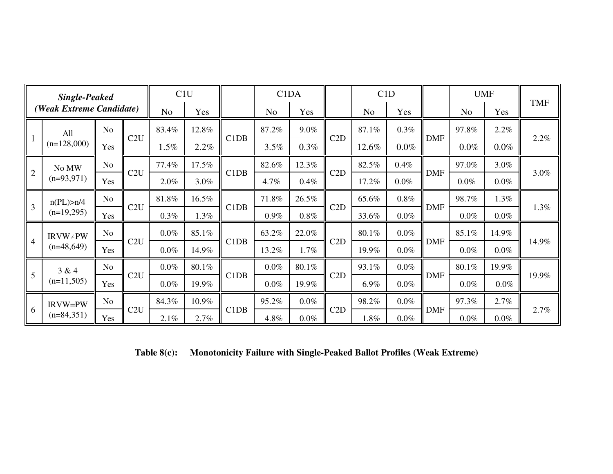| <b>Single-Peaked</b> |                             |                | C1U |                |         | C1DA |                |         | C1D |                |         | <b>UMF</b> |                |         |            |
|----------------------|-----------------------------|----------------|-----|----------------|---------|------|----------------|---------|-----|----------------|---------|------------|----------------|---------|------------|
|                      | (Weak Extreme Candidate)    |                |     | N <sub>o</sub> | Yes     |      | N <sub>o</sub> | Yes     |     | N <sub>o</sub> | Yes     |            | N <sub>o</sub> | Yes     | <b>TMF</b> |
|                      | All                         | N <sub>o</sub> |     | 83.4%          | 12.8%   | C1DB | 87.2%          | 9.0%    |     | 87.1%          | $0.3\%$ |            | 97.8%          | 2.2%    | 2.2%       |
| $\mathbf{1}$         | $(n=128,000)$               | Yes            | C2U | $1.5\%$        | $2.2\%$ |      | 3.5%           | $0.3\%$ | C2D | 12.6%          | $0.0\%$ | <b>DMF</b> | $0.0\%$        | $0.0\%$ |            |
|                      | No MW                       | N <sub>o</sub> |     | 77.4%          | 17.5%   |      | 82.6%          | 12.3%   |     | 82.5%          | $0.4\%$ |            | 97.0%          | 3.0%    | 3.0%       |
| 2                    | $(n=93,971)$                | Yes            | C2U | 2.0%           | 3.0%    | C1DB | 4.7%           | 0.4%    | C2D | 17.2%          | $0.0\%$ | <b>DMF</b> | 0.0%           | $0.0\%$ |            |
| $\overline{3}$       | n(PL) > n/4<br>$(n=19,295)$ | <b>No</b>      | C2U | 81.8%          | 16.5%   | C1DB | 71.8%          | 26.5%   |     | 65.6%          | $0.8\%$ |            | 98.7%          | 1.3%    | 1.3%       |
|                      |                             | Yes            |     | 0.3%           | 1.3%    |      | 0.9%           | $0.8\%$ | C2D | 33.6%          | $0.0\%$ | <b>DMF</b> | $0.0\%$        | $0.0\%$ |            |
|                      | $IRVW \neq PW$              | N <sub>o</sub> |     | 0.0%           | 85.1%   | C1DB | 63.2%          | 22.0%   |     | 80.1%          | $0.0\%$ |            | 85.1%          | 14.9%   | 14.9%      |
| $\overline{4}$       | $(n=48,649)$                | Yes            | C2U | $0.0\%$        | 14.9%   |      | 13.2%          | 1.7%    | C2D | 19.9%          | $0.0\%$ | <b>DMF</b> | $0.0\%$        | 0.0%    |            |
| 5                    | 3 & 4                       | N <sub>o</sub> |     | $0.0\%$        | 80.1%   |      | $0.0\%$        | 80.1%   |     | 93.1%          | $0.0\%$ |            | 80.1%          | 19.9%   | 19.9%      |
|                      | $(n=11,505)$                | Yes            | C2U | $0.0\%$        | 19.9%   | C1DB | $0.0\%$        | 19.9%   | C2D | 6.9%           | $0.0\%$ | <b>DMF</b> | $0.0\%$        | $0.0\%$ |            |
|                      | <b>IRVW=PW</b>              | N <sub>o</sub> |     | 84.3%          | 10.9%   |      | 95.2%          | $0.0\%$ |     | 98.2%          | $0.0\%$ |            | 97.3%          | 2.7%    |            |
| $\vert 6 \vert$      | $(n=84,351)$                | Yes            | C2U | 2.1%           | 2.7%    | C1DB | 4.8%           | $0.0\%$ | C2D | 1.8%           | $0.0\%$ | <b>DMF</b> | $0.0\%$        | $0.0\%$ | 2.7%       |

**Table 8(c): Monotonicity Failure with Single-Peaked Ballot Profiles (Weak Extreme)**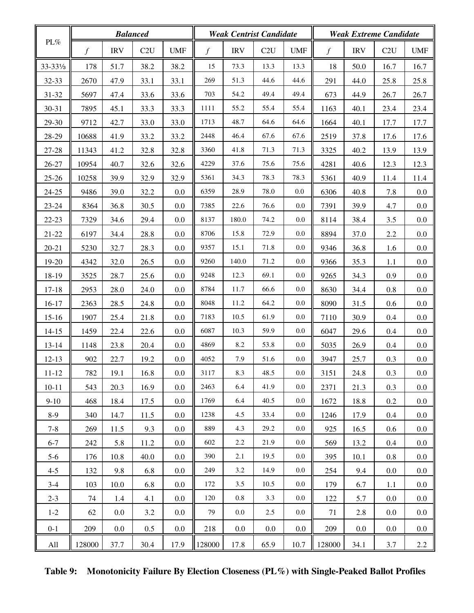|                      |               |            | <b>Balanced</b> |            |                |            | <b>Weak Centrist Candidate</b> |                           |        | <b>Weak Extreme Candidate</b> |      |            |
|----------------------|---------------|------------|-----------------|------------|----------------|------------|--------------------------------|---------------------------|--------|-------------------------------|------|------------|
| PL%                  | $\mathcal{f}$ | <b>IRV</b> | C2U             | <b>UMF</b> | $\mathfrak{f}$ | <b>IRV</b> | C2U                            | $\ensuremath{\text{UMF}}$ | $\int$ | <b>IRV</b>                    | C2U  | <b>UMF</b> |
| 33-331/ <sub>3</sub> | 178           | 51.7       | 38.2            | 38.2       | 15             | 73.3       | 13.3                           | 13.3                      | 18     | 50.0                          | 16.7 | 16.7       |
| $32 - 33$            | 2670          | 47.9       | 33.1            | 33.1       | 269            | 51.3       | 44.6                           | 44.6                      | 291    | 44.0                          | 25.8 | 25.8       |
| 31-32                | 5697          | 47.4       | 33.6            | 33.6       | 703            | 54.2       | 49.4                           | 49.4                      | 673    | 44.9                          | 26.7 | 26.7       |
| 30-31                | 7895          | 45.1       | 33.3            | 33.3       | 1111           | 55.2       | 55.4                           | 55.4                      | 1163   | 40.1                          | 23.4 | 23.4       |
| 29-30                | 9712          | 42.7       | 33.0            | 33.0       | 1713           | 48.7       | 64.6                           | 64.6                      | 1664   | 40.1                          | 17.7 | 17.7       |
| 28-29                | 10688         | 41.9       | 33.2            | 33.2       | 2448           | 46.4       | 67.6                           | 67.6                      | 2519   | 37.8                          | 17.6 | 17.6       |
| 27-28                | 11343         | 41.2       | 32.8            | 32.8       | 3360           | 41.8       | 71.3                           | 71.3                      | 3325   | 40.2                          | 13.9 | 13.9       |
| $26 - 27$            | 10954         | 40.7       | 32.6            | 32.6       | 4229           | 37.6       | 75.6                           | 75.6                      | 4281   | 40.6                          | 12.3 | 12.3       |
| $25 - 26$            | 10258         | 39.9       | 32.9            | 32.9       | 5361           | 34.3       | 78.3                           | 78.3                      | 5361   | 40.9                          | 11.4 | 11.4       |
| $24 - 25$            | 9486          | 39.0       | 32.2            | 0.0        | 6359           | 28.9       | 78.0                           | 0.0                       | 6306   | 40.8                          | 7.8  | 0.0        |
| $23 - 24$            | 8364          | 36.8       | 30.5            | 0.0        | 7385           | 22.6       | 76.6                           | 0.0                       | 7391   | 39.9                          | 4.7  | $0.0\,$    |
| $22 - 23$            | 7329          | 34.6       | 29.4            | 0.0        | 8137           | 180.0      | 74.2                           | 0.0                       | 8114   | 38.4                          | 3.5  | 0.0        |
| 21-22                | 6197          | 34.4       | 28.8            | 0.0        | 8706           | 15.8       | 72.9                           | 0.0                       | 8894   | 37.0                          | 2.2  | $0.0\,$    |
| $20 - 21$            | 5230          | 32.7       | 28.3            | 0.0        | 9357           | 15.1       | 71.8                           | 0.0                       | 9346   | 36.8                          | 1.6  | 0.0        |
| 19-20                | 4342          | 32.0       | 26.5            | 0.0        | 9260           | 140.0      | 71.2                           | 0.0                       | 9366   | 35.3                          | 1.1  | 0.0        |
| 18-19                | 3525          | 28.7       | 25.6            | 0.0        | 9248           | 12.3       | 69.1                           | 0.0                       | 9265   | 34.3                          | 0.9  | 0.0        |
| $17 - 18$            | 2953          | 28.0       | 24.0            | 0.0        | 8784           | 11.7       | 66.6                           | 0.0                       | 8630   | 34.4                          | 0.8  | $0.0\,$    |
| $16-17$              | 2363          | 28.5       | 24.8            | 0.0        | 8048           | 11.2       | 64.2                           | 0.0                       | 8090   | 31.5                          | 0.6  | 0.0        |
| $15-16$              | 1907          | 25.4       | 21.8            | 0.0        | 7183           | 10.5       | 61.9                           | 0.0                       | 7110   | 30.9                          | 0.4  | 0.0        |
| $14 - 15$            | 1459          | 22.4       | 22.6            | 0.0        | 6087           | 10.3       | 59.9                           | 0.0                       | 6047   | 29.6                          | 0.4  | 0.0        |
| $13 - 14$            | 1148          | 23.8       | 20.4            | 0.0        | 4869           | 8.2        | 53.8                           | 0.0                       | 5035   | 26.9                          | 0.4  | $0.0\,$    |
| $12 - 13$            | 902           | 22.7       | 19.2            | 0.0        | 4052           | 7.9        | $51.6\,$                       | 0.0                       | 3947   | 25.7                          | 0.3  | 0.0        |
| 11-12                | 782           | 19.1       | 16.8            | 0.0        | 3117           | 8.3        | 48.5                           | $0.0\,$                   | 3151   | 24.8                          | 0.3  | 0.0        |
| $10 - 11$            | 543           | 20.3       | 16.9            | $0.0\,$    | 2463           | 6.4        | 41.9                           | $0.0\,$                   | 2371   | 21.3                          | 0.3  | 0.0        |
| $9-10$               | 468           | 18.4       | 17.5            | $0.0\,$    | 1769           | 6.4        | 40.5                           | $0.0\,$                   | 1672   | 18.8                          | 0.2  | 0.0        |
| $8-9$                | 340           | 14.7       | 11.5            | $0.0\,$    | 1238           | 4.5        | 33.4                           | $0.0\,$                   | 1246   | 17.9                          | 0.4  | $0.0\,$    |
| $7 - 8$              | 269           | 11.5       | 9.3             | $0.0\,$    | 889            | 4.3        | 29.2                           | 0.0                       | 925    | 16.5                          | 0.6  | 0.0        |
| $6 - 7$              | 242           | 5.8        | 11.2            | $0.0\,$    | 602            | 2.2        | 21.9                           | $0.0\,$                   | 569    | 13.2                          | 0.4  | $0.0\,$    |
| $5-6$                | 176           | 10.8       | 40.0            | $0.0\,$    | 390            | 2.1        | 19.5                           | $0.0\,$                   | 395    | 10.1                          | 0.8  | 0.0        |
| $4 - 5$              | 132           | 9.8        | 6.8             | $0.0\,$    | 249            | 3.2        | 14.9                           | $0.0\,$                   | 254    | 9.4                           | 0.0  | $0.0\,$    |
| $3-4$                | 103           | 10.0       | 6.8             | $0.0\,$    | 172            | 3.5        | 10.5                           | 0.0                       | 179    | 6.7                           | 1.1  | 0.0        |
| $2 - 3$              | 74            | 1.4        | 4.1             | $0.0\,$    | 120            | 0.8        | 3.3                            | $0.0\,$                   | 122    | 5.7                           | 0.0  | $0.0\,$    |
| $1 - 2$              | 62            | $0.0\,$    | 3.2             | $0.0\,$    | 79             | 0.0        | 2.5                            | $0.0\,$                   | 71     | 2.8                           | 0.0  | 0.0        |
| $0 - 1$              | 209           | $0.0\,$    | 0.5             | $0.0\,$    | 218            | 0.0        | 0.0                            | 0.0                       | 209    | 0.0                           | 0.0  | 0.0        |
| All                  | 128000        | 37.7       | 30.4            | 17.9       | 128000         | 17.8       | 65.9                           | 10.7                      | 128000 | 34.1                          | 3.7  | 2.2        |

**Table 9: Monotonicity Failure By Election Closeness (PL%) with Single-Peaked Ballot Profiles**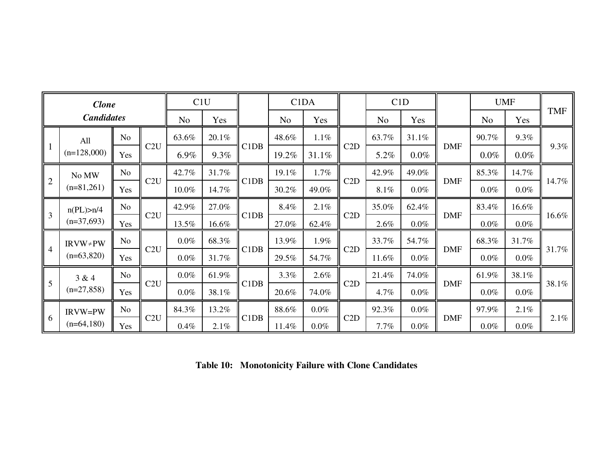| <b>Clone</b>   |                             |                |     | C1U            |       |                               | C <sub>1</sub> D <sub>A</sub> |         | C1D   |                |         |            | <b>UMF</b>     |         |            |
|----------------|-----------------------------|----------------|-----|----------------|-------|-------------------------------|-------------------------------|---------|-------|----------------|---------|------------|----------------|---------|------------|
|                | <b>Candidates</b>           |                |     | N <sub>o</sub> | Yes   |                               | N <sub>0</sub>                | Yes     |       | N <sub>o</sub> | Yes     |            | N <sub>o</sub> | Yes     | <b>TMF</b> |
|                | All<br>$(n=128,000)$        | No             |     | 63.6%          | 20.1% | C <sub>1</sub> D <sub>B</sub> | 48.6%                         | $1.1\%$ |       | 63.7%          | 31.1%   |            | 90.7%          | 9.3%    | 9.3%       |
| $\mathsf{I}$ 1 |                             | Yes            | C2U | 6.9%           | 9.3%  |                               | 19.2%                         | 31.1%   | C2D   | 5.2%           | $0.0\%$ | <b>DMF</b> | $0.0\%$        | $0.0\%$ |            |
|                | No MW                       | N <sub>o</sub> |     | 42.7%          | 31.7% | 19.1%                         | 1.7%                          |         | 42.9% | 49.0%          |         | 85.3%      | 14.7%          |         |            |
| $\overline{2}$ | $(n=81,261)$                | Yes            | C2U | 10.0%          | 14.7% | C <sub>1</sub> D <sub>B</sub> | 30.2%                         | 49.0%   | C2D   | 8.1%           | $0.0\%$ | <b>DMF</b> | $0.0\%$        | $0.0\%$ | 14.7%      |
| $\overline{3}$ | n(PL) > n/4<br>$(n=37,693)$ | No             | C2U | 42.9%          | 27.0% | C1DB                          | 8.4%                          | 2.1%    | C2D   | 35.0%          | 62.4%   |            | 83.4%          | 16.6%   | 16.6%      |
|                |                             | Yes            |     | 13.5%          | 16.6% |                               | 27.0%                         | 62.4%   |       | 2.6%           | $0.0\%$ | <b>DMF</b> | $0.0\%$        | $0.0\%$ |            |
| $\overline{4}$ | $IRVW \neq PW$              | No             |     | $0.0\%$        | 68.3% | C1DB                          | 13.9%                         | 1.9%    |       | 33.7%          | 54.7%   |            | 68.3%          | 31.7%   | 31.7%      |
|                | $(n=63,820)$                | Yes            | C2U | $0.0\%$        | 31.7% |                               | 29.5%                         | 54.7%   | C2D   | 11.6%          | $0.0\%$ | <b>DMF</b> | $0.0\%$        | $0.0\%$ |            |
|                | 3 & 4                       | N <sub>o</sub> |     | $0.0\%$        | 61.9% |                               | 3.3%                          | 2.6%    |       | 21.4%          | 74.0%   |            | 61.9%          | 38.1%   | 38.1%      |
| $\vert 5$      | $(n=27,858)$                | Yes            | C2U | $0.0\%$        | 38.1% | C <sub>1</sub> D <sub>B</sub> | 20.6%                         | 74.0%   | C2D   | 4.7%           | $0.0\%$ | <b>DMF</b> | $0.0\%$        | $0.0\%$ |            |
|                | IRVW=PW                     | N <sub>o</sub> |     | 84.3%          | 13.2% |                               | 88.6%                         | $0.0\%$ |       | 92.3%          | $0.0\%$ |            | 97.9%          | 2.1%    | 2.1%       |
| 6              | $(n=64,180)$                | Yes            | C2U | $0.4\%$        | 2.1%  | C <sub>1</sub> D <sub>B</sub> | 11.4%                         | $0.0\%$ | C2D   | 7.7%           | $0.0\%$ | <b>DMF</b> | $0.0\%$        | $0.0\%$ |            |

**Table 10: Monotonicity Failure with Clone Candidates**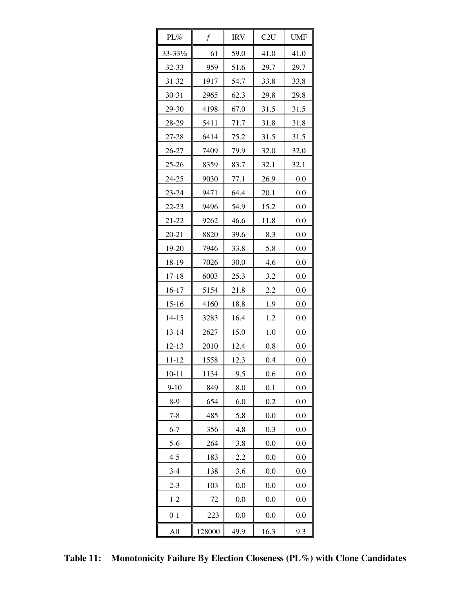| PL%                  | $\boldsymbol{f}$ | <b>IRV</b> | C2U  | <b>UMF</b> |
|----------------------|------------------|------------|------|------------|
| $33 - 33\frac{1}{3}$ | 61               | 59.0       | 41.0 | 41.0       |
| 32-33                | 959              | 51.6       | 29.7 | 29.7       |
| 31-32                | 1917             | 54.7       | 33.8 | 33.8       |
| 30-31                | 2965             | 62.3       | 29.8 | 29.8       |
| 29-30                | 4198             | 67.0       | 31.5 | 31.5       |
| 28-29                | 5411             | 71.7       | 31.8 | 31.8       |
| 27-28                | 6414             | 75.2       | 31.5 | 31.5       |
| 26-27                | 7409             | 79.9       | 32.0 | 32.0       |
| $25 - 26$            | 8359             | 83.7       | 32.1 | 32.1       |
| 24-25                | 9030             | 77.1       | 26.9 | 0.0        |
| 23-24                | 9471             | 64.4       | 20.1 | $0.0\,$    |
| 22-23                | 9496             | 54.9       | 15.2 | 0.0        |
| 21-22                | 9262             | 46.6       | 11.8 | $0.0\,$    |
| $20 - 21$            | 8820             | 39.6       | 8.3  | 0.0        |
| 19-20                | 7946             | 33.8       | 5.8  | 0.0        |
| 18-19                | 7026             | 30.0       | 4.6  | 0.0        |
| 17-18                | 6003             | 25.3       | 3.2  | 0.0        |
| 16-17                | 5154             | 21.8       | 2.2  | 0.0        |
| $15 - 16$            | 4160             | 18.8       | 1.9  | 0.0        |
| $14 - 15$            | 3283             | 16.4       | 1.2  | 0.0        |
| $13 - 14$            | 2627             | 15.0       | 1.0  | 0.0        |
| $12 - 13$            | 2010             | 12.4       | 0.8  | 0.0        |
| 11-12                | 1558             | 12.3       | 0.4  | 0.0        |
| 10-11                | 1134             | 9.5        | 0.6  | 0.0        |
| $9 - 10$             | 849              | 8.0        | 0.1  | 0.0        |
| $8-9$                | 654              | 6.0        | 0.2  | 0.0        |
| $7 - 8$              | 485              | 5.8        | 0.0  | 0.0        |
| $6 - 7$              | 356              | 4.8        | 0.3  | 0.0        |
| $5-6$                | 264              | 3.8        | 0.0  | 0.0        |
| $4 - 5$              | 183              | 2.2        | 0.0  | 0.0        |
| $3-4$                | 138              | 3.6        | 0.0  | 0.0        |
| $2 - 3$              | 103              | 0.0        | 0.0  | 0.0        |
| $1 - 2$              | 72               | 0.0        | 0.0  | 0.0        |
| $0 - 1$              | 223              | 0.0        | 0.0  | 0.0        |
| All                  | 128000           | 49.9       | 16.3 | 9.3        |

**Table 11: Monotonicity Failure By Election Closeness (PL%) with Clone Candidates**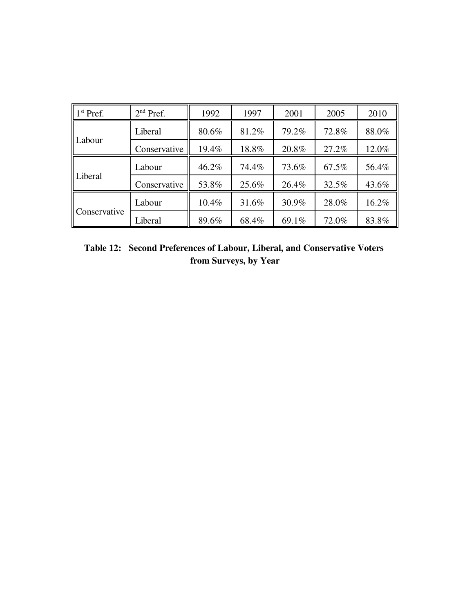| $\mathbf{1}^{\text{st}}$ Pref. | $2nd$ Pref.  | 1992  | 1997  | 2001  | 2005  | 2010  |
|--------------------------------|--------------|-------|-------|-------|-------|-------|
|                                | Liberal      | 80.6% | 81.2% | 79.2% | 72.8% | 88.0% |
| Labour                         | Conservative | 19.4% | 18.8% | 20.8% | 27.2% | 12.0% |
|                                | Labour       | 46.2% | 74.4% | 73.6% | 67.5% | 56.4% |
| Liberal                        | Conservative | 53.8% | 25.6% | 26.4% | 32.5% | 43.6% |
|                                | Labour       | 10.4% | 31.6% | 30.9% | 28.0% | 16.2% |
| Conservative                   | Liberal      | 89.6% | 68.4% | 69.1% | 72.0% | 83.8% |

**Table 12: Second Preferences of Labour, Liberal, and Conservative Voters from Surveys, by Year**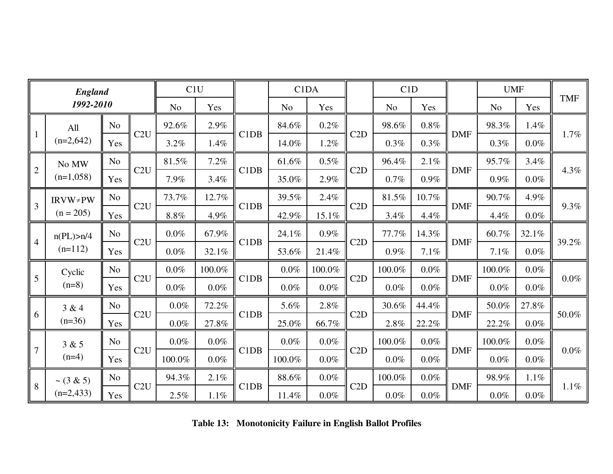| <b>England</b>  |                          |                | C1U |                |         | C <sub>1</sub> D <sub>A</sub> |                |         | C1D |                |         | <b>UMF</b> |                | <b>TMF</b> |         |
|-----------------|--------------------------|----------------|-----|----------------|---------|-------------------------------|----------------|---------|-----|----------------|---------|------------|----------------|------------|---------|
|                 | 1992-2010                |                |     | N <sub>o</sub> | Yes     |                               | N <sub>o</sub> | Yes     |     | N <sub>o</sub> | Yes     |            | N <sub>o</sub> | Yes        |         |
|                 | All                      | N <sub>o</sub> |     | 92.6%          | 2.9%    |                               | 84.6%          | 0.2%    |     | 98.6%          | 0.8%    |            | 98.3%          | 1.4%       |         |
| $\mathbf{1}$    | $(n=2,642)$              | Yes            | C2U | 3.2%           | 1.4%    | C1DB                          | 14.0%          | 1.2%    | C2D | 0.3%           | 0.3%    | <b>DMF</b> | 0.3%           | 0.0%       | 1.7%    |
|                 | No MW                    | N <sub>o</sub> | C2U | 81.5%          | 7.2%    | C1DB                          | 61.6%          | $0.5\%$ |     | 96.4%          | 2.1%    |            | 95.7%          | 3.4%       |         |
| $\overline{2}$  | $(n=1,058)$              | Yes            |     | 7.9%           | 3.4%    |                               | 35.0%          | 2.9%    | C2D | 0.7%           | 0.9%    | <b>DMF</b> | $0.9\%$        | 0.0%       | 4.3%    |
| $\overline{3}$  | $IRVW \neq PW$           | N <sub>o</sub> |     | 73.7%          | 12.7%   |                               | 39.5%          | 2.4%    | C2D | 81.5%          | 10.7%   |            | 90.7%          | 4.9%       | 9.3%    |
|                 | $(n = 205)$              | Yes            | C2U | $8.8\%$        | 4.9%    | C1DB                          | 42.9%          | 15.1%   |     | 3.4%           | 4.4%    | <b>DMF</b> | 4.4%           | $0.0\%$    |         |
|                 | n(PL) > n/4<br>$(n=112)$ | N <sub>o</sub> | C2U | $0.0\%$        | 67.9%   | C1DB                          | 24.1%          | $0.9\%$ | C2D | 77.7%          | 14.3%   |            | 60.7%          | 32.1%      | 39.2%   |
| $\overline{4}$  |                          | Yes            |     | $0.0\%$        | 32.1%   |                               | 53.6%          | 21.4%   |     | $0.9\%$        | 7.1%    | <b>DMF</b> | 7.1%           | 0.0%       |         |
| $5\overline{)}$ | Cyclic                   | N <sub>o</sub> | C2U | $0.0\%$        | 100.0%  | C1DB                          | $0.0\%$        | 100.0%  |     | 100.0%         | $0.0\%$ |            | 100.0%         | $0.0\%$    | 0.0%    |
|                 | $(n=8)$                  | Yes            |     | $0.0\%$        | $0.0\%$ |                               | $0.0\%$        | $0.0\%$ | C2D | $0.0\%$        | $0.0\%$ | <b>DMF</b> | $0.0\%$        | $0.0\%$    |         |
| 6               | 3 & 4                    | N <sub>o</sub> |     | $0.0\%$        | 72.2%   |                               | 5.6%           | 2.8%    |     | 30.6%          | 44.4%   | <b>DMF</b> | 50.0%          | 27.8%      | 50.0%   |
|                 | $(n=36)$                 | Yes            | C2U | $0.0\%$        | 27.8%   | C1DB                          | 25.0%          | 66.7%   | C2D | 2.8%           | 22.2%   |            | 22.2%          | $0.0\%$    |         |
|                 | 3 & 5                    | N <sub>o</sub> |     | $0.0\%$        | $0.0\%$ |                               | $0.0\%$        | $0.0\%$ |     | 100.0%         | 0.0%    |            | 100.0%         | 0.0%       | 0.0%    |
| $\overline{7}$  | $(n=4)$                  | Yes            | C2U | 100.0%         | $0.0\%$ | C1DB                          | 100.0%         | $0.0\%$ | C2D | $0.0\%$        | $0.0\%$ | <b>DMF</b> | $0.0\%$        | $0.0\%$    |         |
|                 | $\sim$ (3 & 5)           | N <sub>o</sub> |     | 94.3%          | 2.1%    |                               | 88.6%          | $0.0\%$ |     | 100.0%         | $0.0\%$ |            | 98.9%          | $1.1\%$    | $1.1\%$ |
| 8               | $(n=2,433)$              | Yes            | C2U | 2.5%           | $1.1\%$ | C1DB                          | 11.4%          | $0.0\%$ | C2D | $0.0\%$        | $0.0\%$ | <b>DMF</b> | $0.0\%$        | 0.0%       |         |

**Table 13: Monotonicity Failure in English Ballot Profiles**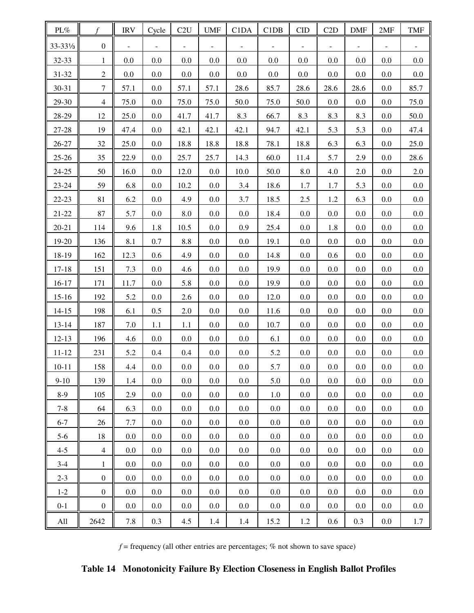| $\text{PL}\%$        | f                | <b>IRV</b> | Cycle   | C2U     | <b>UMF</b> | C1DA    | C1DB | <b>CID</b> | C2D     | <b>DMF</b> | 2MF     | <b>TMF</b> |
|----------------------|------------------|------------|---------|---------|------------|---------|------|------------|---------|------------|---------|------------|
| 33-331/ <sub>3</sub> | $\boldsymbol{0}$ |            |         |         |            |         |      |            |         |            |         |            |
| 32-33                | $\mathbf{1}$     | 0.0        | 0.0     | 0.0     | 0.0        | 0.0     | 0.0  | 0.0        | 0.0     | 0.0        | 0.0     | 0.0        |
| 31-32                | $\overline{2}$   | 0.0        | 0.0     | 0.0     | 0.0        | 0.0     | 0.0  | 0.0        | $0.0\,$ | 0.0        | 0.0     | 0.0        |
| 30-31                | $\tau$           | 57.1       | 0.0     | 57.1    | 57.1       | 28.6    | 85.7 | 28.6       | 28.6    | 28.6       | 0.0     | 85.7       |
| 29-30                | $\overline{4}$   | 75.0       | $0.0\,$ | 75.0    | 75.0       | 50.0    | 75.0 | 50.0       | $0.0\,$ | 0.0        | 0.0     | 75.0       |
| 28-29                | 12               | 25.0       | 0.0     | 41.7    | 41.7       | 8.3     | 66.7 | 8.3        | 8.3     | 8.3        | 0.0     | 50.0       |
| 27-28                | 19               | 47.4       | $0.0\,$ | 42.1    | 42.1       | 42.1    | 94.7 | 42.1       | 5.3     | 5.3        | 0.0     | 47.4       |
| 26-27                | 32               | 25.0       | 0.0     | 18.8    | 18.8       | 18.8    | 78.1 | 18.8       | 6.3     | 6.3        | 0.0     | 25.0       |
| $25 - 26$            | 35               | 22.9       | 0.0     | 25.7    | 25.7       | 14.3    | 60.0 | 11.4       | 5.7     | 2.9        | 0.0     | 28.6       |
| $24 - 25$            | 50               | 16.0       | 0.0     | 12.0    | $0.0\,$    | 10.0    | 50.0 | 8.0        | 4.0     | $2.0\,$    | 0.0     | 2.0        |
| 23-24                | 59               | 6.8        | 0.0     | 10.2    | $0.0\,$    | 3.4     | 18.6 | 1.7        | 1.7     | 5.3        | 0.0     | $0.0\,$    |
| $22 - 23$            | 81               | 6.2        | 0.0     | 4.9     | 0.0        | 3.7     | 18.5 | 2.5        | 1.2     | 6.3        | 0.0     | 0.0        |
| $21 - 22$            | 87               | 5.7        | 0.0     | 8.0     | $0.0\,$    | $0.0\,$ | 18.4 | $0.0\,$    | $0.0\,$ | 0.0        | 0.0     | $0.0\,$    |
| $20 - 21$            | 114              | 9.6        | 1.8     | 10.5    | 0.0        | 0.9     | 25.4 | 0.0        | 1.8     | 0.0        | 0.0     | 0.0        |
| 19-20                | 136              | 8.1        | $0.7\,$ | 8.8     | $0.0\,$    | $0.0\,$ | 19.1 | 0.0        | $0.0\,$ | 0.0        | 0.0     | $0.0\,$    |
| 18-19                | 162              | 12.3       | 0.6     | 4.9     | 0.0        | $0.0\,$ | 14.8 | 0.0        | 0.6     | 0.0        | 0.0     | 0.0        |
| $17 - 18$            | 151              | 7.3        | 0.0     | 4.6     | $0.0\,$    | $0.0\,$ | 19.9 | 0.0        | $0.0\,$ | 0.0        | 0.0     | $0.0\,$    |
| $16 - 17$            | 171              | 11.7       | 0.0     | 5.8     | 0.0        | $0.0\,$ | 19.9 | 0.0        | $0.0\,$ | 0.0        | 0.0     | 0.0        |
| $15 - 16$            | 192              | 5.2        | 0.0     | 2.6     | $0.0\,$    | $0.0\,$ | 12.0 | $0.0\,$    | $0.0\,$ | 0.0        | 0.0     | $0.0\,$    |
| $14 - 15$            | 198              | 6.1        | 0.5     | 2.0     | 0.0        | $0.0\,$ | 11.6 | $0.0\,$    | $0.0\,$ | 0.0        | 0.0     | 0.0        |
| $13 - 14$            | 187              | 7.0        | $1.1\,$ | 1.1     | $0.0\,$    | $0.0\,$ | 10.7 | 0.0        | $0.0\,$ | 0.0        | 0.0     | $0.0\,$    |
| $12 - 13$            | 196              | 4.6        | 0.0     | 0.0     | 0.0        | 0.0     | 6.1  | 0.0        | $0.0\,$ | 0.0        | 0.0     | 0.0        |
| $11 - 12$            | 231              | 5.2        | 0.4     | 0.4     | 0.0        | 0.0     | 5.2  | 0.0        | $0.0\,$ | 0.0        | 0.0     | 0.0        |
| $10 - 11$            | 158              | 4.4        | $0.0\,$ | $0.0\,$ | $0.0\,$    | $0.0\,$ | 5.7  | $0.0\,$    | $0.0\,$ | $0.0\,$    | $0.0\,$ | $0.0\,$    |
| $9-10$               | 139              | 1.4        | 0.0     | $0.0\,$ | 0.0        | 0.0     | 5.0  | 0.0        | 0.0     | 0.0        | 0.0     | 0.0        |
| $8-9$                | 105              | 2.9        | 0.0     | $0.0\,$ | 0.0        | 0.0     | 1.0  | $0.0\,$    | $0.0\,$ | 0.0        | 0.0     | 0.0        |
| $7 - 8$              | 64               | 6.3        | 0.0     | $0.0\,$ | 0.0        | 0.0     | 0.0  | $0.0\,$    | $0.0\,$ | 0.0        | 0.0     | 0.0        |
| $6 - 7$              | 26               | 7.7        | $0.0\,$ | 0.0     | 0.0        | 0.0     | 0.0  | $0.0\,$    | $0.0\,$ | 0.0        | 0.0     | 0.0        |
| $5 - 6$              | 18               | $0.0\,$    | 0.0     | $0.0\,$ | 0.0        | 0.0     | 0.0  | 0.0        | $0.0\,$ | 0.0        | 0.0     | 0.0        |
| $4 - 5$              | $\overline{4}$   | $0.0\,$    | 0.0     | 0.0     | 0.0        | 0.0     | 0.0  | $0.0\,$    | $0.0\,$ | 0.0        | 0.0     | 0.0        |
| $3-4$                | $\mathbf{1}$     | 0.0        | 0.0     | 0.0     | 0.0        | 0.0     | 0.0  | $0.0\,$    | 0.0     | 0.0        | 0.0     | 0.0        |
| $2 - 3$              | $\overline{0}$   | 0.0        | 0.0     | $0.0\,$ | 0.0        | 0.0     | 0.0  | $0.0\,$    | $0.0\,$ | 0.0        | 0.0     | 0.0        |
| $1 - 2$              | $\overline{0}$   | 0.0        | 0.0     | 0.0     | 0.0        | 0.0     | 0.0  | $0.0\,$    | $0.0\,$ | 0.0        | 0.0     | 0.0        |
| $0 - 1$              | $\boldsymbol{0}$ | 0.0        | $0.0\,$ | $0.0\,$ | 0.0        | 0.0     | 0.0  | 0.0        | $0.0\,$ | 0.0        | 0.0     | 0.0        |
| All                  | 2642             | 7.8        | 0.3     | 4.5     | 1.4        | 1.4     | 15.2 | 1.2        | 0.6     | 0.3        | 0.0     | 1.7        |

 $f$  = frequency (all other entries are percentages;  $%$  not shown to save space)

**Table 14 Monotonicity Failure By Election Closeness in English Ballot Profiles**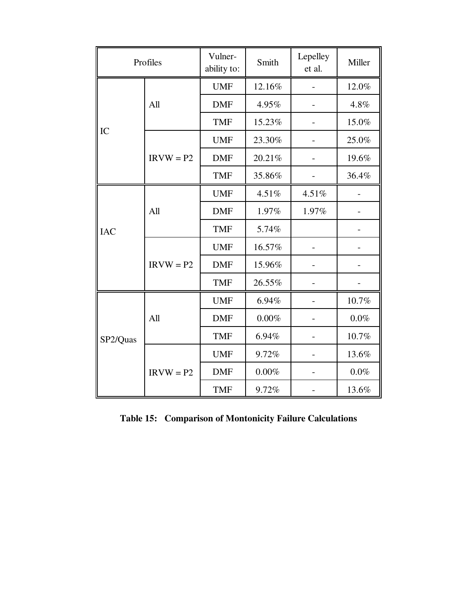|            | Profiles    | Vulner-<br>ability to: | Smith    | Lepelley<br>et al. | Miller   |  |
|------------|-------------|------------------------|----------|--------------------|----------|--|
|            |             | <b>UMF</b>             | 12.16%   |                    | 12.0%    |  |
|            | All         | <b>DMF</b>             | 4.95%    |                    | 4.8%     |  |
|            |             | <b>TMF</b>             | 15.23%   |                    | 15.0%    |  |
| IC         |             | <b>UMF</b>             | 23.30%   |                    | 25.0%    |  |
|            | $IRVW = P2$ | <b>DMF</b>             | 20.21%   |                    | 19.6%    |  |
|            |             | <b>TMF</b>             | 35.86%   |                    | 36.4%    |  |
|            |             | <b>UMF</b>             | 4.51%    | 4.51%              |          |  |
|            | All         | <b>DMF</b>             | 1.97%    | 1.97%              |          |  |
| <b>IAC</b> |             | <b>TMF</b>             | 5.74%    |                    |          |  |
|            |             | <b>UMF</b>             | 16.57%   |                    |          |  |
|            | $IRVW = P2$ | <b>DMF</b>             | 15.96%   |                    |          |  |
|            |             | <b>TMF</b>             | 26.55%   |                    |          |  |
|            |             | <b>UMF</b>             | 6.94%    |                    | 10.7%    |  |
|            | All         | <b>DMF</b>             | $0.00\%$ |                    | $0.0\%$  |  |
| SP2/Quas   |             | <b>TMF</b>             | 6.94%    |                    | $10.7\%$ |  |
|            |             | <b>UMF</b>             | 9.72%    |                    | 13.6%    |  |
|            | $IRVW = P2$ | <b>DMF</b>             | $0.00\%$ |                    | $0.0\%$  |  |
|            |             | <b>TMF</b>             | 9.72%    |                    | 13.6%    |  |

**Table 15: Comparison of Montonicity Failure Calculations**